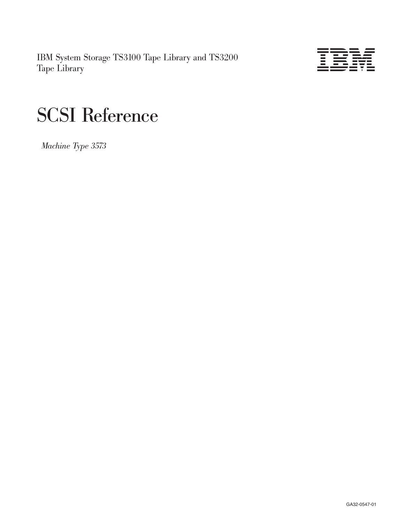IBM System Storage TS3100 Tape Library and TS3200 Tape Library



# SCSI Reference

*Machine Type 3573*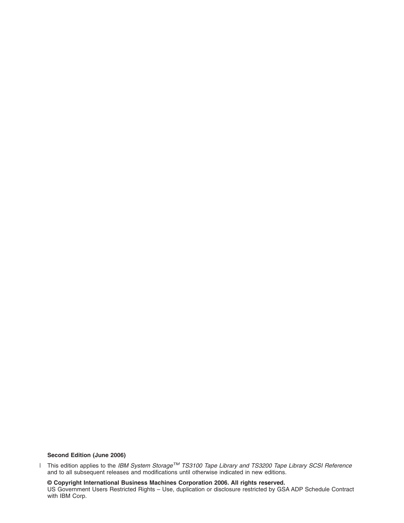# **Second Edition (June 2006)**

This edition applies to the *IBM System StorageTM TS3100 Tape Library and TS3200 Tape Library SCSI Reference* and to all subsequent releases and modifications until otherwise indicated in new editions. |

**© Copyright International Business Machines Corporation 2006. All rights reserved.**

US Government Users Restricted Rights – Use, duplication or disclosure restricted by GSA ADP Schedule Contract with IBM Corp.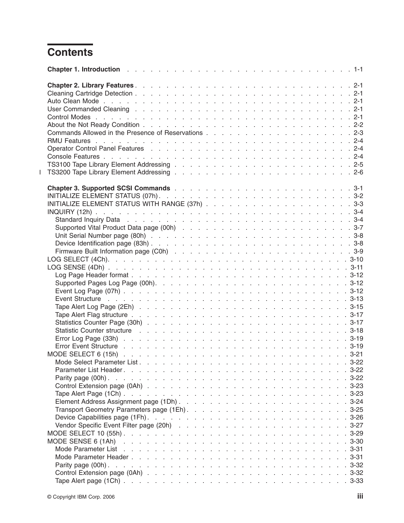# **Contents**

 $\,$   $\,$ 

| Chapter 1. Introduction enterity and a series and a series and a series and a series of the 1-1                                                                                                                                |
|--------------------------------------------------------------------------------------------------------------------------------------------------------------------------------------------------------------------------------|
|                                                                                                                                                                                                                                |
|                                                                                                                                                                                                                                |
|                                                                                                                                                                                                                                |
| User Commanded Cleaning research research research research research and research research research research r                                                                                                                 |
|                                                                                                                                                                                                                                |
|                                                                                                                                                                                                                                |
|                                                                                                                                                                                                                                |
|                                                                                                                                                                                                                                |
|                                                                                                                                                                                                                                |
|                                                                                                                                                                                                                                |
|                                                                                                                                                                                                                                |
|                                                                                                                                                                                                                                |
|                                                                                                                                                                                                                                |
|                                                                                                                                                                                                                                |
|                                                                                                                                                                                                                                |
|                                                                                                                                                                                                                                |
|                                                                                                                                                                                                                                |
|                                                                                                                                                                                                                                |
|                                                                                                                                                                                                                                |
|                                                                                                                                                                                                                                |
|                                                                                                                                                                                                                                |
|                                                                                                                                                                                                                                |
|                                                                                                                                                                                                                                |
|                                                                                                                                                                                                                                |
|                                                                                                                                                                                                                                |
|                                                                                                                                                                                                                                |
|                                                                                                                                                                                                                                |
|                                                                                                                                                                                                                                |
| Event Structure (b) and (b) and (b) and (b) and (b) and (b) and (b) and (b) and (b) and (b) and (b) and (b) and (b) and (b) and (b) and (b) and (b) and (b) and (b) and (b) and (b) and (b) and (b) and (b) and (b) and (b) an |
|                                                                                                                                                                                                                                |
|                                                                                                                                                                                                                                |
|                                                                                                                                                                                                                                |
| Statistic Counter structure response and response and response and response and response and response and response of $3-18$                                                                                                   |
|                                                                                                                                                                                                                                |
|                                                                                                                                                                                                                                |
|                                                                                                                                                                                                                                |
|                                                                                                                                                                                                                                |
| Parameter List Header.                                                                                                                                                                                                         |
|                                                                                                                                                                                                                                |
|                                                                                                                                                                                                                                |
|                                                                                                                                                                                                                                |
|                                                                                                                                                                                                                                |
|                                                                                                                                                                                                                                |
|                                                                                                                                                                                                                                |
|                                                                                                                                                                                                                                |
|                                                                                                                                                                                                                                |
|                                                                                                                                                                                                                                |
|                                                                                                                                                                                                                                |
|                                                                                                                                                                                                                                |
|                                                                                                                                                                                                                                |
|                                                                                                                                                                                                                                |
|                                                                                                                                                                                                                                |
|                                                                                                                                                                                                                                |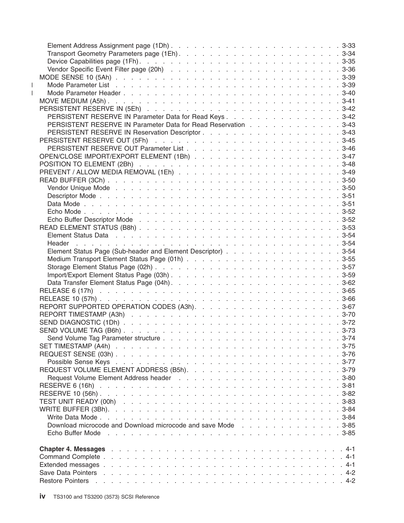| $\mathbf{I}$ |                                                                                                             |  |
|--------------|-------------------------------------------------------------------------------------------------------------|--|
| $\mathbf{I}$ |                                                                                                             |  |
|              |                                                                                                             |  |
|              |                                                                                                             |  |
|              | PERSISTENT RESERVE IN Parameter Data for Read Keys 3-42                                                     |  |
|              | PERSISTENT RESERVE IN Parameter Data for Read Reservation 3-43                                              |  |
|              |                                                                                                             |  |
|              |                                                                                                             |  |
|              |                                                                                                             |  |
|              |                                                                                                             |  |
|              |                                                                                                             |  |
|              |                                                                                                             |  |
|              |                                                                                                             |  |
|              |                                                                                                             |  |
|              |                                                                                                             |  |
|              |                                                                                                             |  |
|              |                                                                                                             |  |
|              |                                                                                                             |  |
|              |                                                                                                             |  |
|              | Element Status Data response response response response response response response a series of 3-54         |  |
|              |                                                                                                             |  |
|              | Element Status Page (Sub-header and Element Descriptor) 3-54                                                |  |
|              |                                                                                                             |  |
|              |                                                                                                             |  |
|              |                                                                                                             |  |
|              |                                                                                                             |  |
|              |                                                                                                             |  |
|              |                                                                                                             |  |
|              |                                                                                                             |  |
|              |                                                                                                             |  |
|              |                                                                                                             |  |
|              |                                                                                                             |  |
|              |                                                                                                             |  |
|              |                                                                                                             |  |
|              |                                                                                                             |  |
|              |                                                                                                             |  |
|              |                                                                                                             |  |
|              |                                                                                                             |  |
|              |                                                                                                             |  |
|              |                                                                                                             |  |
|              |                                                                                                             |  |
|              |                                                                                                             |  |
|              |                                                                                                             |  |
|              | Download microcode and Download microcode and save Mode response and save in the set of the set of the S-85 |  |
|              |                                                                                                             |  |
|              |                                                                                                             |  |
|              |                                                                                                             |  |
|              |                                                                                                             |  |
|              |                                                                                                             |  |
|              |                                                                                                             |  |
|              |                                                                                                             |  |
|              |                                                                                                             |  |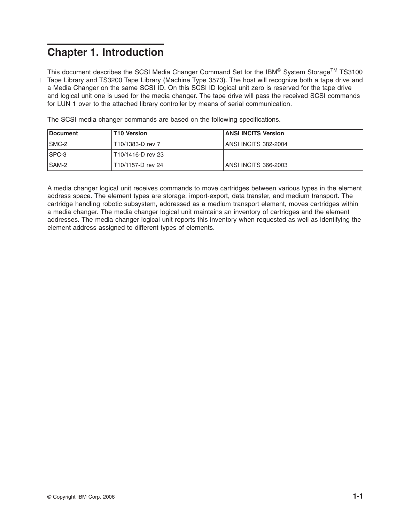# <span id="page-6-0"></span>**Chapter 1. Introduction**

This document describes the SCSI Media Changer Command Set for the IBM® System Storage<sup>TM</sup> TS3100 l Tape Library and TS3200 Tape Library (Machine Type 3573). The host will recognize both a tape drive and a Media Changer on the same SCSI ID. On this SCSI ID logical unit zero is reserved for the tape drive and logical unit one is used for the media changer. The tape drive will pass the received SCSI commands for LUN 1 over to the attached library controller by means of serial communication.

| Document     | T10 Version         | <b>ANSI INCITS Version</b> |
|--------------|---------------------|----------------------------|
| SMC-2        | T10/1383-D rev 7    | ANSI INCITS 382-2004       |
| ISPC-3       | l T10/1416-D rev 23 |                            |
| <b>SAM-2</b> | T10/1157-D rev 24   | ANSI INCITS 366-2003       |

The SCSI media changer commands are based on the following specifications.

A media changer logical unit receives commands to move cartridges between various types in the element address space. The element types are storage, import-export, data transfer, and medium transport. The cartridge handling robotic subsystem, addressed as a medium transport element, moves cartridges within a media changer. The media changer logical unit maintains an inventory of cartridges and the element addresses. The media changer logical unit reports this inventory when requested as well as identifying the element address assigned to different types of elements.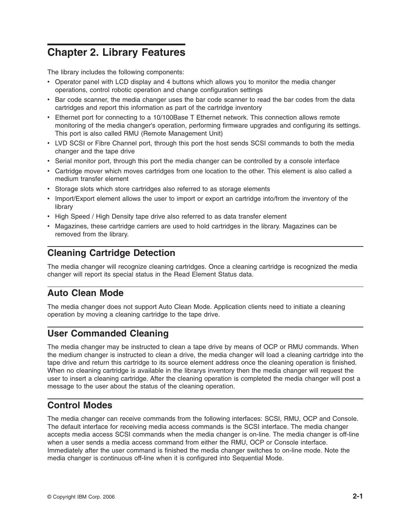# <span id="page-8-0"></span>**Chapter 2. Library Features**

The library includes the following components:

- Operator panel with LCD display and 4 buttons which allows you to monitor the media changer operations, control robotic operation and change configuration settings
- v Bar code scanner, the media changer uses the bar code scanner to read the bar codes from the data cartridges and report this information as part of the cartridge inventory
- Ethernet port for connecting to a 10/100Base T Ethernet network. This connection allows remote monitoring of the media changer's operation, performing firmware upgrades and configuring its settings. This port is also called RMU (Remote Management Unit)
- LVD SCSI or Fibre Channel port, through this port the host sends SCSI commands to both the media changer and the tape drive
- Serial monitor port, through this port the media changer can be controlled by a console interface
- Cartridge mover which moves cartridges from one location to the other. This element is also called a medium transfer element
- Storage slots which store cartridges also referred to as storage elements
- Import/Export element allows the user to import or export an cartridge into/from the inventory of the library
- High Speed / High Density tape drive also referred to as data transfer element
- Magazines, these cartridge carriers are used to hold cartridges in the library. Magazines can be removed from the library.

# **Cleaning Cartridge Detection**

The media changer will recognize cleaning cartridges. Once a cleaning cartridge is recognized the media changer will report its special status in the Read Element Status data.

# **Auto Clean Mode**

The media changer does not support Auto Clean Mode. Application clients need to initiate a cleaning operation by moving a cleaning cartridge to the tape drive.

# **User Commanded Cleaning**

The media changer may be instructed to clean a tape drive by means of OCP or RMU commands. When the medium changer is instructed to clean a drive, the media changer will load a cleaning cartridge into the tape drive and return this cartridge to its source element address once the cleaning operation is finished. When no cleaning cartridge is available in the librarys inventory then the media changer will request the user to insert a cleaning cartridge. After the cleaning operation is completed the media changer will post a message to the user about the status of the cleaning operation.

# **Control Modes**

The media changer can receive commands from the following interfaces: SCSI, RMU, OCP and Console. The default interface for receiving media access commands is the SCSI interface. The media changer accepts media access SCSI commands when the media changer is on-line. The media changer is off-line when a user sends a media access command from either the RMU, OCP or Console interface. Immediately after the user command is finished the media changer switches to on-line mode. Note the media changer is continuous off-line when it is configured into Sequential Mode.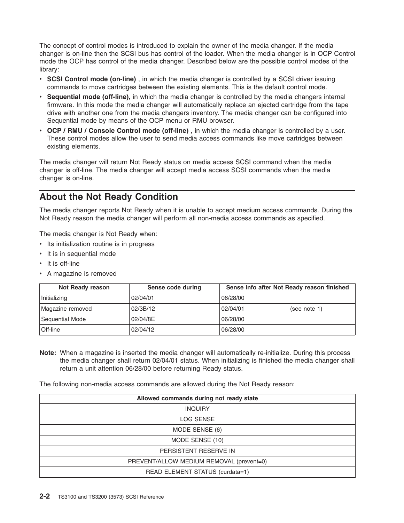<span id="page-9-0"></span>The concept of control modes is introduced to explain the owner of the media changer. If the media changer is on-line then the SCSI bus has control of the loader. When the media changer is in OCP Control mode the OCP has control of the media changer. Described below are the possible control modes of the library:

- v **SCSI Control mode (on-line)** , in which the media changer is controlled by a SCSI driver issuing commands to move cartridges between the existing elements. This is the default control mode.
- v **Sequential mode (off-line),** in which the media changer is controlled by the media changers internal firmware. In this mode the media changer will automatically replace an ejected cartridge from the tape drive with another one from the media changers inventory. The media changer can be configured into Sequential mode by means of the OCP menu or RMU browser.
- v **OCP / RMU / Console Control mode (off-line)** , in which the media changer is controlled by a user. These control modes allow the user to send media access commands like move cartridges between existing elements.

The media changer will return Not Ready status on media access SCSI command when the media changer is off-line. The media changer will accept media access SCSI commands when the media changer is on-line.

# **About the Not Ready Condition**

The media changer reports Not Ready when it is unable to accept medium access commands. During the Not Ready reason the media changer will perform all non-media access commands as specified.

The media changer is Not Ready when:

- Its initialization routine is in progress
- It is in sequential mode
- It is off-line
- A magazine is removed

| Not Ready reason | Sense code during | Sense info after Not Ready reason finished |
|------------------|-------------------|--------------------------------------------|
| Initializing     | 02/04/01          | 06/28/00                                   |
| Magazine removed | 02/3B/12          | 02/04/01<br>(see note 1)                   |
| Sequential Mode  | 02/04/8E          | 06/28/00                                   |
| ∣Off-line        | 02/04/12          | 06/28/00                                   |

**Note:** When a magazine is inserted the media changer will automatically re-initialize. During this process the media changer shall return 02/04/01 status. When initializing is finished the media changer shall return a unit attention 06/28/00 before returning Ready status.

The following non-media access commands are allowed during the Not Ready reason:

| Allowed commands during not ready state  |  |  |  |  |  |  |  |  |
|------------------------------------------|--|--|--|--|--|--|--|--|
| <b>INQUIRY</b>                           |  |  |  |  |  |  |  |  |
| LOG SENSE                                |  |  |  |  |  |  |  |  |
| MODE SENSE (6)                           |  |  |  |  |  |  |  |  |
| MODE SENSE (10)                          |  |  |  |  |  |  |  |  |
| PERSISTENT RESERVE IN                    |  |  |  |  |  |  |  |  |
| PREVENT/ALLOW MEDIUM REMOVAL (prevent=0) |  |  |  |  |  |  |  |  |
| READ ELEMENT STATUS (curdata=1)          |  |  |  |  |  |  |  |  |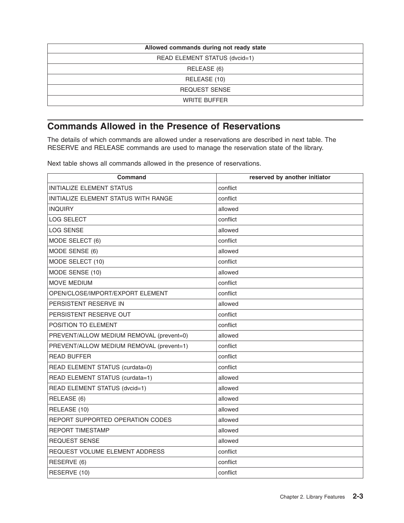<span id="page-10-0"></span>

| Allowed commands during not ready state |  |  |  |  |  |  |  |  |
|-----------------------------------------|--|--|--|--|--|--|--|--|
| READ ELEMENT STATUS (dvcid=1)           |  |  |  |  |  |  |  |  |
| RELEASE (6)                             |  |  |  |  |  |  |  |  |
| RELEASE (10)                            |  |  |  |  |  |  |  |  |
| <b>REQUEST SENSE</b>                    |  |  |  |  |  |  |  |  |
| <b>WRITE BUFFER</b>                     |  |  |  |  |  |  |  |  |

# **Commands Allowed in the Presence of Reservations**

The details of which commands are allowed under a reservations are described in next table. The RESERVE and RELEASE commands are used to manage the reservation state of the library.

Next table shows all commands allowed in the presence of reservations.

| <b>Command</b>                           | reserved by another initiator |
|------------------------------------------|-------------------------------|
| <b>INITIALIZE ELEMENT STATUS</b>         | conflict                      |
| INITIALIZE ELEMENT STATUS WITH RANGE     | conflict                      |
| <b>INQUIRY</b>                           | allowed                       |
| <b>LOG SELECT</b>                        | conflict                      |
| <b>LOG SENSE</b>                         | allowed                       |
| MODE SELECT (6)                          | conflict                      |
| MODE SENSE (6)                           | allowed                       |
| MODE SELECT (10)                         | conflict                      |
| MODE SENSE (10)                          | allowed                       |
| MOVE MEDIUM                              | conflict                      |
| OPEN/CLOSE/IMPORT/EXPORT ELEMENT         | conflict                      |
| PERSISTENT RESERVE IN                    | allowed                       |
| PERSISTENT RESERVE OUT                   | conflict                      |
| POSITION TO ELEMENT                      | conflict                      |
| PREVENT/ALLOW MEDIUM REMOVAL (prevent=0) | allowed                       |
| PREVENT/ALLOW MEDIUM REMOVAL (prevent=1) | conflict                      |
| <b>READ BUFFER</b>                       | conflict                      |
| READ ELEMENT STATUS (curdata=0)          | conflict                      |
| READ ELEMENT STATUS (curdata=1)          | allowed                       |
| READ ELEMENT STATUS (dvcid=1)            | allowed                       |
| RELEASE (6)                              | allowed                       |
| RELEASE (10)                             | allowed                       |
| REPORT SUPPORTED OPERATION CODES         | allowed                       |
| <b>REPORT TIMESTAMP</b>                  | allowed                       |
| <b>REQUEST SENSE</b>                     | allowed                       |
| REQUEST VOLUME ELEMENT ADDRESS           | conflict                      |
| RESERVE (6)                              | conflict                      |
| RESERVE (10)                             | conflict                      |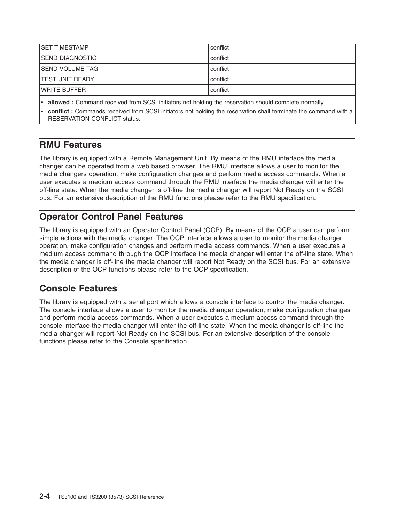<span id="page-11-0"></span>

| conflict |
|----------|
| conflict |
| conflict |
| conflict |
| conflict |
|          |

v **allowed :** Command received from SCSI initiators not holding the reservation should complete normally.

conflict **:** Commands received from SCSI initiators not holding the reservation shall terminate the command with a RESERVATION CONFLICT status.

# **RMU Features**

The library is equipped with a Remote Management Unit. By means of the RMU interface the media changer can be operated from a web based browser. The RMU interface allows a user to monitor the media changers operation, make configuration changes and perform media access commands. When a user executes a medium access command through the RMU interface the media changer will enter the off-line state. When the media changer is off-line the media changer will report Not Ready on the SCSI bus. For an extensive description of the RMU functions please refer to the RMU specification.

# **Operator Control Panel Features**

The library is equipped with an Operator Control Panel (OCP). By means of the OCP a user can perform simple actions with the media changer. The OCP interface allows a user to monitor the media changer operation, make configuration changes and perform media access commands. When a user executes a medium access command through the OCP interface the media changer will enter the off-line state. When the media changer is off-line the media changer will report Not Ready on the SCSI bus. For an extensive description of the OCP functions please refer to the OCP specification.

# **Console Features**

The library is equipped with a serial port which allows a console interface to control the media changer. The console interface allows a user to monitor the media changer operation, make configuration changes and perform media access commands. When a user executes a medium access command through the console interface the media changer will enter the off-line state. When the media changer is off-line the media changer will report Not Ready on the SCSI bus. For an extensive description of the console functions please refer to the Console specification.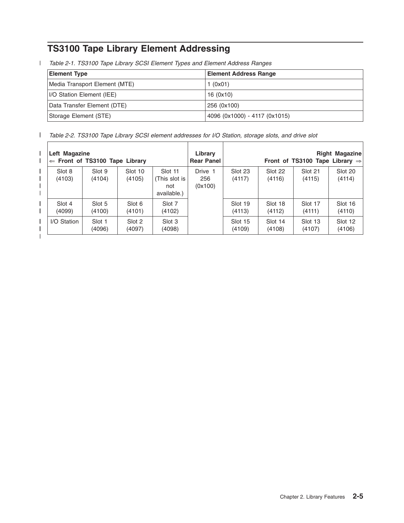# <span id="page-12-0"></span>**TS3100 Tape Library Element Addressing**

*Table 2-1. TS3100 Tape Library SCSI Element Types and Element Address Ranges* |

| <b>Element Type</b>              | <b>Element Address Range</b>  |
|----------------------------------|-------------------------------|
| Media Transport Element (MTE)    | 1(0x01)                       |
| <b>I/O Station Element (IEE)</b> | 16 (0x10)                     |
| Data Transfer Element (DTE)      | 256 (0x100)                   |
| Storage Element (STE)            | 4096 (0x1000) - 4117 (0x1015) |

*Table 2-2. TS3100 Tape Library SCSI element addresses for I/O Station, storage slots, and drive slot* ||

|   | Left Magazine    | $\Leftarrow$ Front of TS3100 Tape Library |                   |                                                | Library<br><b>Rear Panel</b> |                   |                   | Front of TS3100 Tape Library $\Rightarrow$ | <b>Right Magazine</b> |
|---|------------------|-------------------------------------------|-------------------|------------------------------------------------|------------------------------|-------------------|-------------------|--------------------------------------------|-----------------------|
|   | Slot 8<br>(4103) | Slot 9<br>(4104)                          | Slot 10<br>(4105) | Slot 11<br>(This slot is<br>not<br>available.) | Drive 1<br>256<br>(0x100)    | Slot 23<br>(4117) | Slot 22<br>(4116) | Slot 21<br>(4115)                          | Slot 20<br>(4114)     |
|   | Slot 4<br>(4099) | Slot 5<br>(4100)                          | Slot 6<br>(4101)  | Slot 7<br>(4102)                               |                              | Slot 19<br>(4113) | Slot 18<br>(4112) | Slot 17<br>(4111)                          | Slot 16<br>(4110)     |
| I | I/O Station      | Slot 1<br>(4096)                          | Slot 2<br>(4097)  | Slot 3<br>(4098)                               |                              | Slot 15<br>(4109) | Slot 14<br>(4108) | Slot 13<br>(4107)                          | Slot 12<br>(4106)     |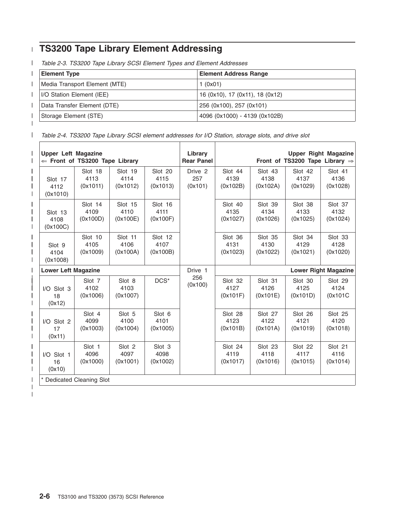#### <span id="page-13-0"></span>**TS3200 Tape Library Element Addressing** |

*Table 2-3. TS3200 Tape Library SCSI Element Types and Element Addresses* |

| <b>Element Type</b>              | <b>Element Address Range</b>    |
|----------------------------------|---------------------------------|
| Media Transport Element (MTE)    | 1 (0x01)                        |
| <b>I/O Station Element (IEE)</b> | 16 (0x10), 17 (0x11), 18 (0x12) |
| Data Transfer Element (DTE)      | 256 (0x100), 257 (0x101)        |
| Storage Element (STE)            | 4096 (0x1000) - 4139 (0x102B)   |
|                                  |                                 |

*Table 2-4. TS3200 Tape Library SCSI element addresses for I/O Station, storage slots, and drive slot*  $\begin{array}{c} \hline \end{array}$ 

|                              | <b>Upper Left Magazine</b><br>$\Leftarrow$ Front of TS3200 Tape Library |                            |                   |                |                             |                             | <b>Upper Right Magazine</b><br>Front of TS3200 Tape Library $\Rightarrow$ |                             |  |
|------------------------------|-------------------------------------------------------------------------|----------------------------|-------------------|----------------|-----------------------------|-----------------------------|---------------------------------------------------------------------------|-----------------------------|--|
| Slot 17                      | Slot 18                                                                 | Slot 19                    | Slot 20           | Drive 2        | Slot 44                     | Slot 43                     | Slot 42                                                                   | Slot 41                     |  |
| 4112                         | 4113                                                                    | 4114                       | 4115              | 257            | 4139                        | 4138                        | 4137                                                                      | 4136                        |  |
| (0x1010)                     | (0x1011)                                                                | (0x1012)                   | (0x1013)          | (0x101)        | (0x102B)                    | (0x102A)                    | (0x1029)                                                                  | (0x1028)                    |  |
| Slot 13                      | Slot 14                                                                 | Slot 15                    | Slot 16           |                | Slot 40                     | Slot 39                     | Slot 38                                                                   | Slot 37                     |  |
| 4108                         | 4109                                                                    | 4110                       | 4111              |                | 4135                        | 4134                        | 4133                                                                      | 4132                        |  |
| (0x100C)                     | (0x100D)                                                                | (0x100E)                   | (0x100F)          |                | (0x1027)                    | (0x1026)                    | (0x1025)                                                                  | (0x1024)                    |  |
| Slot 9                       | Slot 10                                                                 | Slot 11                    | Slot 12           |                | Slot 36                     | Slot 35                     | Slot 34                                                                   | Slot 33                     |  |
| 4104                         | 4105                                                                    | 4106                       | 4107              |                | 4131                        | 4130                        | 4129                                                                      | 4128                        |  |
| (0x1008)                     | (0x1009)                                                                | (0x100A)                   | (0x100B)          |                | (0x1023)                    | (0x1022)                    | (0x1021)                                                                  | (0x1020)                    |  |
| <b>Lower Left Magazine</b>   |                                                                         |                            |                   | Drive 1        | <b>Lower Right Magazine</b> |                             |                                                                           |                             |  |
| $I/O$ Slot 3<br>18<br>(0x12) | Slot <sub>7</sub><br>4102<br>(0x1006)                                   | Slot 8<br>4103<br>(0x1007) | $DCS^*$           | 256<br>(0x100) | Slot 32<br>4127<br>(0x101F) | Slot 31<br>4126<br>(0x101E) | Slot 30<br>4125<br>(0x101D)                                               | Slot 29<br>4124<br>(0x101C) |  |
| I/O Slot 2                   | Slot 4                                                                  | Slot 5                     | Slot <sub>6</sub> |                | Slot 28                     | Slot 27                     | Slot 26                                                                   | Slot 25                     |  |
| 17                           | 4099                                                                    | 4100                       | 4101              |                | 4123                        | 4122                        | 4121                                                                      | 4120                        |  |
| (0x11)                       | (0x1003)                                                                | (0x1004)                   | (0x1005)          |                | (0x101B)                    | (0x101A)                    | (0x1019)                                                                  | (0x1018)                    |  |
| $I/O$ Slot 1                 | Slot 1                                                                  | Slot 2                     | Slot 3            |                | Slot 24                     | Slot 23                     | Slot 22                                                                   | Slot 21                     |  |
| 16                           | 4096                                                                    | 4097                       | 4098              |                | 4119                        | 4118                        | 4117                                                                      | 4116                        |  |
| (0x10)                       | (0x1000)                                                                | (0x1001)                   | (0x1002)          |                | (0x1017)                    | (0x1016)                    | (0x1015)                                                                  | (0x1014)                    |  |
|                              |                                                                         |                            |                   |                |                             |                             |                                                                           |                             |  |

| |

||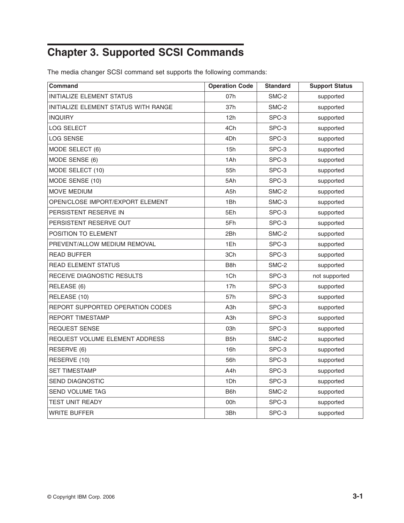# <span id="page-14-0"></span>**Chapter 3. Supported SCSI Commands**

The media changer SCSI command set supports the following commands:

| <b>Command</b>                       | <b>Operation Code</b> | <b>Standard</b> | <b>Support Status</b> |
|--------------------------------------|-----------------------|-----------------|-----------------------|
| INITIALIZE ELEMENT STATUS            | 07h                   | SMC-2           | supported             |
| INITIALIZE ELEMENT STATUS WITH RANGE | 37h                   | SMC-2           | supported             |
| <b>INQUIRY</b>                       | 12h                   | SPC-3           | supported             |
| <b>LOG SELECT</b>                    | 4Ch                   | SPC-3           | supported             |
| <b>LOG SENSE</b>                     | 4Dh                   | SPC-3           | supported             |
| MODE SELECT (6)                      | 15h                   | SPC-3           | supported             |
| MODE SENSE (6)                       | 1Ah                   | SPC-3           | supported             |
| MODE SELECT (10)                     | 55h                   | SPC-3           | supported             |
| MODE SENSE (10)                      | 5Ah                   | SPC-3           | supported             |
| <b>MOVE MEDIUM</b>                   | A <sub>5</sub> h      | SMC-2           | supported             |
| OPEN/CLOSE IMPORT/EXPORT ELEMENT     | 1Bh                   | SMC-3           | supported             |
| PERSISTENT RESERVE IN                | 5Eh                   | SPC-3           | supported             |
| PERSISTENT RESERVE OUT               | 5Fh                   | SPC-3           | supported             |
| POSITION TO ELEMENT                  | 2Bh                   | SMC-2           | supported             |
| PREVENT/ALLOW MEDIUM REMOVAL         | 1Eh                   | SPC-3           | supported             |
| <b>READ BUFFER</b>                   | 3Ch                   | SPC-3           | supported             |
| <b>READ ELEMENT STATUS</b>           | B <sub>8</sub> h      | SMC-2           | supported             |
| RECEIVE DIAGNOSTIC RESULTS           | 1Ch                   | SPC-3           | not supported         |
| RELEASE (6)                          | 17h                   | SPC-3           | supported             |
| RELEASE (10)                         | 57h                   | SPC-3           | supported             |
| REPORT SUPPORTED OPERATION CODES     | A3h                   | SPC-3           | supported             |
| <b>REPORT TIMESTAMP</b>              | A3h                   | SPC-3           | supported             |
| <b>REQUEST SENSE</b>                 | 03h                   | SPC-3           | supported             |
| REQUEST VOLUME ELEMENT ADDRESS       | B <sub>5</sub> h      | SMC-2           | supported             |
| RESERVE (6)                          | 16h                   | SPC-3           | supported             |
| RESERVE (10)                         | 56h                   | SPC-3           | supported             |
| <b>SET TIMESTAMP</b>                 | A4h                   | SPC-3           | supported             |
| <b>SEND DIAGNOSTIC</b>               | 1Dh                   | SPC-3           | supported             |
| <b>SEND VOLUME TAG</b>               | B <sub>6</sub> h      | SMC-2           | supported             |
| TEST UNIT READY                      | 00h                   | SPC-3           | supported             |
| <b>WRITE BUFFER</b>                  | 3Bh                   | SPC-3           | supported             |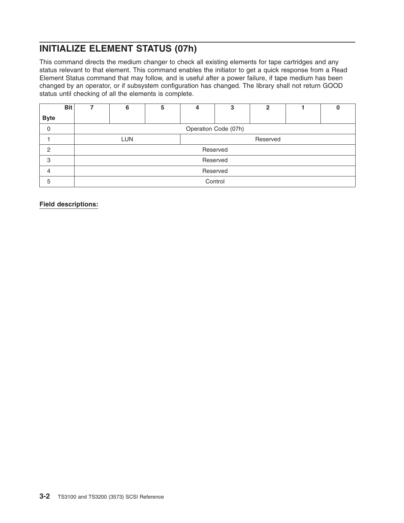# <span id="page-15-0"></span>**INITIALIZE ELEMENT STATUS (07h)**

This command directs the medium changer to check all existing elements for tape cartridges and any status relevant to that element. This command enables the initiator to get a quick response from a Read Element Status command that may follow, and is useful after a power failure, if tape medium has been changed by an operator, or if subsystem configuration has changed. The library shall not return GOOD status until checking of all the elements is complete.

| <b>Bit</b>  | 6                      | 5 | 4 | 3        | $\mathbf{2}$ |  |  |  |  |  |
|-------------|------------------------|---|---|----------|--------------|--|--|--|--|--|
| <b>Byte</b> |                        |   |   |          |              |  |  |  |  |  |
| 0           | Operation Code (07h)   |   |   |          |              |  |  |  |  |  |
|             | <b>LUN</b><br>Reserved |   |   |          |              |  |  |  |  |  |
| ◠           | Reserved               |   |   |          |              |  |  |  |  |  |
| 3           |                        |   |   | Reserved |              |  |  |  |  |  |
| 4           | Reserved               |   |   |          |              |  |  |  |  |  |
| 5           | Control                |   |   |          |              |  |  |  |  |  |

**Field descriptions:**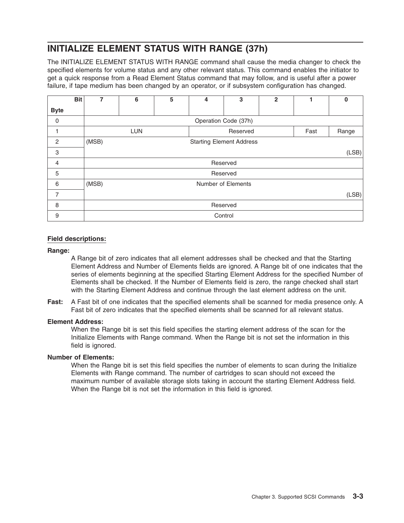# <span id="page-16-0"></span>**INITIALIZE ELEMENT STATUS WITH RANGE (37h)**

The INITIALIZE ELEMENT STATUS WITH RANGE command shall cause the media changer to check the specified elements for volume status and any other relevant status. This command enables the initiator to get a quick response from a Read Element Status command that may follow, and is useful after a power failure, if tape medium has been changed by an operator, or if subsystem configuration has changed.

|                | <b>Bit</b> | 7     | 6                                       | 5 | 4 | 3                               | $\overline{2}$ |  | $\bf{0}$ |  |  |
|----------------|------------|-------|-----------------------------------------|---|---|---------------------------------|----------------|--|----------|--|--|
| <b>Byte</b>    |            |       |                                         |   |   |                                 |                |  |          |  |  |
| $\mathbf 0$    |            |       | Operation Code (37h)                    |   |   |                                 |                |  |          |  |  |
|                |            |       | <b>LUN</b><br>Reserved<br>Fast<br>Range |   |   |                                 |                |  |          |  |  |
| 2              |            | (MSB) |                                         |   |   | <b>Starting Element Address</b> |                |  |          |  |  |
| 3              |            |       |                                         |   |   |                                 |                |  | (LSB)    |  |  |
| $\overline{4}$ |            |       |                                         |   |   | Reserved                        |                |  |          |  |  |
| 5              |            |       |                                         |   |   | Reserved                        |                |  |          |  |  |
| 6              |            | (MSB) |                                         |   |   | Number of Elements              |                |  |          |  |  |
| 7              |            |       | (LSB)                                   |   |   |                                 |                |  |          |  |  |
| 8              |            |       | Reserved                                |   |   |                                 |                |  |          |  |  |
| 9              |            |       | Control                                 |   |   |                                 |                |  |          |  |  |

# **Field descriptions:**

## **Range:**

A Range bit of zero indicates that all element addresses shall be checked and that the Starting Element Address and Number of Elements fields are ignored. A Range bit of one indicates that the series of elements beginning at the specified Starting Element Address for the specified Number of Elements shall be checked. If the Number of Elements field is zero, the range checked shall start with the Starting Element Address and continue through the last element address on the unit.

**Fast:** A Fast bit of one indicates that the specified elements shall be scanned for media presence only. A Fast bit of zero indicates that the specified elements shall be scanned for all relevant status.

## **Element Address:**

When the Range bit is set this field specifies the starting element address of the scan for the Initialize Elements with Range command. When the Range bit is not set the information in this field is ignored.

## **Number of Elements:**

When the Range bit is set this field specifies the number of elements to scan during the Initialize Elements with Range command. The number of cartridges to scan should not exceed the maximum number of available storage slots taking in account the starting Element Address field. When the Range bit is not set the information in this field is ignored.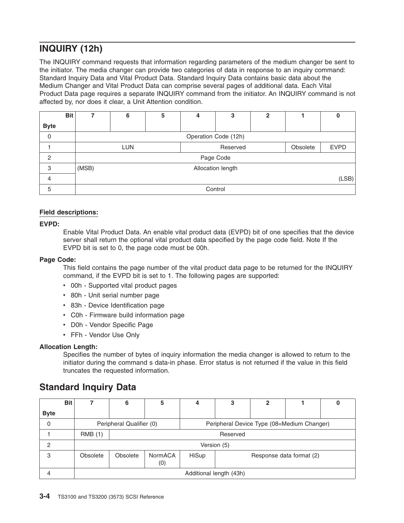# <span id="page-17-0"></span>**INQUIRY (12h)**

The INQUIRY command requests that information regarding parameters of the medium changer be sent to the initiator. The media changer can provide two categories of data in response to an inquiry command: Standard Inquiry Data and Vital Product Data. Standard Inquiry Data contains basic data about the Medium Changer and Vital Product Data can comprise several pages of additional data. Each Vital Product Data page requires a separate INQUIRY command from the initiator. An INQUIRY command is not affected by, nor does it clear, a Unit Attention condition.

|                | <b>Bit</b> | 7     | 6                                                 | 5 | 4 | 3                    | $\mathbf{2}$ |  |  |  |
|----------------|------------|-------|---------------------------------------------------|---|---|----------------------|--------------|--|--|--|
| <b>Byte</b>    |            |       |                                                   |   |   |                      |              |  |  |  |
| 0              |            |       |                                                   |   |   | Operation Code (12h) |              |  |  |  |
|                |            |       | <b>LUN</b><br>Obsolete<br><b>EVPD</b><br>Reserved |   |   |                      |              |  |  |  |
| $\overline{2}$ |            |       |                                                   |   |   | Page Code            |              |  |  |  |
| 3              |            | (MSB) |                                                   |   |   | Allocation length    |              |  |  |  |
| 4              |            |       | (LSB)                                             |   |   |                      |              |  |  |  |
| 5              |            |       | Control                                           |   |   |                      |              |  |  |  |

# **Field descriptions:**

# **EVPD:**

Enable Vital Product Data. An enable vital product data (EVPD) bit of one specifies that the device server shall return the optional vital product data specified by the page code field. Note If the EVPD bit is set to 0, the page code must be 00h.

## **Page Code:**

This field contains the page number of the vital product data page to be returned for the INQUIRY command, if the EVPD bit is set to 1. The following pages are supported:

- 00h Supported vital product pages
- 80h Unit serial number page
- 83h Device Identification page
- C0h Firmware build information page
- D0h Vendor Specific Page
- FFh Vendor Use Only

# **Allocation Length:**

Specifies the number of bytes of inquiry information the media changer is allowed to return to the initiator during the command s data-in phase. Error status is not returned if the value in this field truncates the requested information.

# **Standard Inquiry Data**

|             | <b>Bit</b> |                         | 6        | 5                                                                      |                                   | 3 | $\mathbf 2$ |  |  |  |  |  |
|-------------|------------|-------------------------|----------|------------------------------------------------------------------------|-----------------------------------|---|-------------|--|--|--|--|--|
| <b>Byte</b> |            |                         |          |                                                                        |                                   |   |             |  |  |  |  |  |
| 0           |            |                         |          | Peripheral Qualifier (0)<br>Peripheral Device Type (08=Medium Changer) |                                   |   |             |  |  |  |  |  |
|             |            | <b>RMB</b> (1)          |          | Reserved                                                               |                                   |   |             |  |  |  |  |  |
| 2           |            |                         |          |                                                                        | Version (5)                       |   |             |  |  |  |  |  |
| 3           |            | Obsolete                | Obsolete | NormACA<br>(0)                                                         | HiSup<br>Response data format (2) |   |             |  |  |  |  |  |
|             |            | Additional length (43h) |          |                                                                        |                                   |   |             |  |  |  |  |  |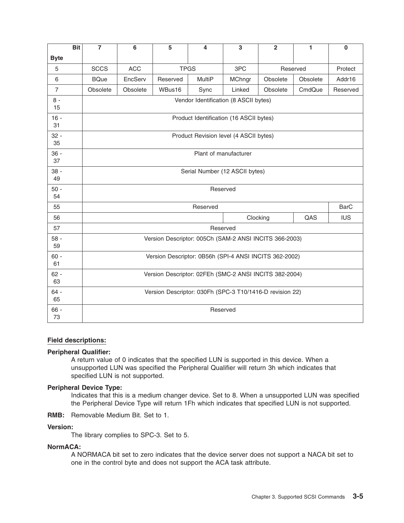|                | <b>Bit</b> | $\overline{7}$                                         | 6                                                        | 5        | 4                                                      | 3                     | $\overline{2}$ | 1        | $\bf{0}$    |  |  |  |  |
|----------------|------------|--------------------------------------------------------|----------------------------------------------------------|----------|--------------------------------------------------------|-----------------------|----------------|----------|-------------|--|--|--|--|
| <b>Byte</b>    |            |                                                        |                                                          |          |                                                        |                       |                |          |             |  |  |  |  |
| 5              |            | <b>SCCS</b>                                            | <b>ACC</b>                                               |          | <b>TPGS</b>                                            | 3PC                   |                | Reserved | Protect     |  |  |  |  |
| 6              |            | <b>BQue</b>                                            | EncServ                                                  | Reserved | <b>MultiP</b>                                          | <b>MChngr</b>         | Obsolete       | Obsolete | Addr16      |  |  |  |  |
| $\overline{7}$ |            | Obsolete                                               | Obsolete                                                 | WBus16   | Sync                                                   | Linked                | Obsolete       | CmdQue   | Reserved    |  |  |  |  |
| $8 -$<br>15    |            |                                                        | Vendor Identification (8 ASCII bytes)                    |          |                                                        |                       |                |          |             |  |  |  |  |
| $16 -$<br>31   |            |                                                        |                                                          |          | Product Identification (16 ASCII bytes)                |                       |                |          |             |  |  |  |  |
| $32 -$<br>35   |            |                                                        |                                                          |          | Product Revision level (4 ASCII bytes)                 |                       |                |          |             |  |  |  |  |
| $36 -$<br>37   |            |                                                        |                                                          |          |                                                        | Plant of manufacturer |                |          |             |  |  |  |  |
| $38 -$<br>49   |            |                                                        |                                                          |          | Serial Number (12 ASCII bytes)                         |                       |                |          |             |  |  |  |  |
| $50 -$<br>54   |            |                                                        |                                                          |          |                                                        | Reserved              |                |          |             |  |  |  |  |
| 55             |            |                                                        |                                                          |          | Reserved                                               |                       |                |          | <b>BarC</b> |  |  |  |  |
| 56             |            |                                                        |                                                          |          |                                                        | Clocking              |                | QAS      | <b>IUS</b>  |  |  |  |  |
| 57             |            |                                                        |                                                          |          |                                                        | Reserved              |                |          |             |  |  |  |  |
| $58 -$<br>59   |            |                                                        |                                                          |          | Version Descriptor: 005Ch (SAM-2 ANSI INCITS 366-2003) |                       |                |          |             |  |  |  |  |
| $60 -$<br>61   |            |                                                        | Version Descriptor: 0B56h (SPI-4 ANSI INCITS 362-2002)   |          |                                                        |                       |                |          |             |  |  |  |  |
| $62 -$<br>63   |            | Version Descriptor: 02FEh (SMC-2 ANSI INCITS 382-2004) |                                                          |          |                                                        |                       |                |          |             |  |  |  |  |
| $64 -$<br>65   |            |                                                        | Version Descriptor: 030Fh (SPC-3 T10/1416-D revision 22) |          |                                                        |                       |                |          |             |  |  |  |  |
| $66 -$<br>73   |            |                                                        | Reserved                                                 |          |                                                        |                       |                |          |             |  |  |  |  |

# **Field descriptions:**

# **Peripheral Qualifier:**

A return value of 0 indicates that the specified LUN is supported in this device. When a unsupported LUN was specified the Peripheral Qualifier will return 3h which indicates that specified LUN is not supported.

# **Peripheral Device Type:**

Indicates that this is a medium changer device. Set to 8. When a unsupported LUN was specified the Peripheral Device Type will return 1Fh which indicates that specified LUN is not supported.

**RMB:** Removable Medium Bit. Set to 1.

## **Version:**

The library complies to SPC-3. Set to 5.

# **NormACA:**

A NORMACA bit set to zero indicates that the device server does not support a NACA bit set to one in the control byte and does not support the ACA task attribute.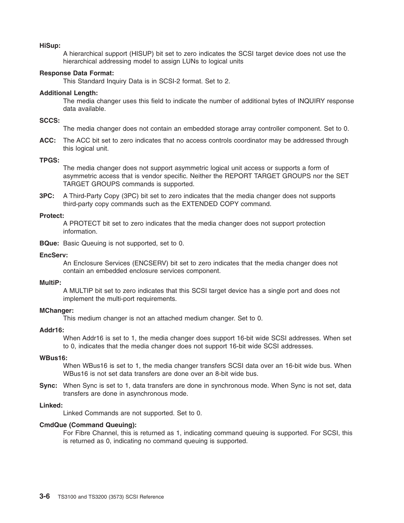## **HiSup:**

A hierarchical support (HISUP) bit set to zero indicates the SCSI target device does not use the hierarchical addressing model to assign LUNs to logical units

## **Response Data Format:**

This Standard Inquiry Data is in SCSI-2 format. Set to 2.

#### **Additional Length:**

The media changer uses this field to indicate the number of additional bytes of INQUIRY response data available.

#### **SCCS:**

The media changer does not contain an embedded storage array controller component. Set to 0.

**ACC:** The ACC bit set to zero indicates that no access controls coordinator may be addressed through this logical unit.

# **TPGS:**

The media changer does not support asymmetric logical unit access or supports a form of asymmetric access that is vendor specific. Neither the REPORT TARGET GROUPS nor the SET TARGET GROUPS commands is supported.

**3PC:** A Third-Party Copy (3PC) bit set to zero indicates that the media changer does not supports third-party copy commands such as the EXTENDED COPY command.

## **Protect:**

A PROTECT bit set to zero indicates that the media changer does not support protection information.

**BQue:** Basic Queuing is not supported, set to 0.

## **EncServ:**

An Enclosure Services (ENCSERV) bit set to zero indicates that the media changer does not contain an embedded enclosure services component.

## **MultiP:**

A MULTIP bit set to zero indicates that this SCSI target device has a single port and does not implement the multi-port requirements.

#### **MChanger:**

This medium changer is not an attached medium changer. Set to 0.

## **Addr16:**

When Addr16 is set to 1, the media changer does support 16-bit wide SCSI addresses. When set to 0, indicates that the media changer does not support 16-bit wide SCSI addresses.

#### **WBus16:**

When WBus16 is set to 1, the media changer transfers SCSI data over an 16-bit wide bus. When WBus16 is not set data transfers are done over an 8-bit wide bus.

**Sync:** When Sync is set to 1, data transfers are done in synchronous mode. When Sync is not set, data transfers are done in asynchronous mode.

## **Linked:**

Linked Commands are not supported. Set to 0.

## **CmdQue (Command Queuing):**

For Fibre Channel, this is returned as 1, indicating command queuing is supported. For SCSI, this is returned as 0, indicating no command queuing is supported.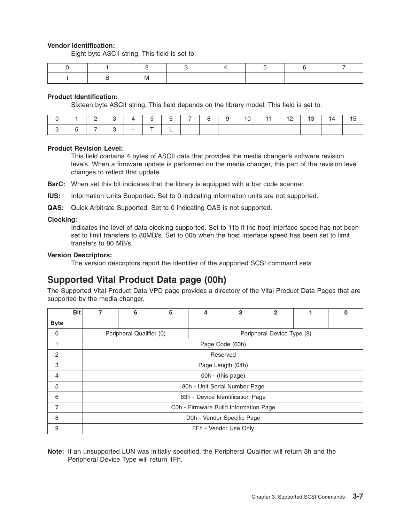# <span id="page-20-0"></span>**Vendor Identification:**

Eight byte ASCII string. This field is set to:

|  | - IVI |  |  |  |
|--|-------|--|--|--|

## **Product Identification:**

Sixteen byte ASCII string. This field depends on the library model. This field is set to:

|  |  |               |  | $\sqrt{7}$ | $\begin{array}{ccc} & & & \\ & & & & \\ \end{array}$ | $9 \mid$ | 10 |  | $12 \mid 13 \mid$ | 14 | . 15 |
|--|--|---------------|--|------------|------------------------------------------------------|----------|----|--|-------------------|----|------|
|  |  | and the state |  |            |                                                      |          |    |  |                   |    |      |

## **Product Revision Level:**

This field contains 4 bytes of ASCII data that provides the media changer's software revision levels. When a firmware update is performed on the media changer, this part of the revision level changes to reflect that update.

**BarC:** When set this bit indicates that the library is equipped with a bar code scanner.

**IUS:** Information Units Supported. Set to 0 indicating information units are not supported.

**QAS:** Quick Arbitrate Supported. Set to 0 indicating QAS is not supported.

## **Clocking:**

Indicates the level of data clocking supported. Set to 11b if the host interface speed has not been set to limit transfers to 80MB/s. Set to 00b when the host interface speed has been set to limit transfers to 80 MB/s.

## **Version Descriptors:**

The version descriptors report the identifier of the supported SCSI command sets.

# **Supported Vital Product Data page (00h)**

The Supported Vital Product Data VPD page provides a directory of the Vital Product Data Pages that are supported by the media changer.

|                | <b>Bit</b> | 7 | 6                                                      | 5 | 4                                     | 3 | $\mathbf{2}$ |  | 0 |  |  |  |
|----------------|------------|---|--------------------------------------------------------|---|---------------------------------------|---|--------------|--|---|--|--|--|
| <b>Byte</b>    |            |   |                                                        |   |                                       |   |              |  |   |  |  |  |
| 0              |            |   | Peripheral Qualifier (0)<br>Peripheral Device Type (8) |   |                                       |   |              |  |   |  |  |  |
|                |            |   | Page Code (00h)                                        |   |                                       |   |              |  |   |  |  |  |
| $\overline{c}$ |            |   | Reserved                                               |   |                                       |   |              |  |   |  |  |  |
| 3              |            |   | Page Length (04h)                                      |   |                                       |   |              |  |   |  |  |  |
| 4              |            |   |                                                        |   | 00h - (this page)                     |   |              |  |   |  |  |  |
| 5              |            |   |                                                        |   | 80h - Unit Serial Number Page         |   |              |  |   |  |  |  |
| 6              |            |   |                                                        |   | 83h - Device Identification Page      |   |              |  |   |  |  |  |
| 7              |            |   |                                                        |   | C0h - Firmware Build Information Page |   |              |  |   |  |  |  |
| 8              |            |   | D0h - Vendor Specific Page                             |   |                                       |   |              |  |   |  |  |  |
| 9              |            |   | FFh - Vendor Use Only                                  |   |                                       |   |              |  |   |  |  |  |

**Note:** If an unsupported LUN was initially specified, the Peripheral Qualifier will return 3h and the Peripheral Device Type will return 1Fh.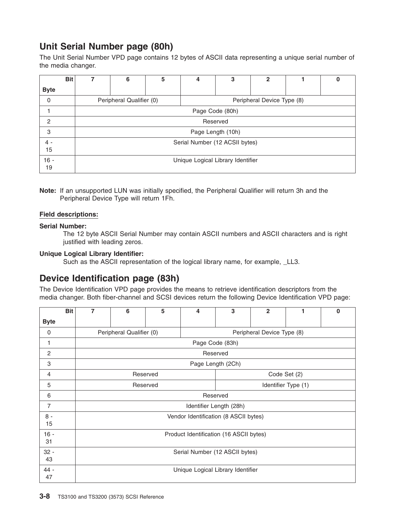# <span id="page-21-0"></span>**Unit Serial Number page (80h)**

The Unit Serial Number VPD page contains 12 bytes of ASCII data representing a unique serial number of the media changer.

| <b>Bit</b>     | 6                                                      | 5 | 4                 | 3 | 2 |  | υ |  |  |
|----------------|--------------------------------------------------------|---|-------------------|---|---|--|---|--|--|
| <b>Byte</b>    |                                                        |   |                   |   |   |  |   |  |  |
| $\mathbf 0$    | Peripheral Qualifier (0)<br>Peripheral Device Type (8) |   |                   |   |   |  |   |  |  |
|                | Page Code (80h)                                        |   |                   |   |   |  |   |  |  |
| $\overline{2}$ | Reserved                                               |   |                   |   |   |  |   |  |  |
| 3              |                                                        |   | Page Length (10h) |   |   |  |   |  |  |
| $4 -$<br>15    | Serial Number (12 ACSII bytes)                         |   |                   |   |   |  |   |  |  |
| $16 -$<br>19   | Unique Logical Library Identifier                      |   |                   |   |   |  |   |  |  |

**Note:** If an unsupported LUN was initially specified, the Peripheral Qualifier will return 3h and the Peripheral Device Type will return 1Fh.

# **Field descriptions:**

# **Serial Number:**

The 12 byte ASCII Serial Number may contain ASCII numbers and ASCII characters and is right justified with leading zeros.

# **Unique Logical Library Identifier:**

Such as the ASCII representation of the logical library name, for example, LL3.

# **Device Identification page (83h)**

The Device Identification VPD page provides the means to retrieve identification descriptors from the media changer. Both fiber-channel and SCSI devices return the following Device Identification VPD page:

|                | <b>Bit</b> | 7                                 | 6                              | 5 | 4                                       | 3                       | $\mathbf{2}$               | 1 | 0 |  |  |  |
|----------------|------------|-----------------------------------|--------------------------------|---|-----------------------------------------|-------------------------|----------------------------|---|---|--|--|--|
| <b>Byte</b>    |            |                                   |                                |   |                                         |                         |                            |   |   |  |  |  |
| 0              |            |                                   | Peripheral Qualifier (0)       |   |                                         |                         | Peripheral Device Type (8) |   |   |  |  |  |
| 1              |            |                                   |                                |   |                                         | Page Code (83h)         |                            |   |   |  |  |  |
| 2              |            |                                   | Reserved                       |   |                                         |                         |                            |   |   |  |  |  |
| 3              |            |                                   | Page Length (2Ch)              |   |                                         |                         |                            |   |   |  |  |  |
| 4              |            |                                   | Reserved<br>Code Set (2)       |   |                                         |                         |                            |   |   |  |  |  |
| 5              |            | Reserved<br>Identifier Type (1)   |                                |   |                                         |                         |                            |   |   |  |  |  |
| 6              |            |                                   |                                |   |                                         | Reserved                |                            |   |   |  |  |  |
| $\overline{7}$ |            |                                   |                                |   |                                         | Identifier Length (28h) |                            |   |   |  |  |  |
| $8 -$<br>15    |            |                                   |                                |   | Vendor Identification (8 ASCII bytes)   |                         |                            |   |   |  |  |  |
| $16 -$<br>31   |            |                                   |                                |   | Product Identification (16 ASCII bytes) |                         |                            |   |   |  |  |  |
| $32 -$<br>43   |            |                                   | Serial Number (12 ASCII bytes) |   |                                         |                         |                            |   |   |  |  |  |
| 44 -<br>47     |            | Unique Logical Library Identifier |                                |   |                                         |                         |                            |   |   |  |  |  |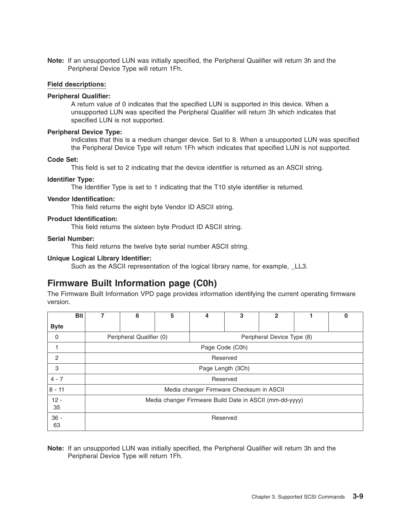<span id="page-22-0"></span>**Note:** If an unsupported LUN was initially specified, the Peripheral Qualifier will return 3h and the Peripheral Device Type will return 1Fh.

## **Field descriptions:**

## **Peripheral Qualifier:**

A return value of 0 indicates that the specified LUN is supported in this device. When a unsupported LUN was specified the Peripheral Qualifier will return 3h which indicates that specified LUN is not supported.

## **Peripheral Device Type:**

Indicates that this is a medium changer device. Set to 8. When a unsupported LUN was specified the Peripheral Device Type will return 1Fh which indicates that specified LUN is not supported.

## **Code Set:**

This field is set to 2 indicating that the device identifier is returned as an ASCII string.

#### **Identifier Type:**

The Identifier Type is set to 1 indicating that the T10 style identifier is returned.

### **Vendor Identification:**

This field returns the eight byte Vendor ID ASCII string.

#### **Product Identification:**

This field returns the sixteen byte Product ID ASCII string.

## **Serial Number:**

This field returns the twelve byte serial number ASCII string.

## **Unique Logical Library Identifier:**

Such as the ASCII representation of the logical library name, for example, LL3.

# **Firmware Built Information page (C0h)**

The Firmware Built Information VPD page provides information identifying the current operating firmware version.

| <b>Bit</b>   | 7 | 6                                                       | 5 | 4                                        | 3        | 2 |  | 0 |  |  |  |
|--------------|---|---------------------------------------------------------|---|------------------------------------------|----------|---|--|---|--|--|--|
| <b>Byte</b>  |   |                                                         |   |                                          |          |   |  |   |  |  |  |
| 0            |   | Peripheral Qualifier (0)                                |   | Peripheral Device Type (8)               |          |   |  |   |  |  |  |
|              |   | Page Code (C0h)                                         |   |                                          |          |   |  |   |  |  |  |
| 2            |   | Reserved                                                |   |                                          |          |   |  |   |  |  |  |
| 3            |   | Page Length (3Ch)                                       |   |                                          |          |   |  |   |  |  |  |
| $4 - 7$      |   |                                                         |   |                                          | Reserved |   |  |   |  |  |  |
| $ 8 - 11$    |   |                                                         |   | Media changer Firmware Checksum in ASCII |          |   |  |   |  |  |  |
| $12 -$<br>35 |   | Media changer Firmware Build Date in ASCII (mm-dd-yyyy) |   |                                          |          |   |  |   |  |  |  |
| $36 -$<br>63 |   | Reserved                                                |   |                                          |          |   |  |   |  |  |  |

**Note:** If an unsupported LUN was initially specified, the Peripheral Qualifier will return 3h and the Peripheral Device Type will return 1Fh.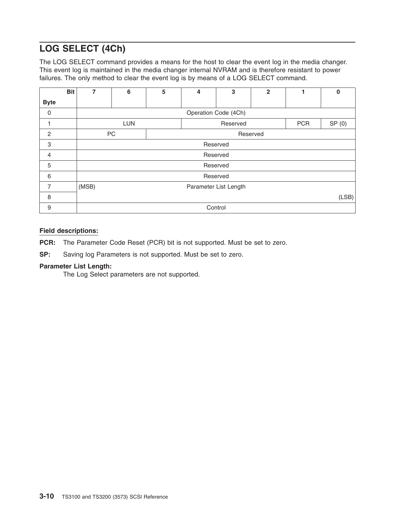# <span id="page-23-0"></span>**LOG SELECT (4Ch)**

The LOG SELECT command provides a means for the host to clear the event log in the media changer. This event log is maintained in the media changer internal NVRAM and is therefore resistant to power failures. The only method to clear the event log is by means of a LOG SELECT command.

|                | <b>Bit</b><br>7 | 6                     | 5 | 4 | 3                      | $\overline{2}$ |  | $\Omega$ |  |
|----------------|-----------------|-----------------------|---|---|------------------------|----------------|--|----------|--|
| <b>Byte</b>    |                 |                       |   |   |                        |                |  |          |  |
| $\mathbf 0$    |                 |                       |   |   | Operation Code (4Ch)   |                |  |          |  |
|                |                 | <b>LUN</b>            |   |   | <b>PCR</b><br>Reserved |                |  |          |  |
| $\overline{2}$ |                 | PC<br>Reserved        |   |   |                        |                |  |          |  |
| 3              |                 | Reserved              |   |   |                        |                |  |          |  |
| $\overline{4}$ |                 |                       |   |   | Reserved               |                |  |          |  |
| 5              |                 |                       |   |   | Reserved               |                |  |          |  |
| 6              |                 |                       |   |   | Reserved               |                |  |          |  |
| 7              | (MSB)           | Parameter List Length |   |   |                        |                |  |          |  |
| 8              |                 | (LSB)                 |   |   |                        |                |  |          |  |
| 9              |                 |                       |   |   | Control                |                |  |          |  |

# **Field descriptions:**

**PCR:** The Parameter Code Reset (PCR) bit is not supported. Must be set to zero.

**SP:** Saving log Parameters is not supported. Must be set to zero.

# **Parameter List Length:**

The Log Select parameters are not supported.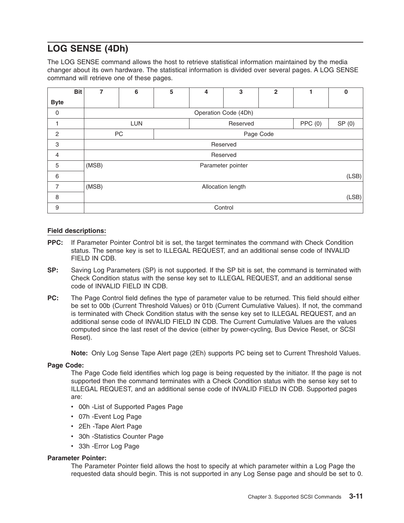# <span id="page-24-0"></span>**LOG SENSE (4Dh)**

The LOG SENSE command allows the host to retrieve statistical information maintained by the media changer about its own hardware. The statistical information is divided over several pages. A LOG SENSE command will retrieve one of these pages.

|                | <b>Bit</b> | 7     | 6                 | 5 | 4                  | 3                    | $\overline{2}$ |  | $\bf{0}$ |
|----------------|------------|-------|-------------------|---|--------------------|----------------------|----------------|--|----------|
| <b>Byte</b>    |            |       |                   |   |                    |                      |                |  |          |
| $\mathbf 0$    |            |       |                   |   |                    | Operation Code (4Dh) |                |  |          |
|                |            |       | <b>LUN</b>        |   | PPC(0)<br>Reserved |                      |                |  | SP(0)    |
| $\overline{c}$ |            |       | PC                |   |                    |                      | Page Code      |  |          |
| 3              |            |       |                   |   |                    | Reserved             |                |  |          |
| 4              |            |       |                   |   |                    | Reserved             |                |  |          |
| 5              |            | (MSB) |                   |   |                    | Parameter pointer    |                |  |          |
| 6              |            |       |                   |   |                    |                      |                |  | (LSB)    |
| 7              |            | (MSB) | Allocation length |   |                    |                      |                |  |          |
| 8              |            |       |                   |   |                    |                      |                |  | (LSB)    |
| 9              |            |       |                   |   |                    | Control              |                |  |          |

# **Field descriptions:**

- **PPC:** If Parameter Pointer Control bit is set, the target terminates the command with Check Condition status. The sense key is set to ILLEGAL REQUEST, and an additional sense code of INVALID FIELD IN CDB.
- **SP:** Saving Log Parameters (SP) is not supported. If the SP bit is set, the command is terminated with Check Condition status with the sense key set to ILLEGAL REQUEST, and an additional sense code of INVALID FIELD IN CDB.
- **PC:** The Page Control field defines the type of parameter value to be returned. This field should either be set to 00b (Current Threshold Values) or 01b (Current Cumulative Values). If not, the command is terminated with Check Condition status with the sense key set to ILLEGAL REQUEST, and an additional sense code of INVALID FIELD IN CDB. The Current Cumulative Values are the values computed since the last reset of the device (either by power-cycling, Bus Device Reset, or SCSI Reset).

**Note:** Only Log Sense Tape Alert page (2Eh) supports PC being set to Current Threshold Values.

# **Page Code:**

The Page Code field identifies which log page is being requested by the initiator. If the page is not supported then the command terminates with a Check Condition status with the sense key set to ILLEGAL REQUEST, and an additional sense code of INVALID FIELD IN CDB. Supported pages are:

- 00h List of Supported Pages Page
- 07h Event Log Page
- 2Eh -Tape Alert Page
- 30h -Statistics Counter Page
- 33h Error Log Page

# **Parameter Pointer:**

The Parameter Pointer field allows the host to specify at which parameter within a Log Page the requested data should begin. This is not supported in any Log Sense page and should be set to 0.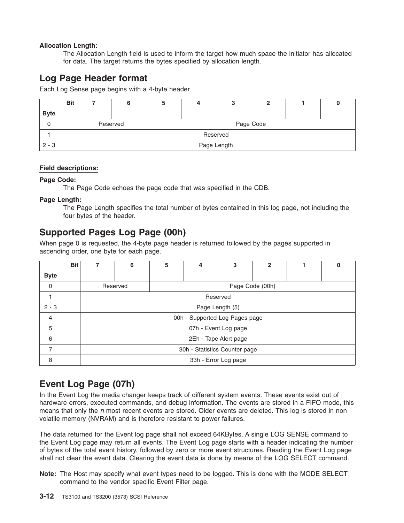# <span id="page-25-0"></span>**Allocation Length:**

The Allocation Length field is used to inform the target how much space the initiator has allocated for data. The target returns the bytes specified by allocation length.

# **Log Page Header format**

Each Log Sense page begins with a 4-byte header.

| <b>Bit</b>  |             |           |  |  |  |  |  |  |
|-------------|-------------|-----------|--|--|--|--|--|--|
| <b>Byte</b> |             |           |  |  |  |  |  |  |
|             | Reserved    | Page Code |  |  |  |  |  |  |
|             | Reserved    |           |  |  |  |  |  |  |
| $2 - 3$     | Page Length |           |  |  |  |  |  |  |

# **Field descriptions:**

## **Page Code:**

The Page Code echoes the page code that was specified in the CDB.

# **Page Length:**

The Page Length specifies the total number of bytes contained in this log page, not including the four bytes of the header.

# **Supported Pages Log Page (00h)**

When page 0 is requested, the 4-byte page header is returned followed by the pages supported in ascending order, one byte for each page.

|                | <b>Bit</b> |                               | 6                              | 5 | 4 | 3                    | $\mathbf{2}$ |  | O |  |
|----------------|------------|-------------------------------|--------------------------------|---|---|----------------------|--------------|--|---|--|
| <b>Byte</b>    |            |                               |                                |   |   |                      |              |  |   |  |
| $\mathbf 0$    |            |                               | Reserved                       |   |   | Page Code (00h)      |              |  |   |  |
|                |            |                               |                                |   |   | Reserved             |              |  |   |  |
| $2 - 3$        |            |                               | Page Length (5)                |   |   |                      |              |  |   |  |
| $\overline{4}$ |            |                               | 00h - Supported Log Pages page |   |   |                      |              |  |   |  |
| 5              |            |                               |                                |   |   | 07h - Event Log page |              |  |   |  |
| 6              |            |                               | 2Eh - Tape Alert page          |   |   |                      |              |  |   |  |
| $\overline{7}$ |            | 30h - Statistics Counter page |                                |   |   |                      |              |  |   |  |
| 8              |            |                               |                                |   |   | 33h - Error Log page |              |  |   |  |

# **Event Log Page (07h)**

In the Event Log the media changer keeps track of different system events. These events exist out of hardware errors, executed commands, and debug information. The events are stored in a FIFO mode, this means that only the *n* most recent events are stored. Older events are deleted. This log is stored in non volatile memory (NVRAM) and is therefore resistant to power failures.

The data returned for the Event log page shall not exceed 64KBytes. A single LOG SENSE command to the Event Log page may return all events. The Event Log page starts with a header indicating the number of bytes of the total event history, followed by zero or more event structures. Reading the Event Log page shall not clear the event data. Clearing the event data is done by means of the LOG SELECT command.

**Note:** The Host may specify what event types need to be logged. This is done with the MODE SELECT command to the vendor specific Event Filter page.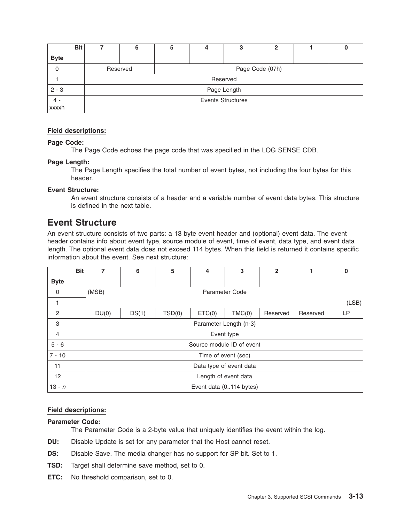<span id="page-26-0"></span>

| Bit            |                          | ວ | 4               | З | ≏ |  |  |  |  |
|----------------|--------------------------|---|-----------------|---|---|--|--|--|--|
| <b>Byte</b>    |                          |   |                 |   |   |  |  |  |  |
| 0              | Reserved                 |   | Page Code (07h) |   |   |  |  |  |  |
|                | Reserved                 |   |                 |   |   |  |  |  |  |
| $2 - 3$        | Page Length              |   |                 |   |   |  |  |  |  |
| $4 -$<br>xxxxh | <b>Events Structures</b> |   |                 |   |   |  |  |  |  |

# **Field descriptions:**

# **Page Code:**

The Page Code echoes the page code that was specified in the LOG SENSE CDB.

# **Page Length:**

The Page Length specifies the total number of event bytes, not including the four bytes for this header.

# **Event Structure:**

An event structure consists of a header and a variable number of event data bytes. This structure is defined in the next table.

# **Event Structure**

An event structure consists of two parts: a 13 byte event header and (optional) event data. The event header contains info about event type, source module of event, time of event, data type, and event data length. The optional event data does not exceed 114 bytes. When this field is returned it contains specific information about the event. See next structure:

| <b>Bit</b>     | 7     | 6                       | 5      | 4                         | 3                       | $\overline{2}$ |          | $\bf{0}$ |  |
|----------------|-------|-------------------------|--------|---------------------------|-------------------------|----------------|----------|----------|--|
| <b>Byte</b>    |       |                         |        |                           |                         |                |          |          |  |
| $\mathbf 0$    | (MSB) |                         |        |                           | <b>Parameter Code</b>   |                |          |          |  |
|                |       |                         |        |                           |                         |                |          | (LSB)    |  |
| $\overline{c}$ | DU(0) | DS(1)                   | TSD(0) | ETC(0)                    | TMC(0)                  | Reserved       | Reserved | LP       |  |
| 3              |       |                         |        |                           | Parameter Length (n-3)  |                |          |          |  |
| $\overline{4}$ |       | Event type              |        |                           |                         |                |          |          |  |
| $5 - 6$        |       |                         |        | Source module ID of event |                         |                |          |          |  |
| $7 - 10$       |       |                         |        | Time of event (sec)       |                         |                |          |          |  |
| 11             |       | Data type of event data |        |                           |                         |                |          |          |  |
| 12             |       | Length of event data    |        |                           |                         |                |          |          |  |
| $13 - n$       |       |                         |        |                           | Event data (0114 bytes) |                |          |          |  |

# **Field descriptions:**

# **Parameter Code:**

The Parameter Code is a 2-byte value that uniquely identifies the event within the log.

- **DU:** Disable Update is set for any parameter that the Host cannot reset.
- **DS:** Disable Save. The media changer has no support for SP bit. Set to 1.
- **TSD:** Target shall determine save method, set to 0.
- **ETC:** No threshold comparison, set to 0.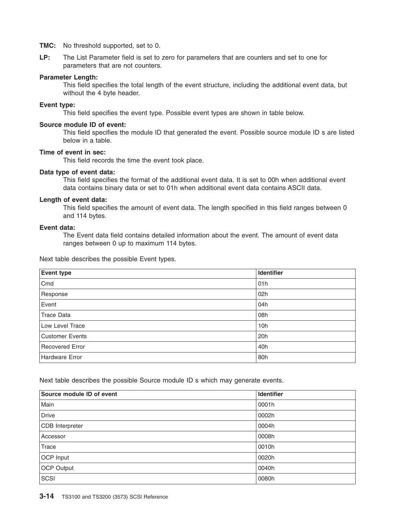**TMC:** No threshold supported, set to 0.

**LP:** The List Parameter field is set to zero for parameters that are counters and set to one for parameters that are not counters.

# **Parameter Length:**

This field specifies the total length of the event structure, including the additional event data, but without the 4 byte header.

## **Event type:**

This field specifies the event type. Possible event types are shown in table below.

## **Source module ID of event:**

This field specifies the module ID that generated the event. Possible source module ID s are listed below in a table.

# **Time of event in sec:**

This field records the time the event took place.

# **Data type of event data:**

This field specifies the format of the additional event data. It is set to 00h when additional event data contains binary data or set to 01h when additional event data contains ASCII data.

## **Length of event data:**

This field specifies the amount of event data. The length specified in this field ranges between 0 and 114 bytes.

## **Event data:**

The Event data field contains detailed information about the event. The amount of event data ranges between 0 up to maximum 114 bytes.

Next table describes the possible Event types.

| Event type             | Identifier |
|------------------------|------------|
| Cmd                    | 01h        |
| Response               | 02h        |
| Event                  | 04h        |
| Trace Data             | 08h        |
| Low Level Trace        | 10h        |
| <b>Customer Events</b> | 20h        |
| Recovered Error        | 40h        |
| Hardware Error         | 80h        |

Next table describes the possible Source module ID s which may generate events.

| Source module ID of event | Identifier |
|---------------------------|------------|
| Main                      | 0001h      |
| Drive                     | 0002h      |
| CDB Interpreter           | 0004h      |
| Accessor                  | 0008h      |
| Trace                     | 0010h      |
| OCP Input                 | 0020h      |
| <b>OCP Output</b>         | 0040h      |
| SCSI                      | 0080h      |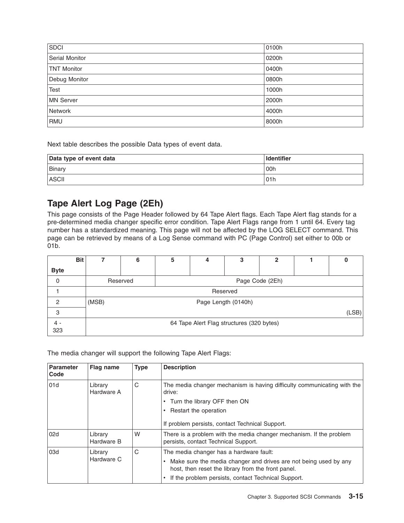<span id="page-28-0"></span>

| S <sub>DCI</sub>   | 0100h |
|--------------------|-------|
| Serial Monitor     | 0200h |
| <b>TNT Monitor</b> | 0400h |
| Debug Monitor      | 0800h |
| Test               | 1000h |
| MN Server          | 2000h |
| Network            | 4000h |
| RMU                | 8000h |

Next table describes the possible Data types of event data.

| Data type of event data | <b>Identifier</b> |
|-------------------------|-------------------|
| Binary                  | 00h               |
| <b>ASCII</b>            | 01h               |

# **Tape Alert Log Page (2Eh)**

This page consists of the Page Header followed by 64 Tape Alert flags. Each Tape Alert flag stands for a pre-determined media changer specific error condition. Tape Alert Flags range from 1 until 64. Every tag number has a standardized meaning. This page will not be affected by the LOG SELECT command. This page can be retrieved by means of a Log Sense command with PC (Page Control) set either to 00b or 01b.

|             | <b>Bit</b> |       | 6                           | 5 | 4                                         | 3 | $\mathbf 2$ |  | υ |  |
|-------------|------------|-------|-----------------------------|---|-------------------------------------------|---|-------------|--|---|--|
| <b>Byte</b> |            |       |                             |   |                                           |   |             |  |   |  |
| 0           |            |       | Page Code (2Eh)<br>Reserved |   |                                           |   |             |  |   |  |
|             |            |       | Reserved                    |   |                                           |   |             |  |   |  |
| 2           |            | (MSB) | Page Length (0140h)         |   |                                           |   |             |  |   |  |
| 3           |            |       | (LSB)                       |   |                                           |   |             |  |   |  |
| 323         |            |       |                             |   | 64 Tape Alert Flag structures (320 bytes) |   |             |  |   |  |

The media changer will support the following Tape Alert Flags:

| <b>Parameter</b><br>Code     | Flag name             | <b>Type</b> | <b>Description</b>                                                                                                     |
|------------------------------|-----------------------|-------------|------------------------------------------------------------------------------------------------------------------------|
| 01d<br>Library<br>Hardware A |                       | С           | The media changer mechanism is having difficulty communicating with the<br>drive:                                      |
|                              |                       |             | • Turn the library OFF then ON                                                                                         |
|                              |                       |             | • Restart the operation                                                                                                |
|                              |                       |             | If problem persists, contact Technical Support.                                                                        |
| 02d                          | Library<br>Hardware B | W           | There is a problem with the media changer mechanism. If the problem<br>persists, contact Technical Support.            |
| 03d                          | Library               | C           | The media changer has a hardware fault:                                                                                |
|                              | Hardware C            |             | Make sure the media changer and drives are not being used by any<br>host, then reset the library from the front panel. |
|                              |                       |             | • If the problem persists, contact Technical Support.                                                                  |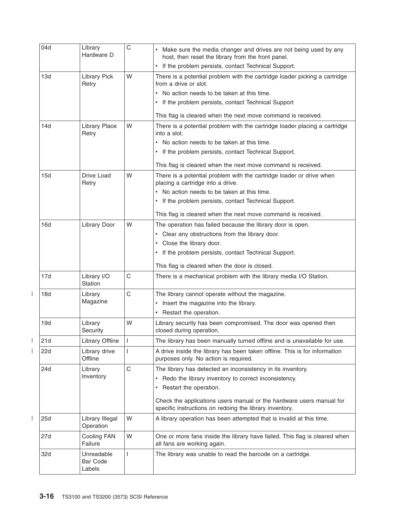| 04d | Library<br>Hardware D                   | C           | Make sure the media changer and drives are not being used by any<br>host, then reset the library from the front panel.          |
|-----|-----------------------------------------|-------------|---------------------------------------------------------------------------------------------------------------------------------|
|     |                                         |             | If the problem persists, contact Technical Support.                                                                             |
| 13d | <b>Library Pick</b><br>Retry            | W           | There is a potential problem with the cartridge loader picking a cartridge<br>from a drive or slot.                             |
|     |                                         |             | No action needs to be taken at this time.                                                                                       |
|     |                                         |             | If the problem persists, contact Technical Support                                                                              |
|     |                                         |             | This flag is cleared when the next move command is received.                                                                    |
| 14d | <b>Library Place</b><br>Retry           | W           | There is a potential problem with the cartridge loader placing a cartridge<br>into a slot.                                      |
|     |                                         |             | • No action needs to be taken at this time.                                                                                     |
|     |                                         |             | • If the problem persists, contact Technical Support.                                                                           |
|     |                                         |             | This flag is cleared when the next move command is received.                                                                    |
| 15d | Drive Load<br>Retry                     | W           | There is a potential problem with the cartridge loader or drive when<br>placing a cartridge into a drive.                       |
|     |                                         |             | No action needs to be taken at this time.                                                                                       |
|     |                                         |             | If the problem persists, contact Technical Support.<br>$\bullet$                                                                |
|     |                                         |             | This flag is cleared when the next move command is received.                                                                    |
| 16d | Library Door                            | W           | The operation has failed because the library door is open.                                                                      |
|     |                                         |             | • Clear any obstructions from the library door.                                                                                 |
|     |                                         |             | Close the library door.                                                                                                         |
|     |                                         |             | If the problem persists, contact Technical Support.                                                                             |
|     |                                         |             | This flag is cleared when the door is closed.                                                                                   |
| 17d | Library I/O<br><b>Station</b>           | C           | There is a mechanical problem with the library media I/O Station.                                                               |
| 18d | Library                                 | C           | The library cannot operate without the magazine.                                                                                |
|     | Magazine                                |             | Insert the magazine into the library.<br>٠                                                                                      |
|     |                                         |             | Restart the operation.<br>٠                                                                                                     |
| 19d | Library<br>Security                     | W           | Library security has been compromised. The door was opened then<br>closed during operation.                                     |
| 21d | Library Offline                         | J.          | The library has been manually turned offline and is unavailable for use.                                                        |
| 22d | Library drive<br>Offline                |             | A drive inside the library has been taken offline. This is for information<br>purposes only. No action is required.             |
| 24d | Library                                 | $\mathsf C$ | The library has detected an inconsistency in its inventory.                                                                     |
|     | Inventory                               |             | Redo the library inventory to correct inconsistency.<br>٠                                                                       |
|     |                                         |             | Restart the operation.<br>$\bullet$                                                                                             |
|     |                                         |             | Check the applications users manual or the hardware users manual for<br>specific instructions on redoing the library inventory. |
| 25d | Library Illegal<br>Operation            | W           | A library operation has been attempted that is invalid at this time.                                                            |
| 27d | Cooling FAN<br>Failure                  | W           | One or more fans inside the library have failed. This flag is cleared when<br>all fans are working again.                       |
| 32d | Unreadable<br><b>Bar Code</b><br>Labels | L           | The library was unable to read the barcode on a cartridge.                                                                      |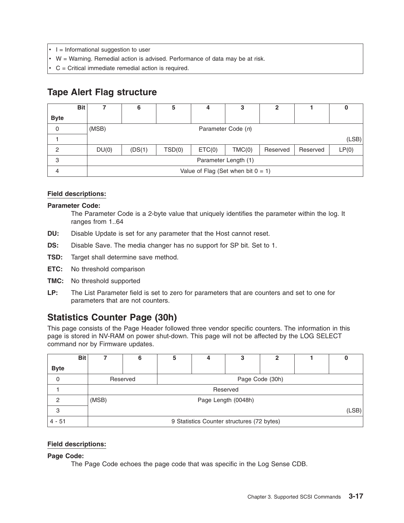- <span id="page-30-0"></span> $\cdot$  I = Informational suggestion to user
- $\cdot$  W = Warning. Remedial action is advised. Performance of data may be at risk.
- $\cdot$  C = Critical immediate remedial action is required.

# **Tape Alert Flag structure**

|             | <b>Bit</b> |                                       | 6                  | 5      |        | 3      | 2        |          | υ     |
|-------------|------------|---------------------------------------|--------------------|--------|--------|--------|----------|----------|-------|
| <b>Byte</b> |            |                                       |                    |        |        |        |          |          |       |
| 0           |            | (MSB)                                 | Parameter Code (n) |        |        |        |          |          |       |
|             |            |                                       |                    |        |        |        |          |          | (LSB) |
| 2           |            | DU(0)                                 | (DS(1))            | TSD(0) | ETC(0) | TMC(0) | Reserved | Reserved | LP(0) |
| 3           |            | Parameter Length (1)                  |                    |        |        |        |          |          |       |
| 4           |            | Value of Flag (Set when bit $0 = 1$ ) |                    |        |        |        |          |          |       |

# **Field descriptions:**

## **Parameter Code:**

The Parameter Code is a 2-byte value that uniquely identifies the parameter within the log. It ranges from 1..64

- **DU:** Disable Update is set for any parameter that the Host cannot reset.
- **DS:** Disable Save. The media changer has no support for SP bit. Set to 1.
- **TSD:** Target shall determine save method.
- **ETC:** No threshold comparison
- **TMC:** No threshold supported
- **LP:** The List Parameter field is set to zero for parameters that are counters and set to one for parameters that are not counters.

# **Statistics Counter Page (30h)**

This page consists of the Page Header followed three vendor specific counters. The information in this page is stored in NV-RAM on power shut-down. This page will not be affected by the LOG SELECT command nor by Firmware updates.

|             | <b>Bit</b> |                                            | 6        | 5               |  | 3 | 2 |  |  |  |
|-------------|------------|--------------------------------------------|----------|-----------------|--|---|---|--|--|--|
| <b>Byte</b> |            |                                            |          |                 |  |   |   |  |  |  |
| 0           |            |                                            | Reserved | Page Code (30h) |  |   |   |  |  |  |
|             |            |                                            | Reserved |                 |  |   |   |  |  |  |
| 2           |            | (MSB)<br>Page Length (0048h)               |          |                 |  |   |   |  |  |  |
| 3           |            | (LSB)                                      |          |                 |  |   |   |  |  |  |
| $4 - 51$    |            | 9 Statistics Counter structures (72 bytes) |          |                 |  |   |   |  |  |  |

# **Field descriptions:**

**Page Code:**

The Page Code echoes the page code that was specific in the Log Sense CDB.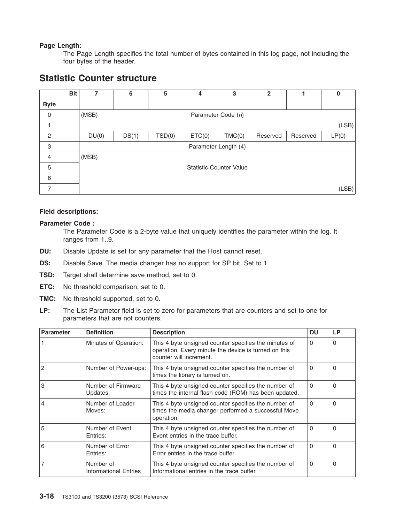# <span id="page-31-0"></span>**Page Length:**

The Page Length specifies the total number of bytes contained in this log page, not including the four bytes of the header.

# **Statistic Counter structure**

|                | <b>Bit</b><br>7 | 6     | 5      | 4      | 3                              | 2        |          | 0     |
|----------------|-----------------|-------|--------|--------|--------------------------------|----------|----------|-------|
| <b>Byte</b>    |                 |       |        |        |                                |          |          |       |
| $\mathbf 0$    | (MSB)           |       |        |        | Parameter Code (n)             |          |          |       |
|                |                 |       |        |        |                                |          |          | (LSB) |
| 2              | DU(0)           | DS(1) | TSD(0) | ETC(0) | TMC(0)                         | Reserved | Reserved | LP(0) |
| 3              |                 |       |        |        | Parameter Length (4)           |          |          |       |
| $\overline{4}$ | (MSB)           |       |        |        |                                |          |          |       |
| 5              |                 |       |        |        | <b>Statistic Counter Value</b> |          |          |       |
| 6              |                 |       |        |        |                                |          |          |       |
| 7              |                 |       |        |        |                                |          |          | (LSB) |

# **Field descriptions:**

## **Parameter Code :**

The Parameter Code is a 2-byte value that uniquely identifies the parameter within the log. It ranges from 1..9.

- **DU:** Disable Update is set for any parameter that the Host cannot reset.
- **DS:** Disable Save. The media changer has no support for SP bit. Set to 1.
- **TSD:** Target shall determine save method, set to 0.
- **ETC:** No threshold comparison, set to 0.
- **TMC:** No threshold supported, set to 0.
- **LP:** The List Parameter field is set to zero for parameters that are counters and set to one for parameters that are not counters.

| Parameter      | <b>Definition</b>                  | <b>Description</b>                                                                                                                       | DU       | <b>LP</b> |
|----------------|------------------------------------|------------------------------------------------------------------------------------------------------------------------------------------|----------|-----------|
|                | Minutes of Operation:              | This 4 byte unsigned counter specifies the minutes of<br>operation. Every minute the device is turned on this<br>counter will increment. | 0        | $\Omega$  |
| $\overline{2}$ | Number of Power-ups:               | This 4 byte unsigned counter specifies the number of<br>times the library is turned on.                                                  | 0        | $\Omega$  |
| 3              | Number of Firmware<br>Updates:     | This 4 byte unsigned counter specifies the number of<br>times the internal flash code (ROM) has been updated.                            | $\Omega$ | $\Omega$  |
| $\overline{4}$ | Number of Loader<br>Moves:         | This 4 byte unsigned counter specifies the number of<br>times the media changer performed a successful Move<br>operation.                | 0        | $\Omega$  |
| 5              | Number of Event<br>Entries:        | This 4 byte unsigned counter specifies the number of<br>Event entries in the trace buffer.                                               | $\Omega$ | $\Omega$  |
| 6              | Number of Error<br>Entries:        | This 4 byte unsigned counter specifies the number of<br>Error entries in the trace buffer.                                               | $\Omega$ | $\Omega$  |
| $\overline{7}$ | Number of<br>Informational Entries | This 4 byte unsigned counter specifies the number of<br>Informational entries in the trace buffer.                                       | $\Omega$ | $\Omega$  |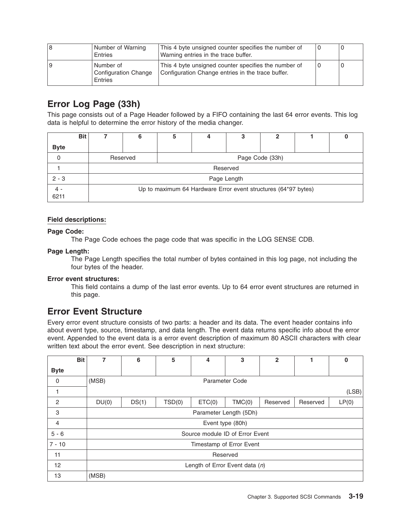<span id="page-32-0"></span>

| 18 | Number of Warning<br><b>Entries</b>          | This 4 byte unsigned counter specifies the number of<br>Warning entries in the trace buffer.              |  |
|----|----------------------------------------------|-----------------------------------------------------------------------------------------------------------|--|
| 19 | Number of<br>Configuration Change<br>Entries | This 4 byte unsigned counter specifies the number of<br>Configuration Change entries in the trace buffer. |  |

# **Error Log Page (33h)**

This page consists out of a Page Header followed by a FIFO containing the last 64 error events. This log data is helpful to determine the error history of the media changer.

| <b>Bit</b>  | 6                                                              | 5               |             |  | כי |  |  |  |
|-------------|----------------------------------------------------------------|-----------------|-------------|--|----|--|--|--|
| <b>Byte</b> |                                                                |                 |             |  |    |  |  |  |
|             | Reserved                                                       | Page Code (33h) |             |  |    |  |  |  |
|             | Reserved                                                       |                 |             |  |    |  |  |  |
| $2 - 3$     |                                                                |                 | Page Length |  |    |  |  |  |
| 6211        | Up to maximum 64 Hardware Error event structures (64*97 bytes) |                 |             |  |    |  |  |  |

# **Field descriptions:**

# **Page Code:**

The Page Code echoes the page code that was specific in the LOG SENSE CDB.

# **Page Length:**

The Page Length specifies the total number of bytes contained in this log page, not including the four bytes of the header.

# **Error event structures:**

This field contains a dump of the last error events. Up to 64 error event structures are returned in this page.

# **Error Event Structure**

Every error event structure consists of two parts: a header and its data. The event header contains info about event type, source, timestamp, and data length. The event data returns specific info about the error event. Appended to the event data is a error event description of maximum 80 ASCII characters with clear written text about the error event. See description in next structure:

| <b>Bit</b>     | 7     | 6                                | 5      | 4                               | 3                | $\mathbf{2}$ |          | 0     |
|----------------|-------|----------------------------------|--------|---------------------------------|------------------|--------------|----------|-------|
| <b>Byte</b>    |       |                                  |        |                                 |                  |              |          |       |
| 0              | (MSB) |                                  |        |                                 | Parameter Code   |              |          |       |
|                |       |                                  |        |                                 |                  |              |          | (LSB) |
| 2              | DU(0) | DS(1)                            | TSD(0) | ETC(0)                          | TMC(0)           | Reserved     | Reserved | LP(0) |
| 3              |       |                                  |        | Parameter Length (5Dh)          |                  |              |          |       |
| $\overline{4}$ |       |                                  |        |                                 | Event type (80h) |              |          |       |
| $5 - 6$        |       |                                  |        | Source module ID of Error Event |                  |              |          |       |
| $7 - 10$       |       |                                  |        | Timestamp of Error Event        |                  |              |          |       |
| 11             |       | Reserved                         |        |                                 |                  |              |          |       |
| 12             |       | Length of Error Event data $(n)$ |        |                                 |                  |              |          |       |
| 13             | (MSB) |                                  |        |                                 |                  |              |          |       |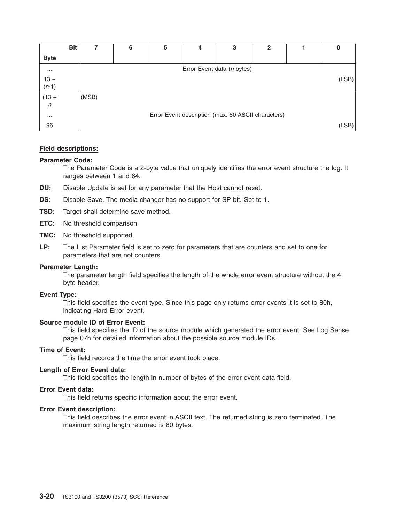|                   | <b>Bit</b> |       | 6 | 5 | 4                                                  | 3 | $\mathbf{2}$ | 0     |
|-------------------|------------|-------|---|---|----------------------------------------------------|---|--------------|-------|
| <b>Byte</b>       |            |       |   |   |                                                    |   |              |       |
| $\cdots$          |            |       |   |   | Error Event data (n bytes)                         |   |              |       |
| $13 +$<br>$(n-1)$ |            |       |   |   |                                                    |   |              | (LSB) |
| $(13 +$           |            | (MSB) |   |   |                                                    |   |              |       |
| $\mathsf{n}$      |            |       |   |   |                                                    |   |              |       |
| $\cdots$          |            |       |   |   | Error Event description (max. 80 ASCII characters) |   |              |       |
| 96                |            |       |   |   |                                                    |   |              | (LSB) |

# **Field descriptions:**

## **Parameter Code:**

The Parameter Code is a 2-byte value that uniquely identifies the error event structure the log. It ranges between 1 and 64.

- **DU:** Disable Update is set for any parameter that the Host cannot reset.
- **DS:** Disable Save. The media changer has no support for SP bit. Set to 1.
- **TSD:** Target shall determine save method.
- **ETC:** No threshold comparison
- **TMC:** No threshold supported
- **LP:** The List Parameter field is set to zero for parameters that are counters and set to one for parameters that are not counters.

## **Parameter Length:**

The parameter length field specifies the length of the whole error event structure without the 4 byte header.

## **Event Type:**

This field specifies the event type. Since this page only returns error events it is set to 80h, indicating Hard Error event.

## **Source module ID of Error Event:**

This field specifies the ID of the source module which generated the error event. See Log Sense page 07h for detailed information about the possible source module IDs.

## **Time of Event:**

This field records the time the error event took place.

# **Length of Error Event data:**

This field specifies the length in number of bytes of the error event data field.

## **Error Event data:**

This field returns specific information about the error event.

#### **Error Event description:**

This field describes the error event in ASCII text. The returned string is zero terminated. The maximum string length returned is 80 bytes.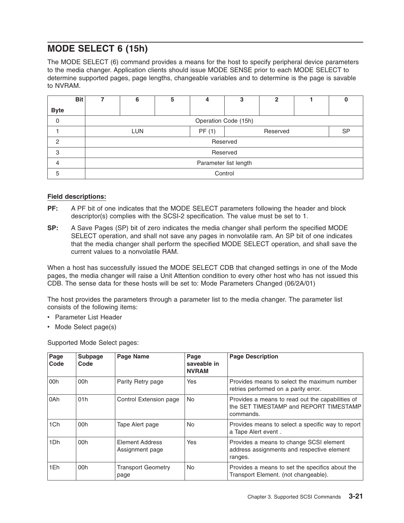# <span id="page-34-0"></span>**MODE SELECT 6 (15h)**

The MODE SELECT (6) command provides a means for the host to specify peripheral device parameters to the media changer. Application clients should issue MODE SENSE prior to each MODE SELECT to determine supported pages, page lengths, changeable variables and to determine is the page is savable to NVRAM.

|               | <b>Bit</b> |                       | 6                    | 5 | 4        | 3        | 2 |  |           |  |  |
|---------------|------------|-----------------------|----------------------|---|----------|----------|---|--|-----------|--|--|
| <b>Byte</b>   |            |                       |                      |   |          |          |   |  |           |  |  |
| $\mathbf 0$   |            |                       | Operation Code (15h) |   |          |          |   |  |           |  |  |
|               |            |                       | <b>LUN</b>           |   | PF(1)    | Reserved |   |  | <b>SP</b> |  |  |
| $\mathcal{P}$ |            |                       |                      |   | Reserved |          |   |  |           |  |  |
| 3             |            |                       |                      |   |          | Reserved |   |  |           |  |  |
| 4             |            | Parameter list length |                      |   |          |          |   |  |           |  |  |
| 5             |            |                       |                      |   | Control  |          |   |  |           |  |  |

# **Field descriptions:**

- **PF:** A PF bit of one indicates that the MODE SELECT parameters following the header and block descriptor(s) complies with the SCSI-2 specification. The value must be set to 1.
- **SP:** A Save Pages (SP) bit of zero indicates the media changer shall perform the specified MODE SELECT operation, and shall not save any pages in nonvolatile ram. An SP bit of one indicates that the media changer shall perform the specified MODE SELECT operation, and shall save the current values to a nonvolatile RAM.

When a host has successfully issued the MODE SELECT CDB that changed settings in one of the Mode pages, the media changer will raise a Unit Attention condition to every other host who has not issued this CDB. The sense data for these hosts will be set to: Mode Parameters Changed (06/2A/01)

The host provides the parameters through a parameter list to the media changer. The parameter list consists of the following items:

- Parameter List Header
- Mode Select page(s)

Supported Mode Select pages:

| Page<br>Code | <b>Subpage</b><br>Code | Page Name                          | Page<br>saveable in<br><b>NVRAM</b> | <b>Page Description</b>                                                                                 |
|--------------|------------------------|------------------------------------|-------------------------------------|---------------------------------------------------------------------------------------------------------|
| 00h          | 00h                    | Parity Retry page                  | Yes                                 | Provides means to select the maximum number<br>retries performed on a parity error.                     |
| l0Ah         | 01h                    | Control Extension page             | No.                                 | Provides a means to read out the capabilities of<br>the SET TIMESTAMP and REPORT TIMESTAMP<br>commands. |
| 1Ch          | 00h                    | Tape Alert page                    | No                                  | Provides means to select a specific way to report<br>a Tape Alert event.                                |
| 1Dh          | 00h                    | Element Address<br>Assignment page | Yes                                 | Provides a means to change SCSI element<br>address assignments and respective element<br>ranges.        |
| 1Eh          | 00h                    | <b>Transport Geometry</b><br>page  | <b>No</b>                           | Provides a means to set the specifics about the<br>Transport Element. (not changeable).                 |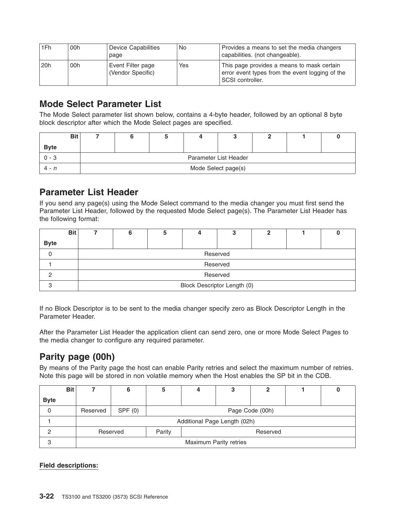<span id="page-35-0"></span>

| 1Fh | 00h | Device Capabilities<br>page            | No  | Provides a means to set the media changers<br>capabilities. (not changeable).                                     |
|-----|-----|----------------------------------------|-----|-------------------------------------------------------------------------------------------------------------------|
| 20h | 00h | Event Filter page<br>(Vendor Specific) | Yes | This page provides a means to mask certain<br>error event types from the event logging of the<br>SCSI controller. |

# **Mode Select Parameter List**

The Mode Select parameter list shown below, contains a 4-byte header, followed by an optional 8 byte block descriptor after which the Mode Select pages are specified.

| <b>Bit</b>  |                     |                       |  |  |  |  |  |  |
|-------------|---------------------|-----------------------|--|--|--|--|--|--|
| <b>Byte</b> |                     |                       |  |  |  |  |  |  |
| $0 - 3$     |                     | Parameter List Header |  |  |  |  |  |  |
| $4 - n$     | Mode Select page(s) |                       |  |  |  |  |  |  |

# **Parameter List Header**

If you send any page(s) using the Mode Select command to the media changer you must first send the Parameter List Header, followed by the requested Mode Select page(s). The Parameter List Header has the following format:

|             | <b>Bit</b> |                             |  |  |  |  |  |  |  |  |
|-------------|------------|-----------------------------|--|--|--|--|--|--|--|--|
| <b>Byte</b> |            |                             |  |  |  |  |  |  |  |  |
|             |            | Reserved                    |  |  |  |  |  |  |  |  |
|             |            | Reserved                    |  |  |  |  |  |  |  |  |
|             |            | Reserved                    |  |  |  |  |  |  |  |  |
|             |            | Block Descriptor Length (0) |  |  |  |  |  |  |  |  |

If no Block Descriptor is to be sent to the media changer specify zero as Block Descriptor Length in the Parameter Header.

After the Parameter List Header the application client can send zero, one or more Mode Select Pages to the media changer to configure any required parameter.

# **Parity page (00h)**

By means of the Parity page the host can enable Parity retries and select the maximum number of retries. Note this page will be stored in non volatile memory when the Host enables the SP bit in the CDB.

|             | <b>Bit</b> |                              |        |                 |          |  |  |  |  |  |
|-------------|------------|------------------------------|--------|-----------------|----------|--|--|--|--|--|
| <b>Byte</b> |            |                              |        |                 |          |  |  |  |  |  |
| 0           |            | Reserved                     | SPF(0) | Page Code (00h) |          |  |  |  |  |  |
|             |            | Additional Page Length (02h) |        |                 |          |  |  |  |  |  |
|             |            | Reserved                     |        | Parity          | Reserved |  |  |  |  |  |
| 3           |            | Maximum Parity retries       |        |                 |          |  |  |  |  |  |

**Field descriptions:**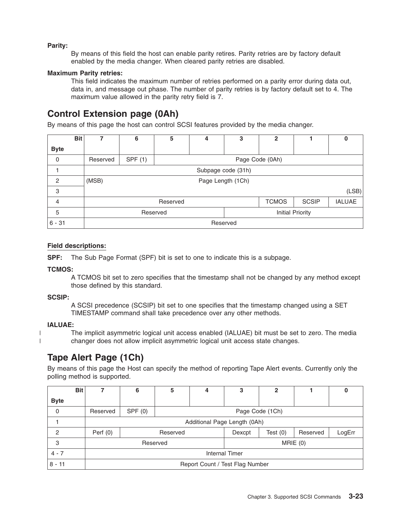### **Parity:**

By means of this field the host can enable parity retires. Parity retries are by factory default enabled by the media changer. When cleared parity retries are disabled.

#### **Maximum Parity retries:**

This field indicates the maximum number of retries performed on a parity error during data out, data in, and message out phase. The number of parity retries is by factory default set to 4. The maximum value allowed in the parity retry field is 7.

# **Control Extension page (0Ah)**

By means of this page the host can control SCSI features provided by the media changer.

|                | <b>Bit</b> | 7                          | 6       | 5        | 4               | 3                | $\mathbf{2}$ |              | 0             |  |  |
|----------------|------------|----------------------------|---------|----------|-----------------|------------------|--------------|--------------|---------------|--|--|
| <b>Byte</b>    |            |                            |         |          |                 |                  |              |              |               |  |  |
| $\mathbf 0$    |            | Reserved                   | SPF (1) |          | Page Code (0Ah) |                  |              |              |               |  |  |
|                |            | Subpage code (31h)         |         |          |                 |                  |              |              |               |  |  |
| $\overline{c}$ |            | (MSB)<br>Page Length (1Ch) |         |          |                 |                  |              |              |               |  |  |
| 3              |            |                            | (LSB)   |          |                 |                  |              |              |               |  |  |
| 4              |            | Reserved                   |         |          |                 |                  | <b>TCMOS</b> | <b>SCSIP</b> | <b>IALUAE</b> |  |  |
| 5              |            |                            |         | Reserved |                 | Initial Priority |              |              |               |  |  |
| $6 - 31$       |            | Reserved                   |         |          |                 |                  |              |              |               |  |  |

#### **Field descriptions:**

**SPF:** The Sub Page Format (SPF) bit is set to one to indicate this is a subpage.

#### **TCMOS:**

A TCMOS bit set to zero specifies that the timestamp shall not be changed by any method except those defined by this standard.

#### **SCSIP:**

A SCSI precedence (SCSIP) bit set to one specifies that the timestamp changed using a SET TIMESTAMP command shall take precedence over any other methods.

#### **IALUAE:**

| | The implicit asymmetric logical unit access enabled (IALUAE) bit must be set to zero. The media changer does not allow implicit asymmetric logical unit access state changes.

# **Tape Alert Page (1Ch)**

By means of this page the Host can specify the method of reporting Tape Alert events. Currently only the polling method is supported.

| <b>Bit</b>  |            | 6                               | 5        |                 | 3       | 2          |          | υ      |  |
|-------------|------------|---------------------------------|----------|-----------------|---------|------------|----------|--------|--|
| <b>Byte</b> |            |                                 |          |                 |         |            |          |        |  |
| 0           | Reserved   | SPF(0)                          |          | Page Code (1Ch) |         |            |          |        |  |
|             |            | Additional Page Length (0Ah)    |          |                 |         |            |          |        |  |
| 2           | Perf $(0)$ |                                 | Reserved |                 |         | Test $(0)$ | Reserved | LogErr |  |
| 3           |            |                                 | Reserved |                 | MRIE(0) |            |          |        |  |
| $4 - 7$     |            | <b>Internal Timer</b>           |          |                 |         |            |          |        |  |
| $8 - 11$    |            | Report Count / Test Flag Number |          |                 |         |            |          |        |  |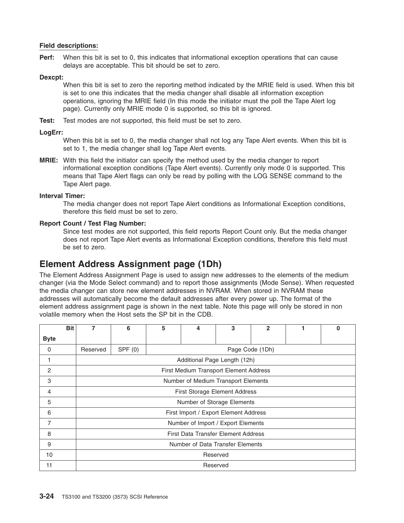**Perf:** When this bit is set to 0, this indicates that informational exception operations that can cause delays are acceptable. This bit should be set to zero.

#### **Dexcpt:**

When this bit is set to zero the reporting method indicated by the MRIE field is used. When this bit is set to one this indicates that the media changer shall disable all information exception operations, ignoring the MRIE field (In this mode the initiator must the poll the Tape Alert log page). Currently only MRIE mode 0 is supported, so this bit is ignored.

**Test:** Test modes are not supported, this field must be set to zero.

#### **LogErr:**

When this bit is set to 0, the media changer shall not log any Tape Alert events. When this bit is set to 1, the media changer shall log Tape Alert events.

**MRIE:** With this field the initiator can specify the method used by the media changer to report informational exception conditions (Tape Alert events). Currently only mode 0 is supported. This means that Tape Alert flags can only be read by polling with the LOG SENSE command to the Tape Alert page.

#### **Interval Timer:**

The media changer does not report Tape Alert conditions as Informational Exception conditions, therefore this field must be set to zero.

#### **Report Count / Test Flag Number:**

Since test modes are not supported, this field reports Report Count only. But the media changer does not report Tape Alert events as Informational Exception conditions, therefore this field must be set to zero.

# **Element Address Assignment page (1Dh)**

The Element Address Assignment Page is used to assign new addresses to the elements of the medium changer (via the Mode Select command) and to report those assignments (Mode Sense). When requested the media changer can store new element addresses in NVRAM. When stored in NVRAM these addresses will automatically become the default addresses after every power up. The format of the element address assignment page is shown in the next table. Note this page will only be stored in non volatile memory when the Host sets the SP bit in the CDB.

|             | <b>Bit</b> | 7        | 6                                      | 5 | 4                                     | 3        | $\overline{2}$  |  | $\bf{0}$ |  |  |
|-------------|------------|----------|----------------------------------------|---|---------------------------------------|----------|-----------------|--|----------|--|--|
| <b>Byte</b> |            |          |                                        |   |                                       |          |                 |  |          |  |  |
| 0           |            | Reserved | SPF(0)                                 |   |                                       |          | Page Code (1Dh) |  |          |  |  |
| 1           |            |          | Additional Page Length (12h)           |   |                                       |          |                 |  |          |  |  |
| 2           |            |          | First Medium Transport Element Address |   |                                       |          |                 |  |          |  |  |
| 3           |            |          | Number of Medium Transport Elements    |   |                                       |          |                 |  |          |  |  |
| 4           |            |          | <b>First Storage Element Address</b>   |   |                                       |          |                 |  |          |  |  |
| 5           |            |          | Number of Storage Elements             |   |                                       |          |                 |  |          |  |  |
| 6           |            |          |                                        |   | First Import / Export Element Address |          |                 |  |          |  |  |
| 7           |            |          |                                        |   | Number of Import / Export Elements    |          |                 |  |          |  |  |
| 8           |            |          |                                        |   | First Data Transfer Element Address   |          |                 |  |          |  |  |
| 9           |            |          | Number of Data Transfer Elements       |   |                                       |          |                 |  |          |  |  |
| 10          |            |          | Reserved                               |   |                                       |          |                 |  |          |  |  |
| 11          |            |          |                                        |   |                                       | Reserved |                 |  |          |  |  |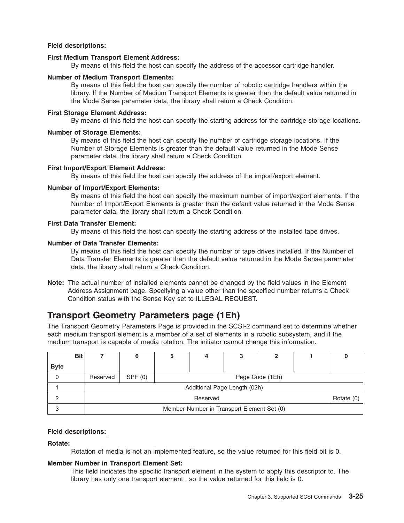#### **First Medium Transport Element Address:**

By means of this field the host can specify the address of the accessor cartridge handler.

#### **Number of Medium Transport Elements:**

By means of this field the host can specify the number of robotic cartridge handlers within the library. If the Number of Medium Transport Elements is greater than the default value returned in the Mode Sense parameter data, the library shall return a Check Condition.

#### **First Storage Element Address:**

By means of this field the host can specify the starting address for the cartridge storage locations.

#### **Number of Storage Elements:**

By means of this field the host can specify the number of cartridge storage locations. If the Number of Storage Elements is greater than the default value returned in the Mode Sense parameter data, the library shall return a Check Condition.

#### **First Import/Export Element Address:**

By means of this field the host can specify the address of the import/export element.

#### **Number of Import/Export Elements:**

By means of this field the host can specify the maximum number of import/export elements. If the Number of Import/Export Elements is greater than the default value returned in the Mode Sense parameter data, the library shall return a Check Condition.

#### **First Data Transfer Element:**

By means of this field the host can specify the starting address of the installed tape drives.

#### **Number of Data Transfer Elements:**

By means of this field the host can specify the number of tape drives installed. If the Number of Data Transfer Elements is greater than the default value returned in the Mode Sense parameter data, the library shall return a Check Condition.

**Note:** The actual number of installed elements cannot be changed by the field values in the Element Address Assignment page. Specifying a value other than the specified number returns a Check Condition status with the Sense Key set to ILLEGAL REQUEST.

### **Transport Geometry Parameters page (1Eh)**

The Transport Geometry Parameters Page is provided in the SCSI-2 command set to determine whether each medium transport element is a member of a set of elements in a robotic subsystem, and if the medium transport is capable of media rotation. The initiator cannot change this information.

|             | <b>Bit</b> |                                            |                          |                 |  |  |  |  |  |  |
|-------------|------------|--------------------------------------------|--------------------------|-----------------|--|--|--|--|--|--|
| <b>Byte</b> |            |                                            |                          |                 |  |  |  |  |  |  |
|             |            | Reserved                                   | SPF(0)                   | Page Code (1Eh) |  |  |  |  |  |  |
|             |            | Additional Page Length (02h)               |                          |                 |  |  |  |  |  |  |
|             |            |                                            | Rotate $(0)$<br>Reserved |                 |  |  |  |  |  |  |
|             |            | Member Number in Transport Element Set (0) |                          |                 |  |  |  |  |  |  |

#### **Field descriptions:**

**Rotate:**

Rotation of media is not an implemented feature, so the value returned for this field bit is 0.

#### **Member Number in Transport Element Set:**

This field indicates the specific transport element in the system to apply this descriptor to. The library has only one transport element , so the value returned for this field is 0.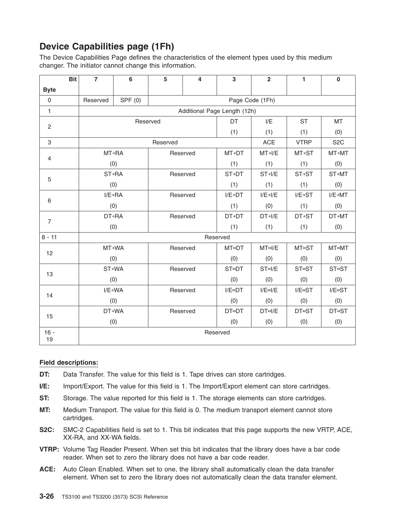# **Device Capabilities page (1Fh)**

The Device Capabilities Page defines the characteristics of the element types used by this medium changer. The initiator cannot change this information.

|                | <b>Bit</b> | $\overline{7}$ | 6                    | 5        | 4        | 3                            | $\overline{2}$            | 1                         | $\bf{0}$                  |  |
|----------------|------------|----------------|----------------------|----------|----------|------------------------------|---------------------------|---------------------------|---------------------------|--|
| <b>Byte</b>    |            |                |                      |          |          |                              |                           |                           |                           |  |
| $\mathbf 0$    |            | Reserved       | SPF(0)               |          |          |                              |                           |                           |                           |  |
| $\mathbf{1}$   |            |                |                      |          |          | Additional Page Length (12h) |                           |                           |                           |  |
| $\overline{c}$ |            |                | Reserved             |          |          | DT                           | I/E                       | <b>ST</b>                 | <b>MT</b>                 |  |
|                |            |                |                      |          |          | (1)                          | (1)                       | (1)                       | (0)                       |  |
| 3              |            |                |                      | Reserved |          |                              | <b>ACE</b>                | <b>VTRP</b>               | S <sub>2</sub> C          |  |
| 4              |            |                | <b>MT→RA</b>         |          | Reserved | <b>MT→DT</b>                 | $MT \rightarrow I/E$      | MT→ST                     | <b>MT→MT</b>              |  |
|                |            |                | (0)                  |          |          | (1)                          | (1)                       | (1)                       | (0)                       |  |
| 5              |            |                | ST→RA                |          | Reserved | <b>ST→DT</b>                 | $ST\rightarrow I/E$       | <b>ST→ST</b>              | ST→MT                     |  |
|                |            |                | (0)                  |          |          | (1)                          | (1)                       | (1)                       | (0)                       |  |
|                |            |                | $I/E \rightarrow RA$ |          | Reserved | $I/E \rightarrow DT$         | $I/E \rightarrow I/E$     | $I/E \rightarrow ST$      | $I/E \rightarrow M T$     |  |
| 6              |            |                | (0)                  |          |          | (1)                          | (0)                       | (1)                       | (0)                       |  |
| $\overline{7}$ |            |                | <b>DT→RA</b>         |          | Reserved | <b>DT+DT</b>                 | $DT\rightarrow I/E$       | <b>DT+ST</b>              | <b>DT→MT</b>              |  |
|                |            |                | (0)                  |          |          | (1)                          | (1)                       | (1)                       | (0)                       |  |
| $8 - 11$       |            |                |                      |          |          | Reserved                     |                           |                           |                           |  |
| 12             |            |                | MT→WA                |          | Reserved | <b>MT</b> <sup>→</sup> DT    | MT <sub>0</sub> /E        | <b>MT</b> <sup>→</sup> ST | MT↔MT                     |  |
|                |            |                | (0)                  |          |          | (0)                          | (0)                       | (0)                       | (0)                       |  |
| 13             |            |                | ST→WA                |          | Reserved | ST <sup>e</sup> DT           | $ST \leftrightarrow I/E$  | <b>ST</b> <sup>→</sup> ST | <b>ST</b> <sup>→</sup> ST |  |
|                |            |                | (0)                  |          |          | (0)                          | (0)                       | (0)                       | (0)                       |  |
| 14             |            |                | $I/E \rightarrow WA$ |          | Reserved | $I/E \leftrightarrow DT$     | $I/E \leftrightarrow I/E$ | $I/E \leftrightarrow ST$  | $I/E \leftrightarrow ST$  |  |
|                |            |                | (0)                  |          |          | (0)                          | (0)                       | (0)                       | (0)                       |  |
| 15             |            | <b>DT→WA</b>   |                      |          | Reserved | <b>DT⊕DT</b>                 | $DT \leftrightarrow I/E$  | <b>DT</b> <sup>→</sup> ST | <b>DT</b> <sup>→</sup> ST |  |
|                |            |                | (0)                  |          |          | (0)                          | (0)                       | (0)                       | (0)                       |  |
| $16 -$         |            |                |                      |          |          | Reserved                     |                           |                           |                           |  |
| 19             |            |                |                      |          |          |                              |                           |                           |                           |  |

#### **Field descriptions:**

- **DT:** Data Transfer. The value for this field is 1. Tape drives can store cartridges.
- **I/E:** Import/Export. The value for this field is 1. The Import/Export element can store cartridges.
- **ST:** Storage. The value reported for this field is 1. The storage elements can store cartridges.
- **MT:** Medium Transport. The value for this field is 0. The medium transport element cannot store cartridges.
- **S2C:** SMC-2 Capabilities field is set to 1. This bit indicates that this page supports the new VRTP, ACE, XX-RA, and XX-WA fields.
- **VTRP:** Volume Tag Reader Present. When set this bit indicates that the library does have a bar code reader. When set to zero the library does not have a bar code reader.
- **ACE:** Auto Clean Enabled. When set to one, the library shall automatically clean the data transfer element. When set to zero the library does not automatically clean the data transfer element.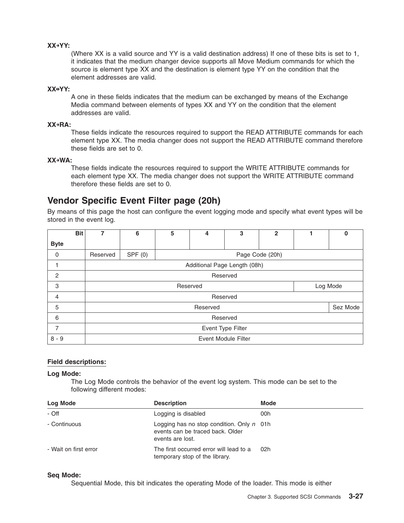#### **XX→YY:**

(Where XX is a valid source and YY is a valid destination address) If one of these bits is set to 1, it indicates that the medium changer device supports all Move Medium commands for which the source is element type XX and the destination is element type YY on the condition that the element addresses are valid.

#### **XX↔YY:**

A one in these fields indicates that the medium can be exchanged by means of the Exchange Media command between elements of types XX and YY on the condition that the element addresses are valid.

#### **XX→RA:**

These fields indicate the resources required to support the READ ATTRIBUTE commands for each element type XX. The media changer does not support the READ ATTRIBUTE command therefore these fields are set to 0.

#### **XX→WA:**

These fields indicate the resources required to support the WRITE ATTRIBUTE commands for each element type XX. The media changer does not support the WRITE ATTRIBUTE command therefore these fields are set to 0.

### **Vendor Specific Event Filter page (20h)**

By means of this page the host can configure the event logging mode and specify what event types will be stored in the event log.

|                | <b>Bit</b> | $\overline{7}$ | 6                            | 5 | 4               | 3 | $\mathbf{2}$ |  | 0        |  |
|----------------|------------|----------------|------------------------------|---|-----------------|---|--------------|--|----------|--|
| <b>Byte</b>    |            |                |                              |   |                 |   |              |  |          |  |
| 0              |            | Reserved       | SPF(0)                       |   | Page Code (20h) |   |              |  |          |  |
|                |            |                | Additional Page Length (08h) |   |                 |   |              |  |          |  |
| $\overline{2}$ |            |                | Reserved                     |   |                 |   |              |  |          |  |
| 3              |            |                | Log Mode<br>Reserved         |   |                 |   |              |  |          |  |
| $\overline{4}$ |            |                |                              |   | Reserved        |   |              |  |          |  |
| 5              |            |                |                              |   | Reserved        |   |              |  | Sez Mode |  |
| 6              |            |                | Reserved                     |   |                 |   |              |  |          |  |
| 7              |            |                | Event Type Filter            |   |                 |   |              |  |          |  |
| $8 - 9$        |            |                | <b>Event Module Filter</b>   |   |                 |   |              |  |          |  |

#### **Field descriptions:**

#### **Log Mode:**

The Log Mode controls the behavior of the event log system. This mode can be set to the following different modes:

| Log Mode              | <b>Description</b>                                                                                         | <b>Mode</b> |
|-----------------------|------------------------------------------------------------------------------------------------------------|-------------|
| - Off                 | Logging is disabled                                                                                        | 00h         |
| - Continuous          | Logging has no stop condition. Only $n \cdot 01$ h<br>events can be traced back. Older<br>events are lost. |             |
| - Wait on first error | The first occurred error will lead to a<br>temporary stop of the library.                                  | 02h         |

#### **Seq Mode:**

Sequential Mode, this bit indicates the operating Mode of the loader. This mode is either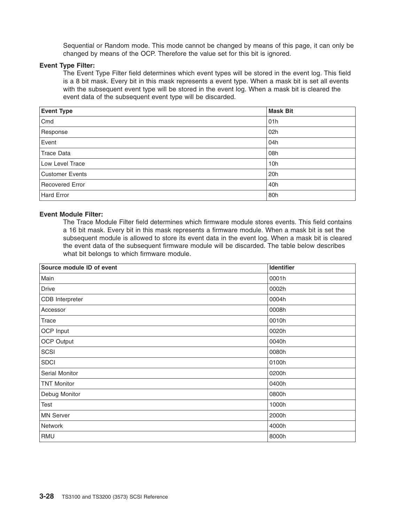Sequential or Random mode. This mode cannot be changed by means of this page, it can only be changed by means of the OCP. Therefore the value set for this bit is ignored.

#### **Event Type Filter:**

The Event Type Filter field determines which event types will be stored in the event log. This field is a 8 bit mask. Every bit in this mask represents a event type. When a mask bit is set all events with the subsequent event type will be stored in the event log. When a mask bit is cleared the event data of the subsequent event type will be discarded.

| <b>Event Type</b> | <b>Mask Bit</b> |
|-------------------|-----------------|
| Cmd               | 01h             |
| Response          | 02h             |
| Event             | 04h             |
| Trace Data        | 08h             |
| Low Level Trace   | 10h             |
| Customer Events   | 20h             |
| Recovered Error   | 40h             |
| Hard Error        | 80h             |

#### **Event Module Filter:**

The Trace Module Filter field determines which firmware module stores events. This field contains a 16 bit mask. Every bit in this mask represents a firmware module. When a mask bit is set the subsequent module is allowed to store its event data in the event log. When a mask bit is cleared the event data of the subsequent firmware module will be discarded. The table below describes what bit belongs to which firmware module.

| Source module ID of event | Identifier |
|---------------------------|------------|
| Main                      | 0001h      |
| Drive                     | 0002h      |
| CDB Interpreter           | 0004h      |
| Accessor                  | 0008h      |
| Trace                     | 0010h      |
| OCP Input                 | 0020h      |
| <b>OCP Output</b>         | 0040h      |
| SCSI                      | 0080h      |
| <b>SDCI</b>               | 0100h      |
| Serial Monitor            | 0200h      |
| <b>TNT Monitor</b>        | 0400h      |
| Debug Monitor             | 0800h      |
| Test                      | 1000h      |
| <b>MN Server</b>          | 2000h      |
| Network                   | 4000h      |
| RMU                       | 8000h      |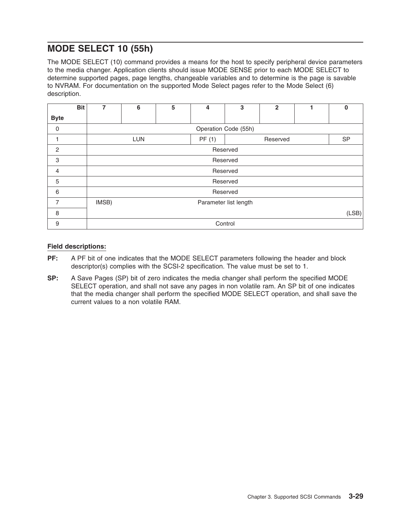# **MODE SELECT 10 (55h)**

The MODE SELECT (10) command provides a means for the host to specify peripheral device parameters to the media changer. Application clients should issue MODE SENSE prior to each MODE SELECT to determine supported pages, page lengths, changeable variables and to determine is the page is savable to NVRAM. For documentation on the supported Mode Select pages refer to the Mode Select (6) description.

|                | <b>Bit</b> | $\overline{7}$ | 6                     | 5 | 4     | 3        | $\overline{2}$ |  | $\bf{0}$ |  |  |
|----------------|------------|----------------|-----------------------|---|-------|----------|----------------|--|----------|--|--|
| <b>Byte</b>    |            |                |                       |   |       |          |                |  |          |  |  |
| $\mathbf 0$    |            |                | Operation Code (55h)  |   |       |          |                |  |          |  |  |
|                |            |                | <b>LUN</b>            |   | PF(1) |          | Reserved       |  |          |  |  |
| $\overline{2}$ |            |                | Reserved              |   |       |          |                |  |          |  |  |
| 3              |            |                | Reserved              |   |       |          |                |  |          |  |  |
| $\overline{4}$ |            |                | Reserved              |   |       |          |                |  |          |  |  |
| 5              |            |                |                       |   |       | Reserved |                |  |          |  |  |
| 6              |            |                |                       |   |       | Reserved |                |  |          |  |  |
| 7              |            | IMSB)          | Parameter list length |   |       |          |                |  |          |  |  |
| 8              |            |                | (LSB)                 |   |       |          |                |  |          |  |  |
| 9              |            |                |                       |   |       | Control  |                |  |          |  |  |

#### **Field descriptions:**

- **PF:** A PF bit of one indicates that the MODE SELECT parameters following the header and block descriptor(s) complies with the SCSI-2 specification. The value must be set to 1.
- **SP:** A Save Pages (SP) bit of zero indicates the media changer shall perform the specified MODE SELECT operation, and shall not save any pages in non volatile ram. An SP bit of one indicates that the media changer shall perform the specified MODE SELECT operation, and shall save the current values to a non volatile RAM.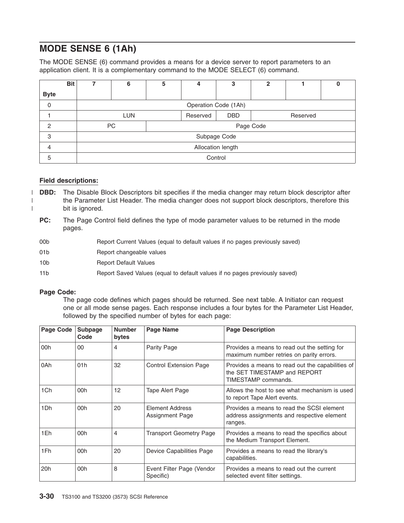# **MODE SENSE 6 (1Ah)**

The MODE SENSE (6) command provides a means for a device server to report parameters to an application client. It is a complementary command to the MODE SELECT (6) command.

|             | <b>Bit</b> | 7                 | 6                    | 5 | 4        | 3            | $\overline{2}$ |  | O |  |  |
|-------------|------------|-------------------|----------------------|---|----------|--------------|----------------|--|---|--|--|
| <b>Byte</b> |            |                   |                      |   |          |              |                |  |   |  |  |
| 0           |            |                   | Operation Code (1Ah) |   |          |              |                |  |   |  |  |
|             |            |                   | <b>LUN</b>           |   | Reserved | <b>DBD</b>   | Reserved       |  |   |  |  |
| 2           |            |                   | <b>PC</b>            |   |          |              | Page Code      |  |   |  |  |
| 3           |            |                   |                      |   |          | Subpage Code |                |  |   |  |  |
| 4           |            | Allocation length |                      |   |          |              |                |  |   |  |  |
| 5           |            |                   |                      |   |          | Control      |                |  |   |  |  |

#### **Field descriptions:**

| | |

- **DBD:** The Disable Block Descriptors bit specifies if the media changer may return block descriptor after the Parameter List Header. The media changer does not support block descriptors, therefore this bit is ignored.
- **PC:** The Page Control field defines the type of mode parameter values to be returned in the mode pages.
- 00b Report Current Values (equal to default values if no pages previously saved)
- 01b Report changeable values
- 10b Report Default Values
- 11b Report Saved Values (equal to default values if no pages previously saved)

#### **Page Code:**

The page code defines which pages should be returned. See next table. A Initiator can request one or all mode sense pages. Each response includes a four bytes for the Parameter List Header, followed by the specified number of bytes for each page:

| <b>Page Code</b> | Subpage<br>Code | <b>Number</b><br>bytes | <b>Page Name</b>                       | <b>Page Description</b>                                                                                 |
|------------------|-----------------|------------------------|----------------------------------------|---------------------------------------------------------------------------------------------------------|
| 00h              | $00\,$          | 4                      | Parity Page                            | Provides a means to read out the setting for<br>maximum number retries on parity errors.                |
| 0Ah              | 01h             | 32                     | <b>Control Extension Page</b>          | Provides a means to read out the capabilities of<br>the SET TIMESTAMP and REPORT<br>TIMESTAMP commands. |
| 1Ch              | 00h             | 12                     | Tape Alert Page                        | Allows the host to see what mechanism is used<br>to report Tape Alert events.                           |
| 1Dh              | 00h             | 20                     | Element Address<br>Assignment Page     | Provides a means to read the SCSI element<br>address assignments and respective element<br>ranges.      |
| 1Eh              | 00h             | 4                      | <b>Transport Geometry Page</b>         | Provides a means to read the specifics about<br>the Medium Transport Element.                           |
| 1Fh              | 00h             | 20                     | Device Capabilities Page               | Provides a means to read the library's<br>capabilities.                                                 |
| 20h              | 00h             | 8                      | Event Filter Page (Vendor<br>Specific) | Provides a means to read out the current<br>selected event filter settings.                             |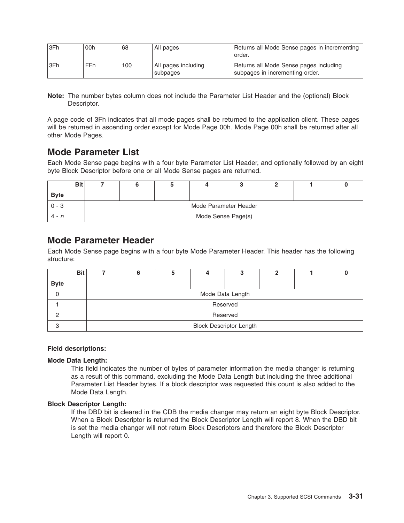| SFh  | 00h | 68  | All pages                         | Returns all Mode Sense pages in incrementing<br>order.                    |
|------|-----|-----|-----------------------------------|---------------------------------------------------------------------------|
| 13Fh | FFh | 100 | I All pages including<br>subpages | Returns all Mode Sense pages including<br>subpages in incrementing order. |

**Note:** The number bytes column does not include the Parameter List Header and the (optional) Block Descriptor.

A page code of 3Fh indicates that all mode pages shall be returned to the application client. These pages will be returned in ascending order except for Mode Page 00h. Mode Page 00h shall be returned after all other Mode Pages.

### **Mode Parameter List**

Each Mode Sense page begins with a four byte Parameter List Header, and optionally followed by an eight byte Block Descriptor before one or all Mode Sense pages are returned.

|             | <b>Bit</b> |                    |                       |  |  |  |  |  |  |
|-------------|------------|--------------------|-----------------------|--|--|--|--|--|--|
| <b>Byte</b> |            |                    |                       |  |  |  |  |  |  |
| 0 - 3       |            |                    | Mode Parameter Header |  |  |  |  |  |  |
| $4 - n$     |            | Mode Sense Page(s) |                       |  |  |  |  |  |  |

### **Mode Parameter Header**

Each Mode Sense page begins with a four byte Mode Parameter Header. This header has the following structure:

|             | <b>Bit</b> |                                |                  |  |  |          |  |  |  |
|-------------|------------|--------------------------------|------------------|--|--|----------|--|--|--|
| <b>Byte</b> |            |                                |                  |  |  |          |  |  |  |
|             |            |                                | Mode Data Length |  |  |          |  |  |  |
|             |            |                                |                  |  |  | Reserved |  |  |  |
|             |            |                                | Reserved         |  |  |          |  |  |  |
|             |            | <b>Block Descriptor Length</b> |                  |  |  |          |  |  |  |

#### **Field descriptions:**

#### **Mode Data Length:**

This field indicates the number of bytes of parameter information the media changer is returning as a result of this command, excluding the Mode Data Length but including the three additional Parameter List Header bytes. If a block descriptor was requested this count is also added to the Mode Data Length.

#### **Block Descriptor Length:**

If the DBD bit is cleared in the CDB the media changer may return an eight byte Block Descriptor. When a Block Descriptor is returned the Block Descriptor Length will report 8. When the DBD bit is set the media changer will not return Block Descriptors and therefore the Block Descriptor Length will report 0.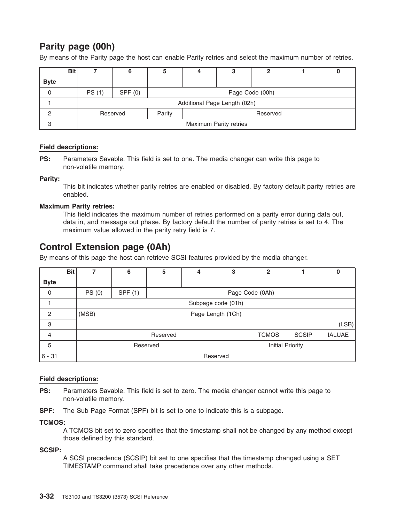# **Parity page (00h)**

By means of the Parity page the host can enable Parity retries and select the maximum number of retries.

|             | <b>Bit</b> |                        |          |                    |  |                              |  |  |  |
|-------------|------------|------------------------|----------|--------------------|--|------------------------------|--|--|--|
| <b>Byte</b> |            |                        |          |                    |  |                              |  |  |  |
| 0           |            | PS (1)                 | SPF(0)   | Page Code (00h)    |  |                              |  |  |  |
|             |            |                        |          |                    |  | Additional Page Length (02h) |  |  |  |
|             |            |                        | Reserved | Parity<br>Reserved |  |                              |  |  |  |
| 3           |            | Maximum Parity retries |          |                    |  |                              |  |  |  |

#### **Field descriptions:**

**PS:** Parameters Savable. This field is set to one. The media changer can write this page to non-volatile memory.

#### **Parity:**

This bit indicates whether parity retries are enabled or disabled. By factory default parity retries are enabled.

#### **Maximum Parity retries:**

This field indicates the maximum number of retries performed on a parity error during data out, data in, and message out phase. By factory default the number of parity retries is set to 4. The maximum value allowed in the parity retry field is 7.

# **Control Extension page (0Ah)**

By means of this page the host can retrieve SCSI features provided by the media changer.

|                | <b>Bit</b> |                              | 6                          | 5        | 4                  | 3 | $\overline{2}$ |              | 0             |
|----------------|------------|------------------------------|----------------------------|----------|--------------------|---|----------------|--------------|---------------|
| <b>Byte</b>    |            |                              |                            |          |                    |   |                |              |               |
| $\mathbf 0$    |            | PS (0)                       | SPF (1)<br>Page Code (0Ah) |          |                    |   |                |              |               |
|                |            |                              |                            |          | Subpage code (01h) |   |                |              |               |
| $\overline{c}$ |            | (MSB)                        |                            |          | Page Length (1Ch)  |   |                |              |               |
| 3              |            |                              |                            |          |                    |   |                |              | (LSB)         |
| $\overline{4}$ |            |                              |                            | Reserved |                    |   | <b>TCMOS</b>   | <b>SCSIP</b> | <b>IALUAE</b> |
| 5              |            | Initial Priority<br>Reserved |                            |          |                    |   |                |              |               |
| $6 - 31$       |            | Reserved                     |                            |          |                    |   |                |              |               |

#### **Field descriptions:**

**PS:** Parameters Savable. This field is set to zero. The media changer cannot write this page to non-volatile memory.

**SPF:** The Sub Page Format (SPF) bit is set to one to indicate this is a subpage.

#### **TCMOS:**

A TCMOS bit set to zero specifies that the timestamp shall not be changed by any method except those defined by this standard.

**SCSIP:**

A SCSI precedence (SCSIP) bit set to one specifies that the timestamp changed using a SET TIMESTAMP command shall take precedence over any other methods.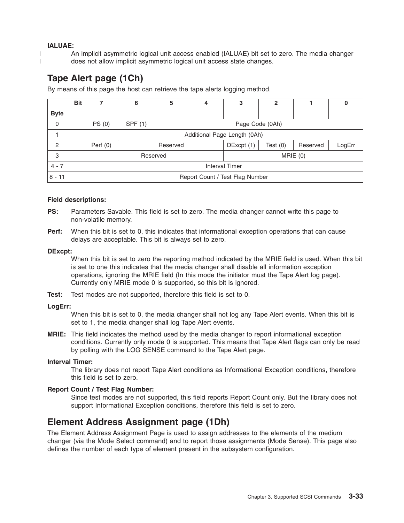#### **IALUAE:**

| | An implicit asymmetric logical unit access enabled (IALUAE) bit set to zero. The media changer does not allow implicit asymmetric logical unit access state changes.

# **Tape Alert page (1Ch)**

By means of this page the host can retrieve the tape alerts logging method.

|                | <b>Bit</b> | 7             | 6                               | 5        | 4 | 3               | $\mathbf{2}$ |          | υ      |
|----------------|------------|---------------|---------------------------------|----------|---|-----------------|--------------|----------|--------|
| <b>Byte</b>    |            |               |                                 |          |   |                 |              |          |        |
| 0              |            | <b>PS</b> (0) | SPF (1)                         |          |   | Page Code (0Ah) |              |          |        |
|                |            |               | Additional Page Length (0Ah)    |          |   |                 |              |          |        |
| $\overline{2}$ |            | Perf $(0)$    |                                 | Reserved |   | DExcpt (1)      | Test $(0)$   | Reserved | LogErr |
| 3              |            |               |                                 | Reserved |   |                 | MRIE(0)      |          |        |
| $4 - 7$        |            |               | <b>Interval Timer</b>           |          |   |                 |              |          |        |
| $8 - 11$       |            |               | Report Count / Test Flag Number |          |   |                 |              |          |        |

#### **Field descriptions:**

- **PS:** Parameters Savable. This field is set to zero. The media changer cannot write this page to non-volatile memory.
- **Perf:** When this bit is set to 0, this indicates that informational exception operations that can cause delays are acceptable. This bit is always set to zero.

#### **DExcpt:**

When this bit is set to zero the reporting method indicated by the MRIE field is used. When this bit is set to one this indicates that the media changer shall disable all information exception operations, ignoring the MRIE field (In this mode the initiator must the Tape Alert log page). Currently only MRIE mode 0 is supported, so this bit is ignored.

**Test:** Test modes are not supported, therefore this field is set to 0.

#### **LogErr:**

When this bit is set to 0, the media changer shall not log any Tape Alert events. When this bit is set to 1, the media changer shall log Tape Alert events.

**MRIE:** This field indicates the method used by the media changer to report informational exception conditions. Currently only mode 0 is supported. This means that Tape Alert flags can only be read by polling with the LOG SENSE command to the Tape Alert page.

#### **Interval Timer:**

The library does not report Tape Alert conditions as Informational Exception conditions, therefore this field is set to zero.

#### **Report Count / Test Flag Number:**

Since test modes are not supported, this field reports Report Count only. But the library does not support Informational Exception conditions, therefore this field is set to zero.

### **Element Address Assignment page (1Dh)**

The Element Address Assignment Page is used to assign addresses to the elements of the medium changer (via the Mode Select command) and to report those assignments (Mode Sense). This page also defines the number of each type of element present in the subsystem configuration.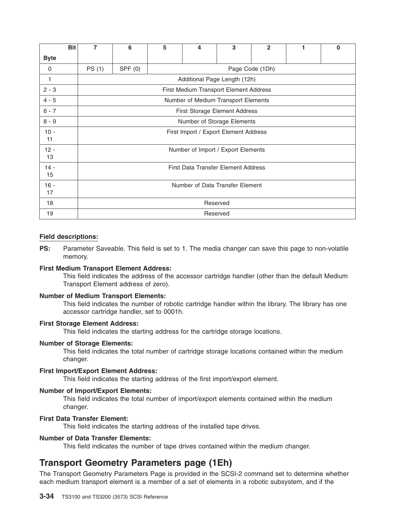|              | <b>Bit</b> | 7        | 6                                     | 5 | 4                                      | 3 | $\overline{2}$ | 1 | $\bf{0}$ |  |
|--------------|------------|----------|---------------------------------------|---|----------------------------------------|---|----------------|---|----------|--|
| <b>Byte</b>  |            |          |                                       |   |                                        |   |                |   |          |  |
| 0            |            | PS (1)   | SPF (0)<br>Page Code (1Dh)            |   |                                        |   |                |   |          |  |
| 1            |            |          |                                       |   | Additional Page Length (12h)           |   |                |   |          |  |
| $2 - 3$      |            |          |                                       |   | First Medium Transport Element Address |   |                |   |          |  |
| $4 - 5$      |            |          |                                       |   | Number of Medium Transport Elements    |   |                |   |          |  |
| $6 - 7$      |            |          |                                       |   | First Storage Element Address          |   |                |   |          |  |
| $8 - 9$      |            |          |                                       |   | Number of Storage Elements             |   |                |   |          |  |
| $10 -$       |            |          | First Import / Export Element Address |   |                                        |   |                |   |          |  |
| 11           |            |          |                                       |   |                                        |   |                |   |          |  |
| $12 -$<br>13 |            |          |                                       |   | Number of Import / Export Elements     |   |                |   |          |  |
|              |            |          |                                       |   |                                        |   |                |   |          |  |
| $14 -$<br>15 |            |          | First Data Transfer Element Address   |   |                                        |   |                |   |          |  |
| $16 -$       |            |          | Number of Data Transfer Element       |   |                                        |   |                |   |          |  |
| 17           |            |          |                                       |   |                                        |   |                |   |          |  |
| 18           |            |          | Reserved                              |   |                                        |   |                |   |          |  |
| 19           |            | Reserved |                                       |   |                                        |   |                |   |          |  |

**PS:** Parameter Saveable. This field is set to 1. The media changer can save this page to non-volatile memory.

#### **First Medium Transport Element Address:**

This field indicates the address of the accessor cartridge handler (other than the default Medium Transport Element address of zero).

#### **Number of Medium Transport Elements:**

This field indicates the number of robotic cartridge handler within the library. The library has one accessor cartridge handler, set to 0001h.

#### **First Storage Element Address:**

This field indicates the starting address for the cartridge storage locations.

#### **Number of Storage Elements:**

This field indicates the total number of cartridge storage locations contained within the medium changer.

#### **First Import/Export Element Address:**

This field indicates the starting address of the first import/export element.

#### **Number of Import/Export Elements:**

This field indicates the total number of import/export elements contained within the medium changer.

#### **First Data Transfer Element:**

This field indicates the starting address of the installed tape drives.

#### **Number of Data Transfer Elements:**

This field indicates the number of tape drives contained within the medium changer.

### **Transport Geometry Parameters page (1Eh)**

The Transport Geometry Parameters Page is provided in the SCSI-2 command set to determine whether each medium transport element is a member of a set of elements in a robotic subsystem, and if the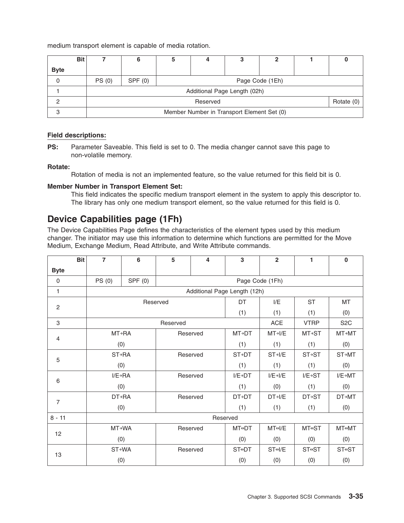medium transport element is capable of media rotation.

|             | <b>Bit</b> |                                            |                          |                 |  |                              |  |  |  |
|-------------|------------|--------------------------------------------|--------------------------|-----------------|--|------------------------------|--|--|--|
| <b>Byte</b> |            |                                            |                          |                 |  |                              |  |  |  |
| 0           |            | PS(0)                                      | SPF(0)                   | Page Code (1Eh) |  |                              |  |  |  |
|             |            |                                            |                          |                 |  | Additional Page Length (02h) |  |  |  |
|             |            |                                            | Rotate $(0)$<br>Reserved |                 |  |                              |  |  |  |
| 3           |            | Member Number in Transport Element Set (0) |                          |                 |  |                              |  |  |  |

#### **Field descriptions:**

**PS:** Parameter Saveable. This field is set to 0. The media changer cannot save this page to non-volatile memory.

#### **Rotate:**

Rotation of media is not an implemented feature, so the value returned for this field bit is 0.

#### **Member Number in Transport Element Set:**

This field indicates the specific medium transport element in the system to apply this descriptor to. The library has only one medium transport element, so the value returned for this field is 0.

### **Device Capabilities page (1Fh)**

The Device Capabilities Page defines the characteristics of the element types used by this medium changer. The initiator may use this information to determine which functions are permitted for the Move Medium, Exchange Medium, Read Attribute, and Write Attribute commands.

|                | <b>Bit</b> | $\overline{7}$ | 6                    | 5        | 4        | 3                            | $\overline{2}$        | 1                    | $\mathbf 0$           |  |
|----------------|------------|----------------|----------------------|----------|----------|------------------------------|-----------------------|----------------------|-----------------------|--|
| <b>Byte</b>    |            |                |                      |          |          |                              |                       |                      |                       |  |
| $\Omega$       |            | PS (0)         | SPF(0)               |          |          |                              | Page Code (1Fh)       |                      |                       |  |
| 1              |            |                |                      |          |          | Additional Page Length (12h) |                       |                      |                       |  |
|                |            |                | Reserved             |          |          | DT                           | I/E                   | <b>ST</b>            | <b>MT</b>             |  |
| $\overline{c}$ |            |                |                      |          |          | (1)                          | (1)                   | (1)                  | (0)                   |  |
| 3              |            |                |                      | Reserved |          |                              | <b>ACE</b>            | <b>VTRP</b>          | S <sub>2</sub> C      |  |
| $\overline{4}$ |            |                | MT→RA                |          | Reserved | MT→DT                        | $MT \rightarrow I/E$  | MT→ST                | <b>MT→MT</b>          |  |
|                |            |                | (0)                  |          |          | (1)                          | (1)                   | (1)                  | (0)                   |  |
| 5              |            | ST→RA          |                      | Reserved |          | <b>ST→DT</b>                 | $ST\rightarrow$ I/E   | <b>ST→ST</b>         | ST→MT                 |  |
|                |            |                | (0)                  |          |          | (1)                          | (1)                   | (1)                  | (0)                   |  |
| 6              |            |                | $I/E \rightarrow RA$ | Reserved |          | $I/E \rightarrow DT$         | $I/E \rightarrow I/E$ | $I/E \rightarrow ST$ | $I/E \rightarrow M T$ |  |
|                |            |                | (0)                  |          |          | (1)                          | (0)                   | (1)                  | (0)                   |  |
| $\overline{7}$ |            | <b>DT→RA</b>   |                      |          | Reserved | <b>DT→DT</b>                 | $DT \rightarrow I/E$  | <b>DT→ST</b>         | <b>DT→MT</b>          |  |
|                |            |                | (0)                  |          |          | (1)                          | (1)                   | (1)                  | (0)                   |  |
| $8 - 11$       |            |                |                      |          |          | Reserved                     |                       |                      |                       |  |
|                |            | MT→WA          |                      |          | Reserved | <b>MT</b> <sup>→</sup> DT    | MT <sub>0</sub> /E    | MT↔ST                | MT↔MT                 |  |
| 12             |            | (0)            |                      |          | (0)      | (0)                          | (0)                   | (0)                  |                       |  |
|                |            |                | ST→WA                | Reserved |          | <b>ST</b> <sup>O</sup> DT    | ST <sup>e</sup> l/E   | <b>ST⊕ST</b>         | ST <sup>e</sup> ST    |  |
| 13             |            |                | (0)                  |          |          | (0)                          | (0)                   | (0)                  | (0)                   |  |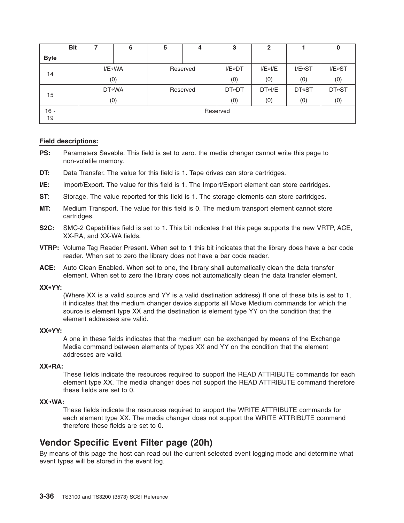| <b>Bit</b>  |          | 6                    | 5 | 4        | 3                        | $\overline{2}$            |                          | 0                        |
|-------------|----------|----------------------|---|----------|--------------------------|---------------------------|--------------------------|--------------------------|
| <b>Byte</b> |          |                      |   |          |                          |                           |                          |                          |
| 14          |          | $I/E \rightarrow WA$ |   | Reserved | $I/E \leftrightarrow DT$ | $I/E \leftrightarrow I/E$ | $I/E \leftrightarrow ST$ | $I/E \leftrightarrow ST$ |
|             |          | (0)                  |   |          |                          | (0)                       | (0)                      | (0)                      |
| 15          |          | <b>DT→WA</b>         |   | Reserved | <b>DT+DT</b>             | $DT \leftrightarrow I/E$  | <b>DT⊕ST</b>             | <b>DT⊕ST</b>             |
|             |          | (0)                  |   |          | (0)                      | (0)                       | (0)                      | (0)                      |
| $16 -$      | Reserved |                      |   |          |                          |                           |                          |                          |
| 19          |          |                      |   |          |                          |                           |                          |                          |

- **PS:** Parameters Savable. This field is set to zero. the media changer cannot write this page to non-volatile memory.
- **DT:** Data Transfer. The value for this field is 1. Tape drives can store cartridges.
- **I/E:** Import/Export. The value for this field is 1. The Import/Export element can store cartridges.
- **ST:** Storage. The value reported for this field is 1. The storage elements can store cartridges.
- **MT:** Medium Transport. The value for this field is 0. The medium transport element cannot store cartridges.
- **S2C:** SMC-2 Capabilities field is set to 1. This bit indicates that this page supports the new VRTP, ACE, XX-RA, and XX-WA fields.
- **VTRP:** Volume Tag Reader Present. When set to 1 this bit indicates that the library does have a bar code reader. When set to zero the library does not have a bar code reader.
- **ACE:** Auto Clean Enabled. When set to one, the library shall automatically clean the data transfer element. When set to zero the library does not automatically clean the data transfer element.

#### **XX→YY:**

(Where XX is a valid source and YY is a valid destination address) If one of these bits is set to 1, it indicates that the medium changer device supports all Move Medium commands for which the source is element type XX and the destination is element type YY on the condition that the element addresses are valid.

#### **XX↔YY:**

A one in these fields indicates that the medium can be exchanged by means of the Exchange Media command between elements of types XX and YY on the condition that the element addresses are valid.

#### **XX→RA:**

These fields indicate the resources required to support the READ ATTRIBUTE commands for each element type XX. The media changer does not support the READ ATTRIBUTE command therefore these fields are set to 0.

#### **XX→WA:**

These fields indicate the resources required to support the WRITE ATTRIBUTE commands for each element type XX. The media changer does not support the WRITE ATTRIBUTE command therefore these fields are set to 0.

### **Vendor Specific Event Filter page (20h)**

By means of this page the host can read out the current selected event logging mode and determine what event types will be stored in the event log.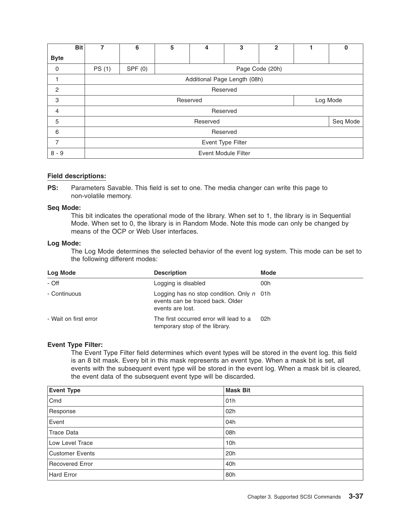|             | <b>Bit</b> | 7                          | 6                            | 5 | 4        | 3        | $\overline{2}$  |  | 0        |
|-------------|------------|----------------------------|------------------------------|---|----------|----------|-----------------|--|----------|
| <b>Byte</b> |            |                            |                              |   |          |          |                 |  |          |
| 0           |            | PS (1)                     | SPF(0)                       |   |          |          | Page Code (20h) |  |          |
|             |            |                            | Additional Page Length (08h) |   |          |          |                 |  |          |
| 2           |            |                            |                              |   |          | Reserved |                 |  |          |
| 3           |            |                            | Log Mode<br>Reserved         |   |          |          |                 |  |          |
| 4           |            |                            |                              |   |          | Reserved |                 |  |          |
| 5           |            |                            |                              |   | Reserved |          |                 |  | Seq Mode |
| 6           |            |                            | Reserved                     |   |          |          |                 |  |          |
| 7           |            |                            | Event Type Filter            |   |          |          |                 |  |          |
| $8 - 9$     |            | <b>Event Module Filter</b> |                              |   |          |          |                 |  |          |

**PS:** Parameters Savable. This field is set to one. The media changer can write this page to non-volatile memory.

#### **Seq Mode:**

This bit indicates the operational mode of the library. When set to 1, the library is in Sequential Mode. When set to 0, the library is in Random Mode. Note this mode can only be changed by means of the OCP or Web User interfaces.

#### **Log Mode:**

The Log Mode determines the selected behavior of the event log system. This mode can be set to the following different modes:

| Log Mode              | <b>Description</b>                                                                                         | <b>Mode</b> |
|-----------------------|------------------------------------------------------------------------------------------------------------|-------------|
| - Off                 | Logging is disabled                                                                                        | 00h         |
| - Continuous          | Logging has no stop condition. Only $n \cdot 01$ h<br>events can be traced back. Older<br>events are lost. |             |
| - Wait on first error | The first occurred error will lead to a<br>temporary stop of the library.                                  | 02h         |

#### **Event Type Filter:**

The Event Type Filter field determines which event types will be stored in the event log. this field is an 8 bit mask. Every bit in this mask represents an event type. When a mask bit is set, all events with the subsequent event type will be stored in the event log. When a mask bit is cleared, the event data of the subsequent event type will be discarded.

| <b>Event Type</b>      | <b>Mask Bit</b> |
|------------------------|-----------------|
| Cmd                    | 01h             |
| Response               | 02h             |
| Event                  | 04h             |
| Trace Data             | 08h             |
| Low Level Trace        | 10 <sub>h</sub> |
| <b>Customer Events</b> | 20h             |
| Recovered Error        | 40h             |
| Hard Error             | 80h             |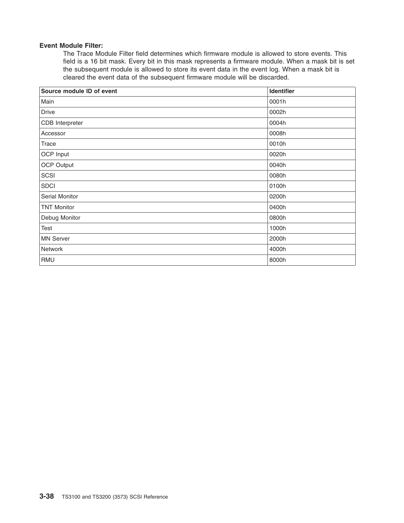#### **Event Module Filter:**

The Trace Module Filter field determines which firmware module is allowed to store events. This field is a 16 bit mask. Every bit in this mask represents a firmware module. When a mask bit is set the subsequent module is allowed to store its event data in the event log. When a mask bit is cleared the event data of the subsequent firmware module will be discarded.

| Source module ID of event | Identifier |
|---------------------------|------------|
| Main                      | 0001h      |
| <b>Drive</b>              | 0002h      |
| CDB Interpreter           | 0004h      |
| Accessor                  | 0008h      |
| <b>Trace</b>              | 0010h      |
| OCP Input                 | 0020h      |
| <b>OCP Output</b>         | 0040h      |
| SCSI                      | 0080h      |
| <b>SDCI</b>               | 0100h      |
| Serial Monitor            | 0200h      |
| <b>TNT Monitor</b>        | 0400h      |
| Debug Monitor             | 0800h      |
| Test                      | 1000h      |
| <b>MN Server</b>          | 2000h      |
| Network                   | 4000h      |
| RMU                       | 8000h      |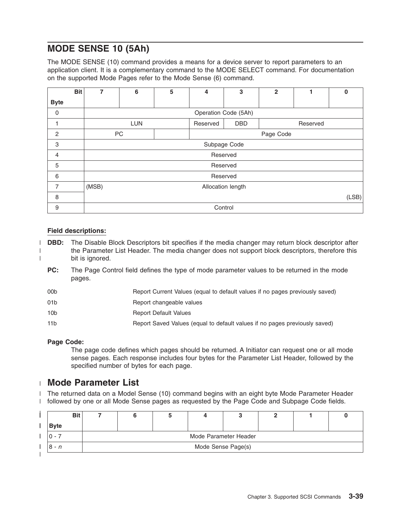# **MODE SENSE 10 (5Ah)**

The MODE SENSE (10) command provides a means for a device server to report parameters to an application client. It is a complementary command to the MODE SELECT command. For documentation on the supported Mode Pages refer to the Mode Sense (6) command.

|                | <b>Bit</b> | 7     | 6                 | 5 | 4        | 3                    | $\mathbf{2}$ |          | $\mathbf 0$ |  |
|----------------|------------|-------|-------------------|---|----------|----------------------|--------------|----------|-------------|--|
| <b>Byte</b>    |            |       |                   |   |          |                      |              |          |             |  |
| 0              |            |       |                   |   |          | Operation Code (5Ah) |              |          |             |  |
|                |            |       | <b>LUN</b>        |   | Reserved | <b>DBD</b>           |              | Reserved |             |  |
| 2              |            |       | PC<br>Page Code   |   |          |                      |              |          |             |  |
| 3              |            |       | Subpage Code      |   |          |                      |              |          |             |  |
| $\overline{4}$ |            |       |                   |   |          | Reserved             |              |          |             |  |
| 5              |            |       |                   |   |          | Reserved             |              |          |             |  |
| 6              |            |       |                   |   |          | Reserved             |              |          |             |  |
| 7              |            | (MSB) | Allocation length |   |          |                      |              |          |             |  |
| 8              |            | (LSB) |                   |   |          |                      |              |          |             |  |
| 9              |            |       |                   |   |          | Control              |              |          |             |  |

### **Field descriptions:**

| |

- **DBD:** The Disable Block Descriptors bit specifies if the media changer may return block descriptor after the Parameter List Header. The media changer does not support block descriptors, therefore this bit is ignored. |
	- **PC:** The Page Control field defines the type of mode parameter values to be returned in the mode pages.
	- 00b Report Current Values (equal to default values if no pages previously saved)
	- 01b Report changeable values
	- 10b Report Default Values
	- 11b Report Saved Values (equal to default values if no pages previously saved)

#### **Page Code:**

The page code defines which pages should be returned. A Initiator can request one or all mode sense pages. Each response includes four bytes for the Parameter List Header, followed by the specified number of bytes for each page.

### **Mode Parameter List** |

l The returned data on a Model Sense (10) command begins with an eight byte Mode Parameter Header l followed by one or all Mode Sense pages as requested by the Page Code and Subpage Code fields.

| <b>Bit</b>  |                       |  |  |  |  |  |  |  |  |
|-------------|-----------------------|--|--|--|--|--|--|--|--|
| <b>Byte</b> |                       |  |  |  |  |  |  |  |  |
|             | Mode Parameter Header |  |  |  |  |  |  |  |  |
| $8 - n$     | Mode Sense Page(s)    |  |  |  |  |  |  |  |  |
|             |                       |  |  |  |  |  |  |  |  |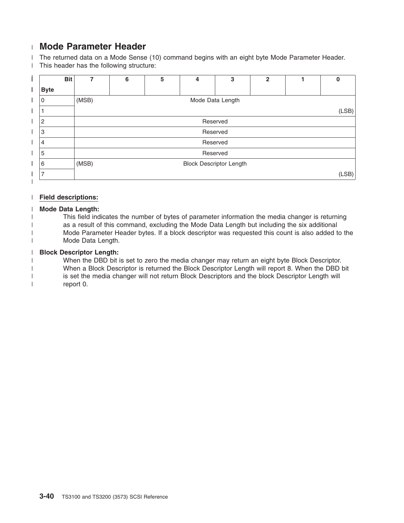# **Mode Parameter Header** |

The returned data on a Mode Sense (10) command begins with an eight byte Mode Parameter Header. | This header has the following structure: |

|   | <b>Bit</b>     | 7     | 6                              | 5 | 4                | 3 | $\overline{2}$ |  | 0 |  |  |
|---|----------------|-------|--------------------------------|---|------------------|---|----------------|--|---|--|--|
| I | <b>Byte</b>    |       |                                |   |                  |   |                |  |   |  |  |
|   | 0              | (MSB) |                                |   | Mode Data Length |   |                |  |   |  |  |
|   |                |       | (LSB)                          |   |                  |   |                |  |   |  |  |
|   | 2              |       |                                |   | Reserved         |   |                |  |   |  |  |
|   | 3              |       |                                |   | Reserved         |   |                |  |   |  |  |
|   | 4              |       |                                |   | Reserved         |   |                |  |   |  |  |
|   | 5              |       |                                |   | Reserved         |   |                |  |   |  |  |
|   | 6              | (MSB) | <b>Block Descriptor Length</b> |   |                  |   |                |  |   |  |  |
|   | $\overline{ }$ |       | (LSB)                          |   |                  |   |                |  |   |  |  |

#### **Field descriptions:** |

#### **Mode Data Length:** |

| |

- This field indicates the number of bytes of parameter information the media changer is returning |
- as a result of this command, excluding the Mode Data Length but including the six additional |
	- Mode Parameter Header bytes. If a block descriptor was requested this count is also added to the Mode Data Length.

#### **Block Descriptor Length:** |

When the DBD bit is set to zero the media changer may return an eight byte Block Descriptor. When a Block Descriptor is returned the Block Descriptor Length will report 8. When the DBD bit is set the media changer will not return Block Descriptors and the block Descriptor Length will report 0. | | | |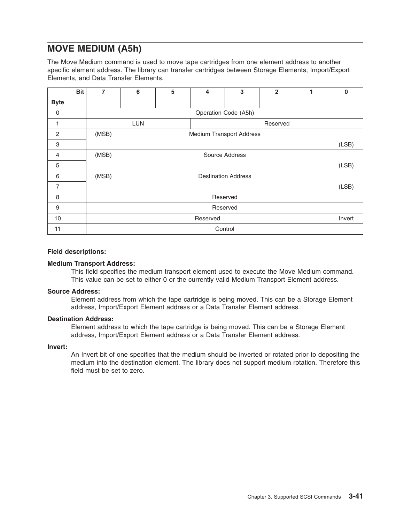# **MOVE MEDIUM (A5h)**

The Move Medium command is used to move tape cartridges from one element address to another specific element address. The library can transfer cartridges between Storage Elements, Import/Export Elements, and Data Transfer Elements.

|                | <b>Bit</b> | 7     | 6                  | 5 | 4                               | 3                          | $\overline{2}$ | 1 | $\mathbf 0$ |  |  |
|----------------|------------|-------|--------------------|---|---------------------------------|----------------------------|----------------|---|-------------|--|--|
| <b>Byte</b>    |            |       |                    |   |                                 |                            |                |   |             |  |  |
| 0              |            |       |                    |   |                                 | Operation Code (A5h)       |                |   |             |  |  |
| 1              |            |       | <b>LUN</b>         |   |                                 |                            | Reserved       |   |             |  |  |
| $\overline{c}$ |            | (MSB) |                    |   | <b>Medium Transport Address</b> |                            |                |   |             |  |  |
| 3              |            |       | (LSB)              |   |                                 |                            |                |   |             |  |  |
| $\overline{4}$ |            | (MSB) | Source Address     |   |                                 |                            |                |   |             |  |  |
| 5              |            |       |                    |   |                                 |                            |                |   | (LSB)       |  |  |
| 6              |            | (MSB) |                    |   |                                 | <b>Destination Address</b> |                |   |             |  |  |
| $\overline{7}$ |            |       |                    |   |                                 |                            |                |   | (LSB)       |  |  |
| 8              |            |       |                    |   |                                 | Reserved                   |                |   |             |  |  |
| 9              |            |       | Reserved           |   |                                 |                            |                |   |             |  |  |
| 10             |            |       | Reserved<br>Invert |   |                                 |                            |                |   |             |  |  |
| 11             |            |       |                    |   |                                 | Control                    |                |   |             |  |  |

#### **Field descriptions:**

#### **Medium Transport Address:**

This field specifies the medium transport element used to execute the Move Medium command. This value can be set to either 0 or the currently valid Medium Transport Element address.

#### **Source Address:**

Element address from which the tape cartridge is being moved. This can be a Storage Element address, Import/Export Element address or a Data Transfer Element address.

#### **Destination Address:**

Element address to which the tape cartridge is being moved. This can be a Storage Element address, Import/Export Element address or a Data Transfer Element address.

#### **Invert:**

An Invert bit of one specifies that the medium should be inverted or rotated prior to depositing the medium into the destination element. The library does not support medium rotation. Therefore this field must be set to zero.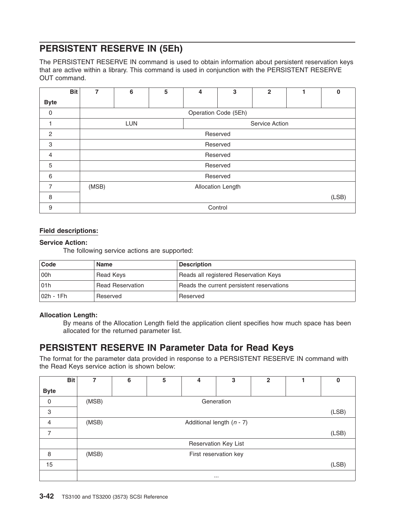# **PERSISTENT RESERVE IN (5Eh)**

The PERSISTENT RESERVE IN command is used to obtain information about persistent reservation keys that are active within a library. This command is used in conjunction with the PERSISTENT RESERVE OUT command.

|                | <b>Bit</b> | 7     | 6                            | 5 | 4 | 3                    | $\overline{2}$ |  | $\bf{0}$ |  |  |
|----------------|------------|-------|------------------------------|---|---|----------------------|----------------|--|----------|--|--|
| <b>Byte</b>    |            |       |                              |   |   |                      |                |  |          |  |  |
| 0              |            |       |                              |   |   | Operation Code (5Eh) |                |  |          |  |  |
|                |            |       | <b>LUN</b><br>Service Action |   |   |                      |                |  |          |  |  |
| 2              |            |       | Reserved                     |   |   |                      |                |  |          |  |  |
| 3              |            |       |                              |   |   | Reserved             |                |  |          |  |  |
| $\overline{4}$ |            |       |                              |   |   | Reserved             |                |  |          |  |  |
| 5              |            |       |                              |   |   | Reserved             |                |  |          |  |  |
| 6              |            |       |                              |   |   | Reserved             |                |  |          |  |  |
| $\overline{7}$ |            | (MSB) | Allocation Length            |   |   |                      |                |  |          |  |  |
| 8              |            |       | (LSB)                        |   |   |                      |                |  |          |  |  |
| 9              |            |       |                              |   |   | Control              |                |  |          |  |  |

#### **Field descriptions:**

#### **Service Action:**

The following service actions are supported:

| Code          | Name                    | <b>Description</b>                        |
|---------------|-------------------------|-------------------------------------------|
| looh          | Read Keys               | Reads all registered Reservation Keys     |
| 101h          | <b>Read Reservation</b> | Reads the current persistent reservations |
| $ 02h - 1Fh $ | Reserved                | Reserved                                  |

#### **Allocation Length:**

By means of the Allocation Length field the application client specifies how much space has been allocated for the returned parameter list.

### **PERSISTENT RESERVE IN Parameter Data for Read Keys**

The format for the parameter data provided in response to a PERSISTENT RESERVE IN command with the Read Keys service action is shown below:

|             | <b>Bit</b> | 7     | 6        | 5                     | 4 | 3                           | $\overline{2}$ |  | 0     |  |  |
|-------------|------------|-------|----------|-----------------------|---|-----------------------------|----------------|--|-------|--|--|
| <b>Byte</b> |            |       |          |                       |   |                             |                |  |       |  |  |
| $\mathbf 0$ |            | (MSB) |          |                       |   | Generation                  |                |  |       |  |  |
| 3           |            |       |          |                       |   |                             |                |  | (LSB) |  |  |
| 4           |            | (MSB) |          |                       |   | Additional length $(n - 7)$ |                |  |       |  |  |
| 7           |            |       |          |                       |   |                             |                |  | (LSB) |  |  |
|             |            |       |          |                       |   | Reservation Key List        |                |  |       |  |  |
| 8           |            | (MSB) |          | First reservation key |   |                             |                |  |       |  |  |
| 15          |            |       |          |                       |   |                             |                |  | (LSB) |  |  |
|             |            |       | $\cdots$ |                       |   |                             |                |  |       |  |  |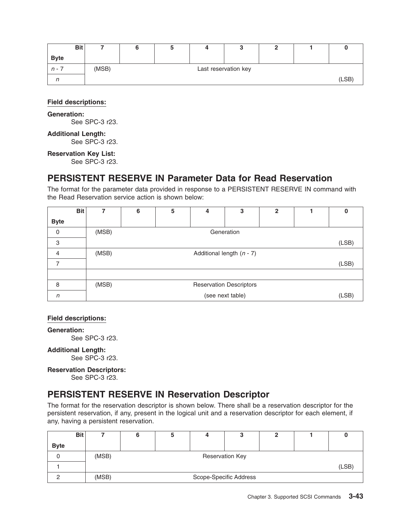|             | <b>Bit</b> |       |  |                      |  |       |
|-------------|------------|-------|--|----------------------|--|-------|
| <b>Byte</b> |            |       |  |                      |  |       |
| n -         |            | (MSB) |  | Last reservation key |  |       |
|             |            |       |  |                      |  | (LSB) |

#### **Generation:**

See SPC-3 r23.

#### **Additional Length:** See SPC-3 r23.

**Reservation Key List:**

See SPC-3 r23.

### **PERSISTENT RESERVE IN Parameter Data for Read Reservation**

The format for the parameter data provided in response to a PERSISTENT RESERVE IN command with the Read Reservation service action is shown below:

|                | <b>Bit</b> |       | 6 | 5 | 4 | 3                              | $\mathbf{2}$ | 0     |
|----------------|------------|-------|---|---|---|--------------------------------|--------------|-------|
| <b>Byte</b>    |            |       |   |   |   |                                |              |       |
| 0              |            | (MSB) |   |   |   | Generation                     |              |       |
| 3              |            |       |   |   |   |                                |              | (LSB) |
| $\overline{4}$ |            | (MSB) |   |   |   | Additional length $(n - 7)$    |              |       |
| ⇁              |            |       |   |   |   |                                |              | (LSB) |
|                |            |       |   |   |   |                                |              |       |
| 8              |            | (MSB) |   |   |   | <b>Reservation Descriptors</b> |              |       |
| n              |            |       |   |   |   | (see next table)               |              | (LSB) |

#### **Field descriptions:**

**Generation:** See SPC-3 r23.

#### **Additional Length:**

See SPC-3 r23.

#### **Reservation Descriptors:**

See SPC-3 r23.

# **PERSISTENT RESERVE IN Reservation Descriptor**

The format for the reservation descriptor is shown below. There shall be a reservation descriptor for the persistent reservation, if any, present in the logical unit and a reservation descriptor for each element, if any, having a persistent reservation.

|             | <b>Bit</b> |       | a |                        | u |  |       |
|-------------|------------|-------|---|------------------------|---|--|-------|
| <b>Byte</b> |            |       |   |                        |   |  |       |
|             |            | (MSB) |   | <b>Reservation Key</b> |   |  |       |
|             |            |       |   |                        |   |  | (LSB) |
|             |            | (MSB) |   | Scope-Specific Address |   |  |       |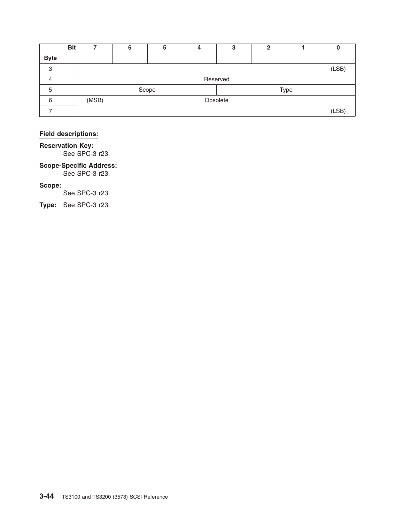|             | <b>Bit</b> |       | 6        | 5     | 4 | 3 | 2 |      |       |
|-------------|------------|-------|----------|-------|---|---|---|------|-------|
| <b>Byte</b> |            |       |          |       |   |   |   |      |       |
| 3           |            |       |          |       |   |   |   |      | (LSB) |
| 4           |            |       | Reserved |       |   |   |   |      |       |
| 5           |            |       |          | Scope |   |   |   | Type |       |
| 6           |            | (MSB) | Obsolete |       |   |   |   |      |       |
|             |            |       |          |       |   |   |   |      | (LSB) |

**Reservation Key:** See SPC-3 r23.

### **Scope-Specific Address:**

See SPC-3 r23.

#### **Scope:**

See SPC-3 r23.

**Type:** See SPC-3 r23.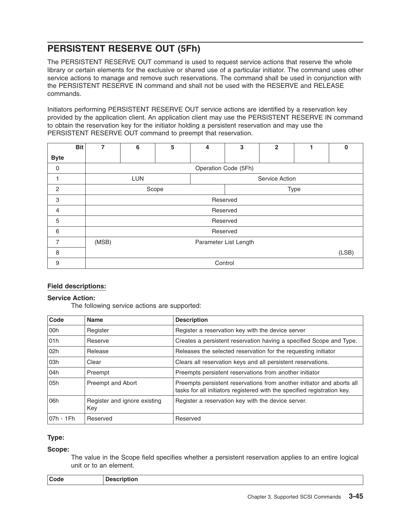# **PERSISTENT RESERVE OUT (5Fh)**

The PERSISTENT RESERVE OUT command is used to request service actions that reserve the whole library or certain elements for the exclusive or shared use of a particular initiator. The command uses other service actions to manage and remove such reservations. The command shall be used in conjunction with the PERSISTENT RESERVE IN command and shall not be used with the RESERVE and RELEASE commands.

Initiators performing PERSISTENT RESERVE OUT service actions are identified by a reservation key provided by the application client. An application client may use the PERSISTENT RESERVE IN command to obtain the reservation key for the initiator holding a persistent reservation and may use the PERSISTENT RESERVE OUT command to preempt that reservation.

|                | <b>Bit</b> | 7             | 6                     | 5 | 4              | 3                    | $\overline{2}$ |  | 0 |  |
|----------------|------------|---------------|-----------------------|---|----------------|----------------------|----------------|--|---|--|
| <b>Byte</b>    |            |               |                       |   |                |                      |                |  |   |  |
| $\mathbf 0$    |            |               |                       |   |                | Operation Code (5Fh) |                |  |   |  |
|                |            |               | <b>LUN</b>            |   | Service Action |                      |                |  |   |  |
| 2              |            | Scope<br>Type |                       |   |                |                      |                |  |   |  |
| 3              |            |               | Reserved              |   |                |                      |                |  |   |  |
| 4              |            |               |                       |   |                | Reserved             |                |  |   |  |
| 5              |            |               |                       |   |                | Reserved             |                |  |   |  |
| 6              |            |               |                       |   |                | Reserved             |                |  |   |  |
| $\overline{7}$ |            | (MSB)         | Parameter List Length |   |                |                      |                |  |   |  |
| 8              |            | (LSB)         |                       |   |                |                      |                |  |   |  |
| 9              |            |               |                       |   |                | Control              |                |  |   |  |

#### **Field descriptions:**

#### **Service Action:**

The following service actions are supported:

| Code       | <b>Name</b>                         | <b>Description</b>                                                                                                                                 |
|------------|-------------------------------------|----------------------------------------------------------------------------------------------------------------------------------------------------|
| l 00h      | Register                            | Register a reservation key with the device server                                                                                                  |
| 01h        | Reserve                             | Creates a persistent reservation having a specified Scope and Type.                                                                                |
| 102h       | Release                             | Releases the selected reservation for the requesting initiator                                                                                     |
| l 03h      | Clear                               | Clears all reservation keys and all persistent reservations.                                                                                       |
| 04h        | Preempt                             | Preempts persistent reservations from another initiator                                                                                            |
| l 05h      | Preempt and Abort                   | Preempts persistent reservations from another initiator and aborts all<br>tasks for all initiators registered with the specified registration key. |
| 106h       | Register and ignore existing<br>Key | Register a reservation key with the device server.                                                                                                 |
| l07h - 1Fh | Reserved                            | Reserved                                                                                                                                           |

#### **Type:**

#### **Scope:**

The value in the Scope field specifies whether a persistent reservation applies to an entire logical unit or to an element.

| Code | <b>Description</b> |
|------|--------------------|
|------|--------------------|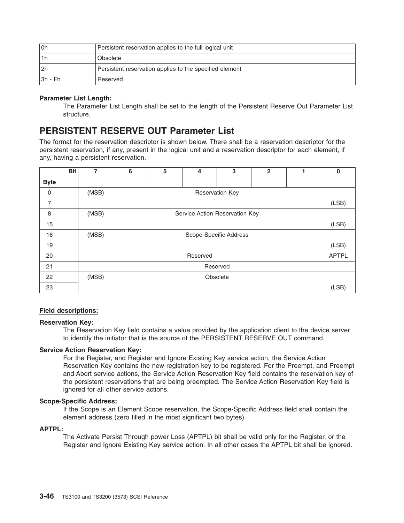| 0h          | Persistent reservation applies to the full logical unit |
|-------------|---------------------------------------------------------|
| l 1 h       | Obsolete                                                |
| l2h         | Persistent reservation applies to the specified element |
| $ 3h - Fh $ | Reserved                                                |

#### **Parameter List Length:**

The Parameter List Length shall be set to the length of the Persistent Reserve Out Parameter List structure.

### **PERSISTENT RESERVE OUT Parameter List**

The format for the reservation descriptor is shown below. There shall be a reservation descriptor for the persistent reservation, if any, present in the logical unit and a reservation descriptor for each element, if any, having a persistent reservation.

|             | <b>Bit</b> | 7     | 6 | 5 | 4        | 3                              | $\mathbf{2}$ | $\bf{0}$     |
|-------------|------------|-------|---|---|----------|--------------------------------|--------------|--------------|
| <b>Byte</b> |            |       |   |   |          |                                |              |              |
| $\mathbf 0$ |            | (MSB) |   |   |          | <b>Reservation Key</b>         |              |              |
| 7           |            |       |   |   |          |                                |              | (LSB)        |
| 8           |            | (MSB) |   |   |          | Service Action Reservation Key |              |              |
| 15          |            |       |   |   |          |                                |              | (LSB)        |
| 16          |            | (MSB) |   |   |          | Scope-Specific Address         |              |              |
| 19          |            |       |   |   |          |                                |              | (LSB)        |
| 20          |            |       |   |   | Reserved |                                |              | <b>APTPL</b> |
| 21          |            |       |   |   |          | Reserved                       |              |              |
| 22          |            | (MSB) |   |   |          | Obsolete                       |              |              |
| 23          |            |       |   |   |          |                                |              | (LSB)        |

#### **Field descriptions:**

#### **Reservation Key:**

The Reservation Key field contains a value provided by the application client to the device server to identify the initiator that is the source of the PERSISTENT RESERVE OUT command.

#### **Service Action Reservation Key:**

For the Register, and Register and Ignore Existing Key service action, the Service Action Reservation Key contains the new registration key to be registered. For the Preempt, and Preempt and Abort service actions, the Service Action Reservation Key field contains the reservation key of the persistent reservations that are being preempted. The Service Action Reservation Key field is ignored for all other service actions.

#### **Scope-Specific Address:**

If the Scope is an Element Scope reservation, the Scope-Specific Address field shall contain the element address (zero filled in the most significant two bytes).

#### **APTPL:**

The Activate Persist Through power Loss (APTPL) bit shall be valid only for the Register, or the Register and Ignore Existing Key service action. In all other cases the APTPL bit shall be ignored.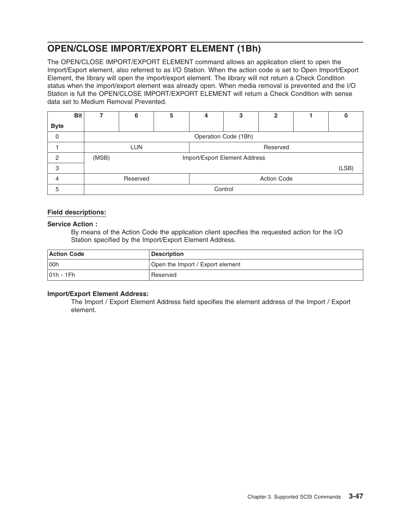# **OPEN/CLOSE IMPORT/EXPORT ELEMENT (1Bh)**

The OPEN/CLOSE IMPORT/EXPORT ELEMENT command allows an application client to open the Import/Export element, also referred to as I/O Station. When the action code is set to Open Import/Export Element, the library will open the import/export element. The library will not return a Check Condition status when the import/export element was already open. When media removal is prevented and the I/O Station is full the OPEN/CLOSE IMPORT/EXPORT ELEMENT will return a Check Condition with sense data set to Medium Removal Prevented.

|               | <b>Bit</b> | 7                      | 6        | 5 | 4                  | 3                             | 2 |  |       |
|---------------|------------|------------------------|----------|---|--------------------|-------------------------------|---|--|-------|
| <b>Byte</b>   |            |                        |          |   |                    |                               |   |  |       |
| 0             |            |                        |          |   |                    | Operation Code (1Bh)          |   |  |       |
|               |            | <b>LUN</b><br>Reserved |          |   |                    |                               |   |  |       |
| $\mathcal{P}$ |            | (MSB)                  |          |   |                    | Import/Export Element Address |   |  |       |
| 3             |            |                        |          |   |                    |                               |   |  | (LSB) |
| 4             |            |                        | Reserved |   | <b>Action Code</b> |                               |   |  |       |
| 5             |            |                        |          |   |                    | Control                       |   |  |       |

#### **Field descriptions:**

#### **Service Action :**

By means of the Action Code the application client specifies the requested action for the I/O Station specified by the Import/Export Element Address.

| <b>Action Code</b> | <b>Description</b>               |
|--------------------|----------------------------------|
| 00h                | Open the Import / Export element |
| $ 01h - 1Fh $      | Reserved                         |

#### **Import/Export Element Address:**

The Import / Export Element Address field specifies the element address of the Import / Export element.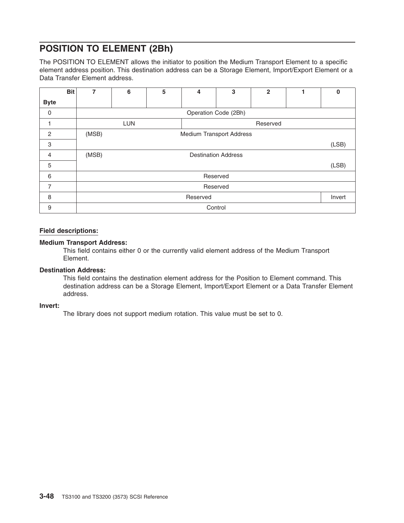# **POSITION TO ELEMENT (2Bh)**

The POSITION TO ELEMENT allows the initiator to position the Medium Transport Element to a specific element address position. This destination address can be a Storage Element, Import/Export Element or a Data Transfer Element address.

|                | <b>Bit</b> | 7     | 6                               | 5 | 4 | 3                          | $\mathbf{2}$ |  | $\bf{0}$ |
|----------------|------------|-------|---------------------------------|---|---|----------------------------|--------------|--|----------|
| <b>Byte</b>    |            |       |                                 |   |   |                            |              |  |          |
| 0              |            |       |                                 |   |   | Operation Code (2Bh)       |              |  |          |
| н              |            |       | <b>LUN</b>                      |   |   |                            | Reserved     |  |          |
| 2              |            | (MSB) | <b>Medium Transport Address</b> |   |   |                            |              |  |          |
| 3              |            |       |                                 |   |   |                            |              |  | (LSB)    |
| 4              |            | (MSB) |                                 |   |   | <b>Destination Address</b> |              |  |          |
| 5              |            |       |                                 |   |   |                            |              |  | (LSB)    |
| 6              |            |       |                                 |   |   | Reserved                   |              |  |          |
| $\overline{7}$ |            |       | Reserved                        |   |   |                            |              |  |          |
| 8              |            |       | Reserved<br>Invert              |   |   |                            |              |  |          |
| 9              |            |       | Control                         |   |   |                            |              |  |          |

#### **Field descriptions:**

#### **Medium Transport Address:**

This field contains either 0 or the currently valid element address of the Medium Transport Element.

#### **Destination Address:**

This field contains the destination element address for the Position to Element command. This destination address can be a Storage Element, Import/Export Element or a Data Transfer Element address.

#### **Invert:**

The library does not support medium rotation. This value must be set to 0.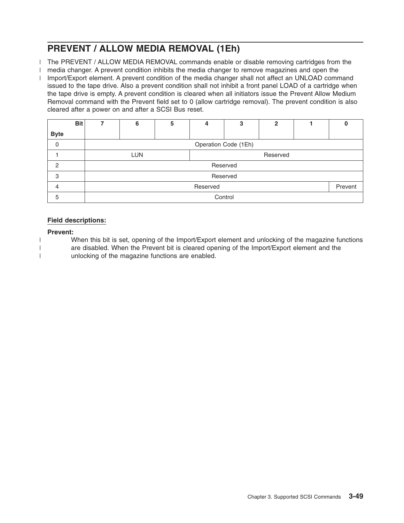# **PREVENT / ALLOW MEDIA REMOVAL (1Eh)**

- The PREVENT / ALLOW MEDIA REMOVAL commands enable or disable removing cartridges from the |
- media changer. A prevent condition inhibits the media changer to remove magazines and open the |
- I Import/Export element. A prevent condition of the media changer shall not affect an UNLOAD command issued to the tape drive. Also a prevent condition shall not inhibit a front panel LOAD of a cartridge when the tape drive is empty. A prevent condition is cleared when all initiators issue the Prevent Allow Medium Removal command with the Prevent field set to 0 (allow cartridge removal). The prevent condition is also cleared after a power on and after a SCSI Bus reset.

|             | <b>Bit</b> |                     | 6                    | 5 | 2<br>3   |          |  |  |  |  |
|-------------|------------|---------------------|----------------------|---|----------|----------|--|--|--|--|
| <b>Byte</b> |            |                     |                      |   |          |          |  |  |  |  |
| $\mathbf 0$ |            |                     | Operation Code (1Eh) |   |          |          |  |  |  |  |
|             |            |                     | <b>LUN</b>           |   | Reserved |          |  |  |  |  |
| 2           |            |                     |                      |   |          | Reserved |  |  |  |  |
| 3           |            |                     |                      |   |          | Reserved |  |  |  |  |
| 4           |            | Prevent<br>Reserved |                      |   |          |          |  |  |  |  |
| 5           |            | Control             |                      |   |          |          |  |  |  |  |

### **Field descriptions:**

#### **Prevent:**

| | |

- When this bit is set, opening of the Import/Export element and unlocking of the magazine functions
	- are disabled. When the Prevent bit is cleared opening of the Import/Export element and the unlocking of the magazine functions are enabled.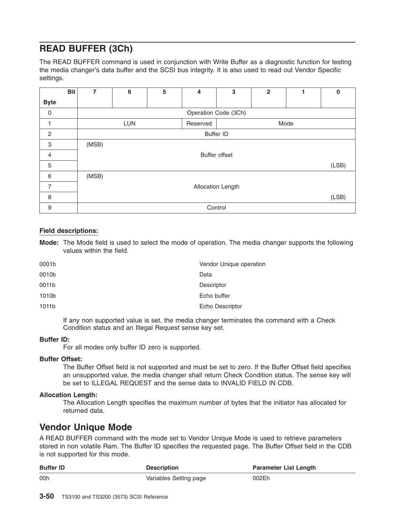# **READ BUFFER (3Ch)**

The READ BUFFER command is used in conjunction with Write Buffer as a diagnostic function for testing the media changer's data buffer and the SCSI bus integrity. It is also used to read out Vendor Specific settings.

|                | <b>Bit</b> | 7     | 6                              | 5 | 4 | 3                    | $\overline{2}$ |  | $\bf{0}$ |
|----------------|------------|-------|--------------------------------|---|---|----------------------|----------------|--|----------|
| <b>Byte</b>    |            |       |                                |   |   |                      |                |  |          |
| 0              |            |       |                                |   |   | Operation Code (3Ch) |                |  |          |
| ۰              |            |       | Mode<br><b>LUN</b><br>Reserved |   |   |                      |                |  |          |
| $\overline{c}$ |            |       | <b>Buffer ID</b>               |   |   |                      |                |  |          |
| 3              |            | (MSB) |                                |   |   |                      |                |  |          |
| $\overline{4}$ |            |       |                                |   |   | <b>Buffer offset</b> |                |  |          |
| 5              |            |       |                                |   |   |                      |                |  | (LSB)    |
| 6              |            | (MSB) |                                |   |   |                      |                |  |          |
| $\overline{7}$ |            |       | Allocation Length              |   |   |                      |                |  |          |
| 8              |            |       |                                |   |   |                      |                |  | (LSB)    |
| 9              |            |       |                                |   |   | Control              |                |  |          |

#### **Field descriptions:**

**Mode:** The Mode field is used to select the mode of operation. The media changer supports the following values within the field.

| 0001b | Vendor Unique operation |
|-------|-------------------------|
| 0010b | Data                    |
| 0011b | Descriptor              |
| 1010b | Echo buffer             |
| 1011b | Echo Descriptor         |
|       |                         |

If any non supported value is set, the media changer terminates the command with a Check Condition status and an Illegal Request sense key set.

#### **Buffer ID:**

For all modes only buffer ID zero is supported.

#### **Buffer Offset:**

The Buffer Offset field is not supported and must be set to zero. If the Buffer Offset field specifies an unsupported value, the media changer shall return Check Condition status. The sense key will be set to ILLEGAL REQUEST and the sense data to INVALID FIELD IN CDB.

#### **Allocation Length:**

The Allocation Length specifies the maximum number of bytes that the initiator has allocated for returned data.

# **Vendor Unique Mode**

A READ BUFFER command with the mode set to Vendor Unique Mode is used to retrieve parameters stored in non volatile Ram. The Buffer ID specifies the requested page. The Buffer Offset field in the CDB is not supported for this mode.

| <b>Buffer ID</b> | <b>Description</b>     | <b>Parameter List Length</b> |
|------------------|------------------------|------------------------------|
| 00h              | Variables Setting page | 002Eh                        |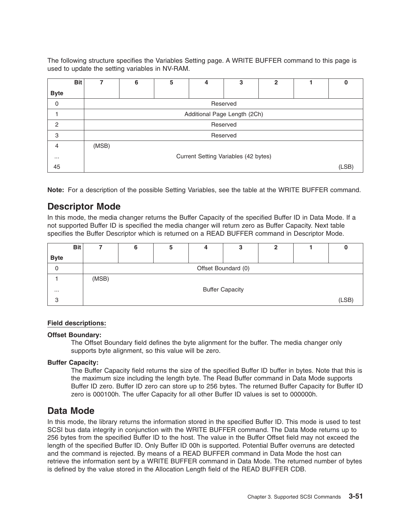The following structure specifies the Variables Setting page. A WRITE BUFFER command to this page is used to update the setting variables in NV-RAM.

|               | <b>Bit</b> |       | 6                                    | 5 | 4                            | 3        | 2 |  | 0     |  |
|---------------|------------|-------|--------------------------------------|---|------------------------------|----------|---|--|-------|--|
| <b>Byte</b>   |            |       |                                      |   |                              |          |   |  |       |  |
| $\mathbf 0$   |            |       |                                      |   |                              | Reserved |   |  |       |  |
|               |            |       |                                      |   | Additional Page Length (2Ch) |          |   |  |       |  |
| $\mathcal{P}$ |            |       |                                      |   |                              | Reserved |   |  |       |  |
| 3             |            |       |                                      |   |                              | Reserved |   |  |       |  |
| 4             |            | (MSB) |                                      |   |                              |          |   |  |       |  |
| $\cdots$      |            |       | Current Setting Variables (42 bytes) |   |                              |          |   |  |       |  |
| 45            |            |       |                                      |   |                              |          |   |  | (LSB) |  |

**Note:** For a description of the possible Setting Variables, see the table at the WRITE BUFFER command.

### **Descriptor Mode**

In this mode, the media changer returns the Buffer Capacity of the specified Buffer ID in Data Mode. If a not supported Buffer ID is specified the media changer will return zero as Buffer Capacity. Next table specifies the Buffer Descriptor which is returned on a READ BUFFER command in Descriptor Mode.

|             | <b>Bit</b> |       | 6 | a | 3                      | 2 |       |
|-------------|------------|-------|---|---|------------------------|---|-------|
| <b>Byte</b> |            |       |   |   |                        |   |       |
| 0           |            |       |   |   | Offset Boundard (0)    |   |       |
|             |            | (MSB) |   |   |                        |   |       |
| $\cdots$    |            |       |   |   | <b>Buffer Capacity</b> |   |       |
| 3           |            |       |   |   |                        |   | (LSB) |

#### **Field descriptions:**

#### **Offset Boundary:**

The Offset Boundary field defines the byte alignment for the buffer. The media changer only supports byte alignment, so this value will be zero.

#### **Buffer Capacity:**

The Buffer Capacity field returns the size of the specified Buffer ID buffer in bytes. Note that this is the maximum size including the length byte. The Read Buffer command in Data Mode supports Buffer ID zero. Buffer ID zero can store up to 256 bytes. The returned Buffer Capacity for Buffer ID zero is 000100h. The uffer Capacity for all other Buffer ID values is set to 000000h.

### **Data Mode**

In this mode, the library returns the information stored in the specified Buffer ID. This mode is used to test SCSI bus data integrity in conjunction with the WRITE BUFFER command. The Data Mode returns up to 256 bytes from the specified Buffer ID to the host. The value in the Buffer Offset field may not exceed the length of the specified Buffer ID. Only Buffer ID 00h is supported. Potential Buffer overruns are detected and the command is rejected. By means of a READ BUFFER command in Data Mode the host can retrieve the information sent by a WRITE BUFFER command in Data Mode. The returned number of bytes is defined by the value stored in the Allocation Length field of the READ BUFFER CDB.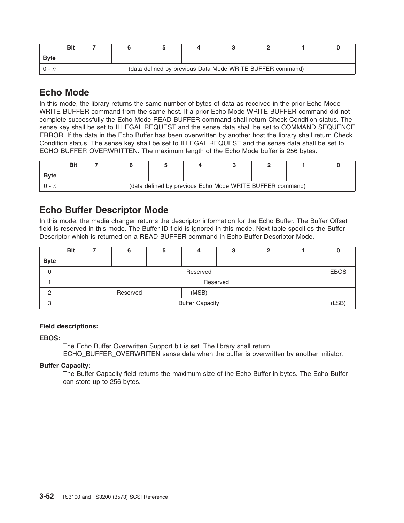| Bit          |  |                                                           |  |  |  |
|--------------|--|-----------------------------------------------------------|--|--|--|
| <b>B</b> vte |  |                                                           |  |  |  |
|              |  | (data defined by previous Data Mode WRITE BUFFER command) |  |  |  |

# **Echo Mode**

In this mode, the library returns the same number of bytes of data as received in the prior Echo Mode WRITE BUFFER command from the same host. If a prior Echo Mode WRITE BUFFER command did not complete successfully the Echo Mode READ BUFFER command shall return Check Condition status. The sense key shall be set to ILLEGAL REQUEST and the sense data shall be set to COMMAND SEQUENCE ERROR. If the data in the Echo Buffer has been overwritten by another host the library shall return Check Condition status. The sense key shall be set to ILLEGAL REQUEST and the sense data shall be set to ECHO BUFFER OVERWRITTEN. The maximum length of the Echo Mode buffer is 256 bytes.

| Bit          |                                                           |  |  |  |  |  |  |  |  |
|--------------|-----------------------------------------------------------|--|--|--|--|--|--|--|--|
| <b>B</b> vte |                                                           |  |  |  |  |  |  |  |  |
|              | (data defined by previous Echo Mode WRITE BUFFER command) |  |  |  |  |  |  |  |  |

# **Echo Buffer Descriptor Mode**

In this mode, the media changer returns the descriptor information for the Echo Buffer. The Buffer Offset field is reserved in this mode. The Buffer ID field is ignored in this mode. Next table specifies the Buffer Descriptor which is returned on a READ BUFFER command in Echo Buffer Descriptor Mode.

|             | <b>Bit</b> |                        |                   | э |          | ິ<br>J   | ົ |  |             |  |  |  |
|-------------|------------|------------------------|-------------------|---|----------|----------|---|--|-------------|--|--|--|
| <b>Byte</b> |            |                        |                   |   |          |          |   |  |             |  |  |  |
| 0           |            |                        |                   |   | Reserved |          |   |  | <b>EBOS</b> |  |  |  |
|             |            |                        |                   |   |          | Reserved |   |  |             |  |  |  |
| ∩           |            |                        | (MSB)<br>Reserved |   |          |          |   |  |             |  |  |  |
| 3           |            | <b>Buffer Capacity</b> |                   |   |          |          |   |  |             |  |  |  |

#### **Field descriptions:**

#### **EBOS:**

The Echo Buffer Overwritten Support bit is set. The library shall return ECHO\_BUFFER\_OVERWRITEN\_sense data when the buffer is overwritten by another initiator.

#### **Buffer Capacity:**

The Buffer Capacity field returns the maximum size of the Echo Buffer in bytes. The Echo Buffer can store up to 256 bytes.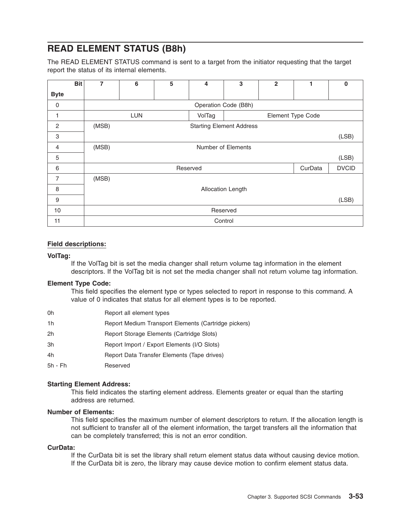# **READ ELEMENT STATUS (B8h)**

The READ ELEMENT STATUS command is sent to a target from the initiator requesting that the target report the status of its internal elements.

|                | <b>Bit</b> | 7     | 6          | 5 | 4        | 3                               | $\overline{2}$ |                   | $\bf{0}$     |
|----------------|------------|-------|------------|---|----------|---------------------------------|----------------|-------------------|--------------|
| <b>Byte</b>    |            |       |            |   |          |                                 |                |                   |              |
| 0              |            |       |            |   |          | Operation Code (B8h)            |                |                   |              |
|                |            |       | <b>LUN</b> |   | VolTag   |                                 |                | Element Type Code |              |
| $\mathbf{2}$   |            | (MSB) |            |   |          | <b>Starting Element Address</b> |                |                   |              |
| 3              |            |       |            |   |          |                                 |                |                   | (LSB)        |
| 4              |            | (MSB) |            |   |          | Number of Elements              |                |                   |              |
| 5              |            |       |            |   |          |                                 |                |                   | (LSB)        |
| 6              |            |       |            |   | Reserved |                                 |                | CurData           | <b>DVCID</b> |
| $\overline{7}$ |            | (MSB) |            |   |          |                                 |                |                   |              |
| 8              |            |       |            |   |          | Allocation Length               |                |                   |              |
| 9              |            |       |            |   |          |                                 |                |                   | (LSB)        |
| 10             |            |       |            |   |          | Reserved                        |                |                   |              |
| 11             |            |       |            |   |          | Control                         |                |                   |              |

#### **Field descriptions:**

#### **VolTag:**

If the VolTag bit is set the media changer shall return volume tag information in the element descriptors. If the VolTag bit is not set the media changer shall not return volume tag information.

#### **Element Type Code:**

This field specifies the element type or types selected to report in response to this command. A value of 0 indicates that status for all element types is to be reported.

| 0h        | Report all element types                             |
|-----------|------------------------------------------------------|
| 1h        | Report Medium Transport Elements (Cartridge pickers) |
| 2h        | Report Storage Elements (Cartridge Slots)            |
| 3h        | Report Import / Export Elements (I/O Slots)          |
| 4h        | Report Data Transfer Elements (Tape drives)          |
| $5h - Fh$ | Reserved                                             |

#### **Starting Element Address:**

This field indicates the starting element address. Elements greater or equal than the starting address are returned.

#### **Number of Elements:**

This field specifies the maximum number of element descriptors to return. If the allocation length is not sufficient to transfer all of the element information, the target transfers all the information that can be completely transferred; this is not an error condition.

### **CurData:**

If the CurData bit is set the library shall return element status data without causing device motion. If the CurData bit is zero, the library may cause device motion to confirm element status data.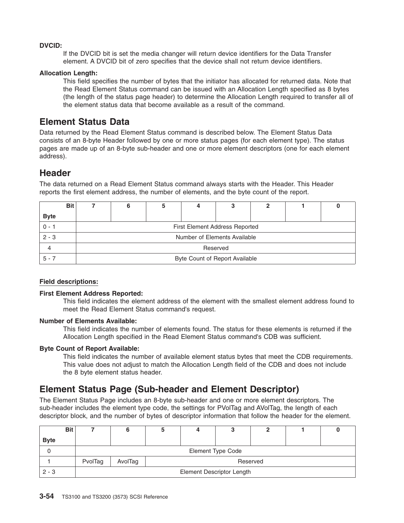#### **DVCID:**

If the DVCID bit is set the media changer will return device identifiers for the Data Transfer element. A DVCID bit of zero specifies that the device shall not return device identifiers.

#### **Allocation Length:**

This field specifies the number of bytes that the initiator has allocated for returned data. Note that the Read Element Status command can be issued with an Allocation Length specified as 8 bytes (the length of the status page header) to determine the Allocation Length required to transfer all of the element status data that become available as a result of the command.

### **Element Status Data**

Data returned by the Read Element Status command is described below. The Element Status Data consists of an 8-byte Header followed by one or more status pages (for each element type). The status pages are made up of an 8-byte sub-header and one or more element descriptors (one for each element address).

### **Header**

The data returned on a Read Element Status command always starts with the Header. This Header reports the first element address, the number of elements, and the byte count of the report.

|             | <b>Bit</b> |          |  |                                       |  |  |  |  |  |  |
|-------------|------------|----------|--|---------------------------------------|--|--|--|--|--|--|
| <b>Byte</b> |            |          |  |                                       |  |  |  |  |  |  |
| $0 - 1$     |            |          |  | <b>First Element Address Reported</b> |  |  |  |  |  |  |
| $2 - 3$     |            |          |  | Number of Elements Available          |  |  |  |  |  |  |
|             |            | Reserved |  |                                       |  |  |  |  |  |  |
| $5 - 7$     |            |          |  | Byte Count of Report Available        |  |  |  |  |  |  |

#### **Field descriptions:**

#### **First Element Address Reported:**

This field indicates the element address of the element with the smallest element address found to meet the Read Element Status command's request.

#### **Number of Elements Available:**

This field indicates the number of elements found. The status for these elements is returned if the Allocation Length specified in the Read Element Status command's CDB was sufficient.

#### **Byte Count of Report Available:**

This field indicates the number of available element status bytes that meet the CDB requirements. This value does not adjust to match the Allocation Length field of the CDB and does not include the 8 byte element status header.

# **Element Status Page (Sub-header and Element Descriptor)**

The Element Status Page includes an 8-byte sub-header and one or more element descriptors. The sub-header includes the element type code, the settings for PVolTag and AVolTag, the length of each descriptor block, and the number of bytes of descriptor information that follow the header for the element.

|             | <b>Bit</b> |         |         |                                  |                          |          |  |
|-------------|------------|---------|---------|----------------------------------|--------------------------|----------|--|
| <b>Byte</b> |            |         |         |                                  |                          |          |  |
|             |            |         |         |                                  | <b>Element Type Code</b> |          |  |
|             |            | PvolTag | AvolTag |                                  |                          | Reserved |  |
| $2 - 3$     |            |         |         | <b>Element Descriptor Length</b> |                          |          |  |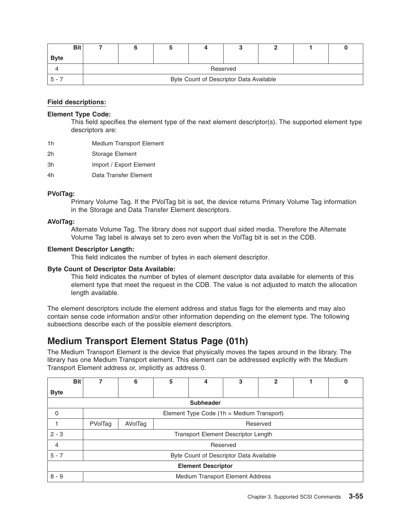| <b>Bit</b>  |  |                                         |  |  |
|-------------|--|-----------------------------------------|--|--|
| <b>Byte</b> |  |                                         |  |  |
|             |  | Reserved                                |  |  |
|             |  | Byte Count of Descriptor Data Available |  |  |

#### **Element Type Code:**

This field specifies the element type of the next element descriptor(s). The supported element type descriptors are:

- 1h Medium Transport Element
- 2h Storage Element
- 3h Import / Export Element
- 4h Data Transfer Element

#### **PVolTag:**

Primary Volume Tag. If the PVolTag bit is set, the device returns Primary Volume Tag information in the Storage and Data Transfer Element descriptors.

#### **AVolTag:**

Alternate Volume Tag. The library does not support dual sided media. Therefore the Alternate Volume Tag label is always set to zero even when the VolTag bit is set in the CDB.

#### **Element Descriptor Length:**

This field indicates the number of bytes in each element descriptor.

#### **Byte Count of Descriptor Data Available:**

This field indicates the number of bytes of element descriptor data available for elements of this element type that meet the request in the CDB. The value is not adjusted to match the allocation length available.

The element descriptors include the element address and status flags for the elements and may also contain sense code information and/or other information depending on the element type. The following subsections describe each of the possible element descriptors.

### **Medium Transport Element Status Page (01h)**

The Medium Transport Element is the device that physically moves the tapes around in the library. The library has one Medium Transport element. This element can be addressed explicitly with the Medium Transport Element address or, implicitly as address 0.

| <b>Bit</b>     |         | 6                                       | 5 | 4                | 3                                          | $\mathbf{2}$ |  | υ |  |  |  |
|----------------|---------|-----------------------------------------|---|------------------|--------------------------------------------|--------------|--|---|--|--|--|
| <b>Byte</b>    |         |                                         |   |                  |                                            |              |  |   |  |  |  |
|                |         |                                         |   | <b>Subheader</b> |                                            |              |  |   |  |  |  |
| 0              |         |                                         |   |                  | Element Type Code (1h = Medium Transport)  |              |  |   |  |  |  |
|                | PVolTag | AVolTag                                 |   |                  |                                            | Reserved     |  |   |  |  |  |
| $2 - 3$        |         |                                         |   |                  | <b>Transport Element Descriptor Length</b> |              |  |   |  |  |  |
| $\overline{4}$ |         |                                         |   |                  | Reserved                                   |              |  |   |  |  |  |
| $5 - 7$        |         | Byte Count of Descriptor Data Available |   |                  |                                            |              |  |   |  |  |  |
|                |         | <b>Element Descriptor</b>               |   |                  |                                            |              |  |   |  |  |  |
| $8 - 9$        |         |                                         |   |                  | Medium Transport Element Address           |              |  |   |  |  |  |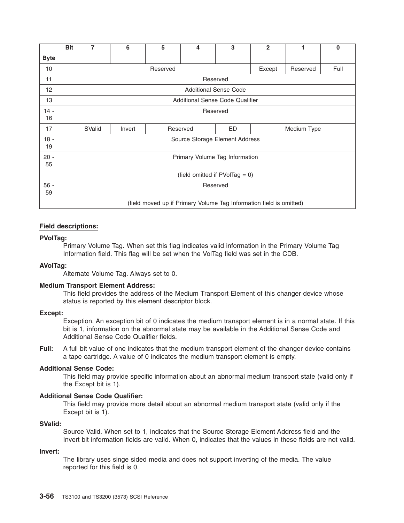|              | <b>Bit</b> | 7                                                                   | 6      | 5                             | 4 | 3        | $\mathbf{2}$ | 1 | $\bf{0}$ |  |
|--------------|------------|---------------------------------------------------------------------|--------|-------------------------------|---|----------|--------------|---|----------|--|
| <b>Byte</b>  |            |                                                                     |        |                               |   |          |              |   |          |  |
| 10           |            | Full<br>Reserved<br>Except<br>Reserved                              |        |                               |   |          |              |   |          |  |
| 11           |            |                                                                     |        |                               |   | Reserved |              |   |          |  |
| 12           |            | <b>Additional Sense Code</b>                                        |        |                               |   |          |              |   |          |  |
| 13           |            | Additional Sense Code Qualifier                                     |        |                               |   |          |              |   |          |  |
| $14 -$<br>16 |            | Reserved                                                            |        |                               |   |          |              |   |          |  |
| 17           |            | SValid                                                              | Invert | ED<br>Reserved<br>Medium Type |   |          |              |   |          |  |
| $18 -$<br>19 |            | Source Storage Element Address                                      |        |                               |   |          |              |   |          |  |
| $20 -$<br>55 |            | Primary Volume Tag Information                                      |        |                               |   |          |              |   |          |  |
|              |            | (field omitted if $PVolTag = 0$ )                                   |        |                               |   |          |              |   |          |  |
| $56 -$<br>59 |            | Reserved                                                            |        |                               |   |          |              |   |          |  |
|              |            | (field moved up if Primary Volume Tag Information field is omitted) |        |                               |   |          |              |   |          |  |

#### **PVolTag:**

Primary Volume Tag. When set this flag indicates valid information in the Primary Volume Tag Information field. This flag will be set when the VolTag field was set in the CDB.

#### **AVolTag:**

Alternate Volume Tag. Always set to 0.

#### **Medium Transport Element Address:**

This field provides the address of the Medium Transport Element of this changer device whose status is reported by this element descriptor block.

#### **Except:**

Exception. An exception bit of 0 indicates the medium transport element is in a normal state. If this bit is 1, information on the abnormal state may be available in the Additional Sense Code and Additional Sense Code Qualifier fields.

**Full:** A full bit value of one indicates that the medium transport element of the changer device contains a tape cartridge. A value of 0 indicates the medium transport element is empty.

#### **Additional Sense Code:**

This field may provide specific information about an abnormal medium transport state (valid only if the Except bit is 1).

#### **Additional Sense Code Qualifier:**

This field may provide more detail about an abnormal medium transport state (valid only if the Except bit is 1).

#### **SValid:**

Source Valid. When set to 1, indicates that the Source Storage Element Address field and the Invert bit information fields are valid. When 0, indicates that the values in these fields are not valid.

#### **Invert:**

The library uses singe sided media and does not support inverting of the media. The value reported for this field is 0.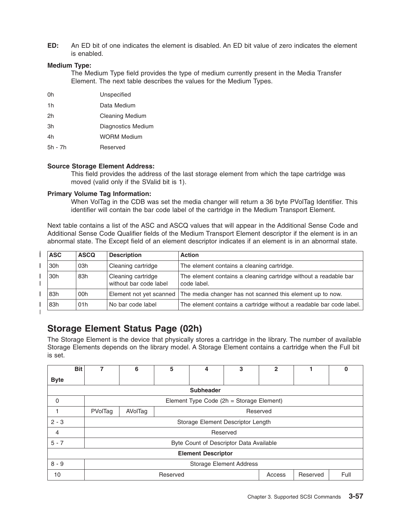**ED:** An ED bit of one indicates the element is disabled. An ED bit value of zero indicates the element is enabled.

#### **Medium Type:**

The Medium Type field provides the type of medium currently present in the Media Transfer Element. The next table describes the values for the Medium Types.

- 0h Unspecified
- 1h Data Medium
- 2h Cleaning Medium
- 3h Diagnostics Medium
- 4h WORM Medium
- 5h 7h Reserved

#### **Source Storage Element Address:**

This field provides the address of the last storage element from which the tape cartridge was moved (valid only if the SValid bit is 1).

#### **Primary Volume Tag Information:**

When VolTag in the CDB was set the media changer will return a 36 byte PVolTag Identifier. This identifier will contain the bar code label of the cartridge in the Medium Transport Element.

Next table contains a list of the ASC and ASCQ values that will appear in the Additional Sense Code and Additional Sense Code Qualifier fields of the Medium Transport Element descriptor if the element is in an abnormal state. The Except field of an element descriptor indicates if an element is in an abnormal state.

| <b>ASC</b> | <b>ASCQ</b> | <b>Description</b>                           | <b>Action</b>                                                                     |
|------------|-------------|----------------------------------------------|-----------------------------------------------------------------------------------|
| 30h        | 03h         | Cleaning cartridge                           | The element contains a cleaning cartridge.                                        |
| 30h        | 83h         | Cleaning cartridge<br>without bar code label | The element contains a cleaning cartridge without a readable bar<br>code label.   |
| 83h        | 00h         |                                              | Element not yet scanned The media changer has not scanned this element up to now. |
| 83h        | 01h         | No bar code label                            | The element contains a cartridge without a readable bar code label.               |

|

# **Storage Element Status Page (02h)**

The Storage Element is the device that physically stores a cartridge in the library. The number of available Storage Elements depends on the library model. A Storage Element contains a cartridge when the Full bit is set.

|                           | <b>Bit</b> | 7                                        | 6 | 5 | 4 | 3 | $\mathbf{2}$ |  | 0 |  |
|---------------------------|------------|------------------------------------------|---|---|---|---|--------------|--|---|--|
| <b>Byte</b>               |            |                                          |   |   |   |   |              |  |   |  |
| <b>Subheader</b>          |            |                                          |   |   |   |   |              |  |   |  |
| $\Omega$                  |            | Element Type Code (2h = Storage Element) |   |   |   |   |              |  |   |  |
|                           |            | PVolTag<br>AVolTag<br>Reserved           |   |   |   |   |              |  |   |  |
| $2 - 3$                   |            | Storage Element Descriptor Length        |   |   |   |   |              |  |   |  |
| 4                         |            | Reserved                                 |   |   |   |   |              |  |   |  |
| $5 - 7$                   |            | Byte Count of Descriptor Data Available  |   |   |   |   |              |  |   |  |
| <b>Element Descriptor</b> |            |                                          |   |   |   |   |              |  |   |  |
| $8 - 9$                   |            | <b>Storage Element Address</b>           |   |   |   |   |              |  |   |  |
| 10                        |            | Full<br>Reserved<br>Reserved<br>Access   |   |   |   |   |              |  |   |  |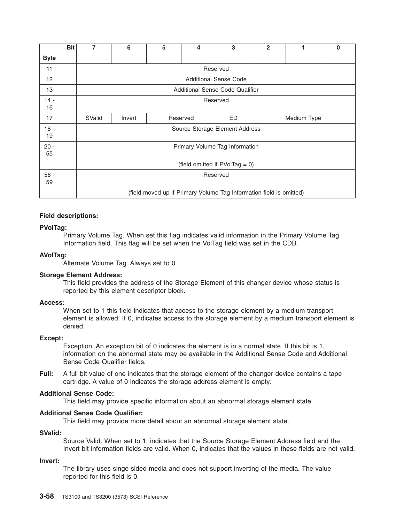|                 | <b>Bit</b> | 7                                                                   | 6      | 5 | 4        | 3                            | $\overline{2}$ |  | 0 |  |  |
|-----------------|------------|---------------------------------------------------------------------|--------|---|----------|------------------------------|----------------|--|---|--|--|
| <b>Byte</b>     |            |                                                                     |        |   |          |                              |                |  |   |  |  |
| 11              |            | Reserved                                                            |        |   |          |                              |                |  |   |  |  |
| 12 <sup>2</sup> |            |                                                                     |        |   |          | <b>Additional Sense Code</b> |                |  |   |  |  |
| 13              |            | Additional Sense Code Qualifier                                     |        |   |          |                              |                |  |   |  |  |
| $14 -$<br>16    |            | Reserved                                                            |        |   |          |                              |                |  |   |  |  |
| 17              |            | SValid                                                              | Invert |   | Reserved | ED                           | Medium Type    |  |   |  |  |
| $18 -$<br>19    |            | Source Storage Element Address                                      |        |   |          |                              |                |  |   |  |  |
| $20 -$<br>55    |            | Primary Volume Tag Information                                      |        |   |          |                              |                |  |   |  |  |
|                 |            | (field omitted if $PVolTag = 0$ )                                   |        |   |          |                              |                |  |   |  |  |
| $56 -$<br>59    |            | Reserved                                                            |        |   |          |                              |                |  |   |  |  |
|                 |            | (field moved up if Primary Volume Tag Information field is omitted) |        |   |          |                              |                |  |   |  |  |

#### **PVolTag:**

Primary Volume Tag. When set this flag indicates valid information in the Primary Volume Tag Information field. This flag will be set when the VolTag field was set in the CDB.

#### **AVolTag:**

Alternate Volume Tag. Always set to 0.

#### **Storage Element Address:**

This field provides the address of the Storage Element of this changer device whose status is reported by this element descriptor block.

#### **Access:**

When set to 1 this field indicates that access to the storage element by a medium transport element is allowed. If 0, indicates access to the storage element by a medium transport element is denied.

#### **Except:**

Exception. An exception bit of 0 indicates the element is in a normal state. If this bit is 1, information on the abnormal state may be available in the Additional Sense Code and Additional Sense Code Qualifier fields.

**Full:** A full bit value of one indicates that the storage element of the changer device contains a tape cartridge. A value of 0 indicates the storage address element is empty.

#### **Additional Sense Code:**

This field may provide specific information about an abnormal storage element state.

#### **Additional Sense Code Qualifier:**

This field may provide more detail about an abnormal storage element state.

#### **SValid:**

Source Valid. When set to 1, indicates that the Source Storage Element Address field and the Invert bit information fields are valid. When 0, indicates that the values in these fields are not valid.

#### **Invert:**

The library uses singe sided media and does not support inverting of the media. The value reported for this field is 0.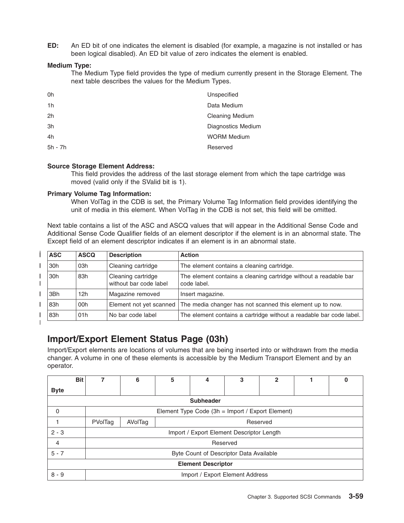**ED:** An ED bit of one indicates the element is disabled (for example, a magazine is not installed or has been logical disabled). An ED bit value of zero indicates the element is enabled.

#### **Medium Type:**

The Medium Type field provides the type of medium currently present in the Storage Element. The next table describes the values for the Medium Types.

| 0h             | Unspecified            |
|----------------|------------------------|
| 1 <sub>h</sub> | Data Medium            |
| 2h             | <b>Cleaning Medium</b> |
| 3h             | Diagnostics Medium     |
| 4h             | <b>WORM Medium</b>     |
| 5h - 7h        | Reserved               |

#### **Source Storage Element Address:**

This field provides the address of the last storage element from which the tape cartridge was moved (valid only if the SValid bit is 1).

#### **Primary Volume Tag Information:**

When VolTag in the CDB is set, the Primary Volume Tag Information field provides identifying the unit of media in this element. When VolTag in the CDB is not set, this field will be omitted.

Next table contains a list of the ASC and ASCQ values that will appear in the Additional Sense Code and Additional Sense Code Qualifier fields of an element descriptor if the element is in an abnormal state. The Except field of an element descriptor indicates if an element is in an abnormal state.

| <b>ASC</b> | <b>ASCQ</b> | <b>Description</b>                           | <b>Action</b>                                                                       |
|------------|-------------|----------------------------------------------|-------------------------------------------------------------------------------------|
| 30h        | 03h         | Cleaning cartridge                           | The element contains a cleaning cartridge.                                          |
| 30h        | 83h         | Cleaning cartridge<br>without bar code label | The element contains a cleaning cartridge without a readable bar<br>code label.     |
| 3Bh        | 12h         | Magazine removed                             | Insert magazine.                                                                    |
| 83h        | 00h         |                                              | Element not yet scanned   The media changer has not scanned this element up to now. |
| 83h        | 01h         | No bar code label                            | The element contains a cartridge without a readable bar code label.                 |

|

### **Import/Export Element Status Page (03h)**

Import/Export elements are locations of volumes that are being inserted into or withdrawn from the media changer. A volume in one of these elements is accessible by the Medium Transport Element and by an operator.

|                  | <b>Bit</b>                |         | 6                                                | 5 | 4                                         | 3 | 2 |  | 0 |  |  |
|------------------|---------------------------|---------|--------------------------------------------------|---|-------------------------------------------|---|---|--|---|--|--|
| <b>Byte</b>      |                           |         |                                                  |   |                                           |   |   |  |   |  |  |
| <b>Subheader</b> |                           |         |                                                  |   |                                           |   |   |  |   |  |  |
| 0                |                           |         | Element Type Code (3h = Import / Export Element) |   |                                           |   |   |  |   |  |  |
|                  |                           | PVolTag | AVolTag                                          |   | Reserved                                  |   |   |  |   |  |  |
| $2 - 3$          |                           |         |                                                  |   | Import / Export Element Descriptor Length |   |   |  |   |  |  |
| 4                |                           |         |                                                  |   | Reserved                                  |   |   |  |   |  |  |
| $5 - 7$          |                           |         | Byte Count of Descriptor Data Available          |   |                                           |   |   |  |   |  |  |
|                  | <b>Element Descriptor</b> |         |                                                  |   |                                           |   |   |  |   |  |  |
| $8 - 9$          |                           |         |                                                  |   | Import / Export Element Address           |   |   |  |   |  |  |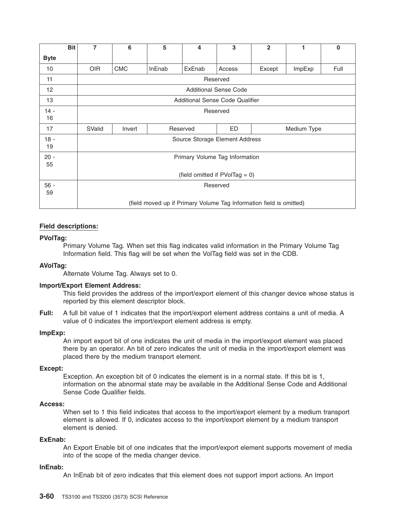|             | <b>Bit</b> | 7          | 6                               | 5      | 4        | 3                                                                   | $\mathbf{2}$ | 1           | 0    |  |  |  |
|-------------|------------|------------|---------------------------------|--------|----------|---------------------------------------------------------------------|--------------|-------------|------|--|--|--|
| <b>Byte</b> |            |            |                                 |        |          |                                                                     |              |             |      |  |  |  |
| 10          |            | <b>OIR</b> | <b>CMC</b>                      | InEnab | ExEnab   | Access                                                              | Except       | ImpExp      | Full |  |  |  |
| 11          |            | Reserved   |                                 |        |          |                                                                     |              |             |      |  |  |  |
| 12          |            |            | <b>Additional Sense Code</b>    |        |          |                                                                     |              |             |      |  |  |  |
| 13          |            |            | Additional Sense Code Qualifier |        |          |                                                                     |              |             |      |  |  |  |
| $14 -$      |            | Reserved   |                                 |        |          |                                                                     |              |             |      |  |  |  |
| 16          |            |            |                                 |        |          |                                                                     |              |             |      |  |  |  |
| 17          |            | SValid     | Invert                          |        | Reserved | ED                                                                  |              | Medium Type |      |  |  |  |
| $18 -$      |            |            |                                 |        |          | Source Storage Element Address                                      |              |             |      |  |  |  |
| 19          |            |            |                                 |        |          |                                                                     |              |             |      |  |  |  |
| $20 -$      |            |            |                                 |        |          | Primary Volume Tag Information                                      |              |             |      |  |  |  |
| 55          |            |            |                                 |        |          |                                                                     |              |             |      |  |  |  |
|             |            |            |                                 |        |          | (field omitted if $PVolTag = 0$ )                                   |              |             |      |  |  |  |
| $56 -$      |            |            | Reserved                        |        |          |                                                                     |              |             |      |  |  |  |
| 59          |            |            |                                 |        |          |                                                                     |              |             |      |  |  |  |
|             |            |            |                                 |        |          | (field moved up if Primary Volume Tag Information field is omitted) |              |             |      |  |  |  |

#### **Field descriptions:**

#### **PVolTag:**

Primary Volume Tag. When set this flag indicates valid information in the Primary Volume Tag Information field. This flag will be set when the VolTag field was set in the CDB.

#### **AVolTag:**

Alternate Volume Tag. Always set to 0.

#### **Import/Export Element Address:**

This field provides the address of the import/export element of this changer device whose status is reported by this element descriptor block.

**Full:** A full bit value of 1 indicates that the import/export element address contains a unit of media. A value of 0 indicates the import/export element address is empty.

#### **ImpExp:**

An import export bit of one indicates the unit of media in the import/export element was placed there by an operator. An bit of zero indicates the unit of media in the import/export element was placed there by the medium transport element.

#### **Except:**

Exception. An exception bit of 0 indicates the element is in a normal state. If this bit is 1, information on the abnormal state may be available in the Additional Sense Code and Additional Sense Code Qualifier fields.

#### **Access:**

When set to 1 this field indicates that access to the import/export element by a medium transport element is allowed. If 0, indicates access to the import/export element by a medium transport element is denied.

#### **ExEnab:**

An Export Enable bit of one indicates that the import/export element supports movement of media into of the scope of the media changer device.

#### **InEnab:**

An InEnab bit of zero indicates that this element does not support import actions. An Import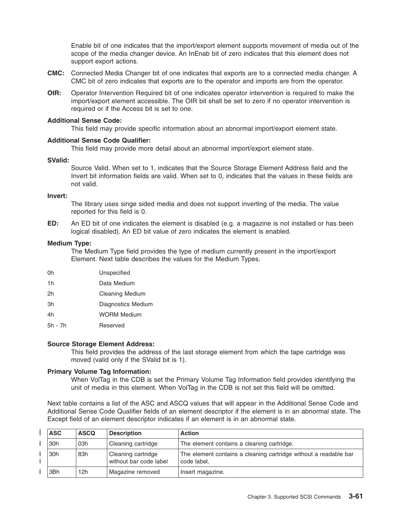Enable bit of one indicates that the import/export element supports movement of media out of the scope of the media changer device. An InEnab bit of zero indicates that this element does not support export actions.

- **CMC:** Connected Media Changer bit of one indicates that exports are to a connected media changer. A CMC bit of zero indicates that exports are to the operator and imports are from the operator.
- **OIR:** Operator Intervention Required bit of one indicates operator intervention is required to make the import/export element accessible. The OIR bit shall be set to zero if no operator intervention is required or if the Access bit is set to one.

#### **Additional Sense Code:**

This field may provide specific information about an abnormal import/export element state.

#### **Additional Sense Code Qualifier:**

This field may provide more detail about an abnormal import/export element state.

#### **SValid:**

Source Valid. When set to 1, indicates that the Source Storage Element Address field and the Invert bit information fields are valid. When set to 0, indicates that the values in these fields are not valid.

#### **Invert:**

The library uses singe sided media and does not support inverting of the media. The value reported for this field is 0.

**ED:** An ED bit of one indicates the element is disabled (e.g. a magazine is not installed or has been logical disabled). An ED bit value of zero indicates the element is enabled.

#### **Medium Type:**

The Medium Type field provides the type of medium currently present in the import/export Element. Next table describes the values for the Medium Types.

- 0h Unspecified
- 1h Data Medium
- 2h Cleaning Medium
- 3h Diagnostics Medium
- 4h WORM Medium
- 5h 7h Reserved

#### **Source Storage Element Address:**

This field provides the address of the last storage element from which the tape cartridge was moved (valid only if the SValid bit is 1).

#### **Primary Volume Tag Information:**

When VolTag in the CDB is set the Primary Volume Tag Information field provides identifying the unit of media in this element. When VolTag in the CDB is not set this field will be omitted.

Next table contains a list of the ASC and ASCQ values that will appear in the Additional Sense Code and Additional Sense Code Qualifier fields of an element descriptor if the element is in an abnormal state. The Except field of an element descriptor indicates if an element is in an abnormal state.

| <b>ASC</b> | <b>ASCQ</b> | <b>Description</b>                           | <b>Action</b>                                                                   |
|------------|-------------|----------------------------------------------|---------------------------------------------------------------------------------|
| '30h       | 03h         | Cleaning cartridge                           | The element contains a cleaning cartridge.                                      |
| '30h       | 83h         | Cleaning cartridge<br>without bar code label | The element contains a cleaning cartridge without a readable bar<br>code label. |
| 3Bh        | 12h         | Magazine removed                             | Insert magazine.                                                                |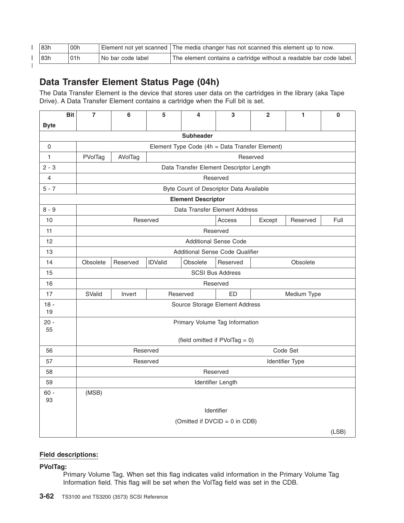| 83h | 00h |                     | Element not yet scanned   The media changer has not scanned this element up to now. |
|-----|-----|---------------------|-------------------------------------------------------------------------------------|
| 83h | 01h | l No bar code label | The element contains a cartridge without a readable bar code label.                 |
|     |     |                     |                                                                                     |

### **Data Transfer Element Status Page (04h)**

The Data Transfer Element is the device that stores user data on the cartridges in the library (aka Tape Drive). A Data Transfer Element contains a cartridge when the Full bit is set.

|                     | <b>Bit</b>                | $\overline{7}$ | 6                                                | 5              | 4                | 3                                              | $\mathbf{2}$ | 1               | 0     |  |  |
|---------------------|---------------------------|----------------|--------------------------------------------------|----------------|------------------|------------------------------------------------|--------------|-----------------|-------|--|--|
| <b>Byte</b>         |                           |                |                                                  |                |                  |                                                |              |                 |       |  |  |
|                     |                           |                |                                                  |                | <b>Subheader</b> |                                                |              |                 |       |  |  |
| $\mathsf{O}\xspace$ |                           |                |                                                  |                |                  | Element Type Code (4h = Data Transfer Element) |              |                 |       |  |  |
| 1                   |                           | PVolTag        | AVolTag                                          |                |                  |                                                | Reserved     |                 |       |  |  |
| $2 - 3$             |                           |                | Data Transfer Element Descriptor Length          |                |                  |                                                |              |                 |       |  |  |
| 4                   |                           |                | Reserved                                         |                |                  |                                                |              |                 |       |  |  |
| $5 - 7$             |                           |                | Byte Count of Descriptor Data Available          |                |                  |                                                |              |                 |       |  |  |
|                     | <b>Element Descriptor</b> |                |                                                  |                |                  |                                                |              |                 |       |  |  |
| $8 - 9$             |                           |                |                                                  |                |                  | Data Transfer Element Address                  |              |                 |       |  |  |
| 10                  |                           |                | Access<br>Full<br>Reserved<br>Except<br>Reserved |                |                  |                                                |              |                 |       |  |  |
| 11                  |                           |                |                                                  |                |                  | Reserved                                       |              |                 |       |  |  |
| 12                  |                           |                |                                                  |                |                  | <b>Additional Sense Code</b>                   |              |                 |       |  |  |
| 13                  |                           |                | <b>Additional Sense Code Qualifier</b>           |                |                  |                                                |              |                 |       |  |  |
| 14                  |                           | Obsolete       | Reserved                                         | <b>IDValid</b> | Obsolete         | Reserved                                       |              | Obsolete        |       |  |  |
| 15                  |                           |                |                                                  |                |                  | <b>SCSI Bus Address</b>                        |              |                 |       |  |  |
| 16                  |                           |                |                                                  |                |                  | Reserved                                       |              |                 |       |  |  |
| 17                  |                           | SValid         | Invert                                           |                | Reserved         | ED                                             |              | Medium Type     |       |  |  |
| $18 -$              |                           |                |                                                  |                |                  | Source Storage Element Address                 |              |                 |       |  |  |
| 19                  |                           |                |                                                  |                |                  |                                                |              |                 |       |  |  |
| $20 -$<br>55        |                           |                |                                                  |                |                  | Primary Volume Tag Information                 |              |                 |       |  |  |
|                     |                           |                |                                                  |                |                  | (field omitted if PVolTag = 0)                 |              |                 |       |  |  |
| 56                  |                           |                |                                                  | Reserved       |                  |                                                |              | Code Set        |       |  |  |
| 57                  |                           |                |                                                  | Reserved       |                  |                                                |              | Identifier Type |       |  |  |
| 58                  |                           |                |                                                  |                |                  | Reserved                                       |              |                 |       |  |  |
| 59                  |                           |                |                                                  |                |                  | Identifier Length                              |              |                 |       |  |  |
| $60 -$              |                           | (MSB)          |                                                  |                |                  |                                                |              |                 |       |  |  |
| 93                  |                           |                |                                                  |                |                  |                                                |              |                 |       |  |  |
|                     |                           |                |                                                  |                |                  | Identifier                                     |              |                 |       |  |  |
|                     |                           |                |                                                  |                |                  | (Omitted if DVCID = 0 in CDB)                  |              |                 |       |  |  |
|                     |                           |                |                                                  |                |                  |                                                |              |                 | (LSB) |  |  |

#### **Field descriptions:**

**PVolTag:**

Primary Volume Tag. When set this flag indicates valid information in the Primary Volume Tag Information field. This flag will be set when the VolTag field was set in the CDB.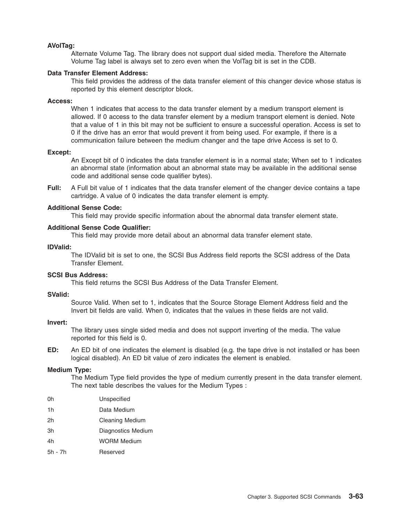#### **AVolTag:**

Alternate Volume Tag. The library does not support dual sided media. Therefore the Alternate Volume Tag label is always set to zero even when the VolTag bit is set in the CDB.

#### **Data Transfer Element Address:**

This field provides the address of the data transfer element of this changer device whose status is reported by this element descriptor block.

#### **Access:**

When 1 indicates that access to the data transfer element by a medium transport element is allowed. If 0 access to the data transfer element by a medium transport element is denied. Note that a value of 1 in this bit may not be sufficient to ensure a successful operation. Access is set to 0 if the drive has an error that would prevent it from being used. For example, if there is a communication failure between the medium changer and the tape drive Access is set to 0.

#### **Except:**

An Except bit of 0 indicates the data transfer element is in a normal state; When set to 1 indicates an abnormal state (information about an abnormal state may be available in the additional sense code and additional sense code qualifier bytes).

**Full:** A Full bit value of 1 indicates that the data transfer element of the changer device contains a tape cartridge. A value of 0 indicates the data transfer element is empty.

#### **Additional Sense Code:**

This field may provide specific information about the abnormal data transfer element state.

#### **Additional Sense Code Qualifier:**

This field may provide more detail about an abnormal data transfer element state.

#### **IDValid:**

The IDValid bit is set to one, the SCSI Bus Address field reports the SCSI address of the Data Transfer Element.

#### **SCSI Bus Address:**

This field returns the SCSI Bus Address of the Data Transfer Element.

#### **SValid:**

Source Valid. When set to 1, indicates that the Source Storage Element Address field and the Invert bit fields are valid. When 0, indicates that the values in these fields are not valid.

#### **Invert:**

The library uses single sided media and does not support inverting of the media. The value reported for this field is 0.

**ED:** An ED bit of one indicates the element is disabled (e.g. the tape drive is not installed or has been logical disabled). An ED bit value of zero indicates the element is enabled.

#### **Medium Type:**

The Medium Type field provides the type of medium currently present in the data transfer element. The next table describes the values for the Medium Types :

0h Unspecified

- 1h Data Medium
- 2h Cleaning Medium
- 3h Diagnostics Medium
- 4h WORM Medium
- 5h 7h Reserved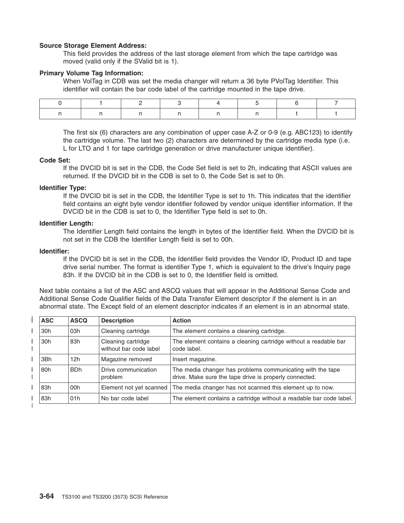#### **Source Storage Element Address:**

This field provides the address of the last storage element from which the tape cartridge was moved (valid only if the SValid bit is 1).

#### **Primary Volume Tag Information:**

When VolTag in CDB was set the media changer will return a 36 byte PVolTag Identifier. This identifier will contain the bar code label of the cartridge mounted in the tape drive.

The first six (6) characters are any combination of upper case A-Z or 0-9 (e.g. ABC123) to identify the cartridge volume. The last two (2) characters are determined by the cartridge media type (i.e. L for LTO and 1 for tape cartridge generation or drive manufacturer unique identifier).

#### **Code Set:**

If the DVCID bit is set in the CDB, the Code Set field is set to 2h, indicating that ASCII values are returned. If the DVCID bit in the CDB is set to 0, the Code Set is set to 0h.

#### **Identifier Type:**

If the DVCID bit is set in the CDB, the Identifier Type is set to 1h. This indicates that the identifier field contains an eight byte vendor identifier followed by vendor unique identifier information. If the DVCID bit in the CDB is set to 0, the Identifier Type field is set to 0h.

#### **Identifier Length:**

The Identifier Length field contains the length in bytes of the Identifier field. When the DVCID bit is not set in the CDB the Identifier Length field is set to 00h.

#### **Identifier:**

If the DVCID bit is set in the CDB, the Identifier field provides the Vendor ID, Product ID and tape drive serial number. The format is identifier Type 1, which is equivalent to the drive's Inquiry page 83h. If the DVCID bit in the CDB is set to 0, the Identifier field is omitted.

Next table contains a list of the ASC and ASCQ values that will appear in the Additional Sense Code and Additional Sense Code Qualifier fields of the Data Transfer Element descriptor if the element is in an abnormal state. The Except field of an element descriptor indicates if an element is in an abnormal state.

| <b>ASC</b>      | <b>ASCQ</b> | <b>Description</b>                           | <b>Action</b>                                                                                                        |
|-----------------|-------------|----------------------------------------------|----------------------------------------------------------------------------------------------------------------------|
| 30 <sub>h</sub> | 03h         | Cleaning cartridge                           | The element contains a cleaning cartridge.                                                                           |
| 30 <sub>h</sub> | 83h         | Cleaning cartridge<br>without bar code label | The element contains a cleaning cartridge without a readable bar<br>code label.                                      |
| 3Bh             | 12h         | Magazine removed                             | Insert magazine.                                                                                                     |
| 80h             | <b>BDh</b>  | Drive communication<br>problem               | The media changer has problems communicating with the tape<br>drive. Make sure the tape drive is properly connected. |
| 83h             | 00h         | Element not yet scanned                      | The media changer has not scanned this element up to now.                                                            |
| 83h             | 01h         | No bar code label                            | The element contains a cartridge without a readable bar code label.                                                  |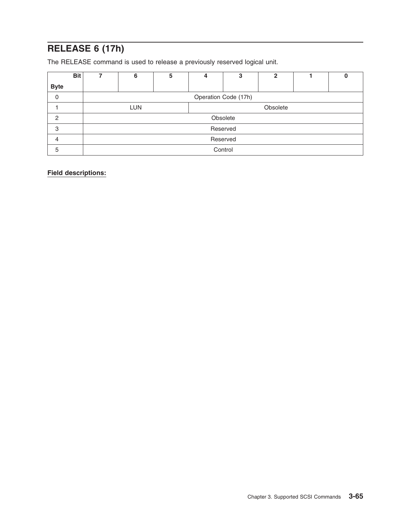### **RELEASE 6 (17h)**

The RELEASE command is used to release a previously reserved logical unit.

| <b>Bit</b>  | ⇁ | 6                    | 5 | 4        | 3        | $\mathbf{2}$ |  |  |  |
|-------------|---|----------------------|---|----------|----------|--------------|--|--|--|
| <b>Byte</b> |   |                      |   |          |          |              |  |  |  |
| 0           |   | Operation Code (17h) |   |          |          |              |  |  |  |
|             |   | <b>LUN</b>           |   | Obsolete |          |              |  |  |  |
| 2           |   |                      |   |          | Obsolete |              |  |  |  |
| 3           |   |                      |   |          | Reserved |              |  |  |  |
| 4           |   | Reserved             |   |          |          |              |  |  |  |
| 5           |   |                      |   |          | Control  |              |  |  |  |

**Field descriptions:**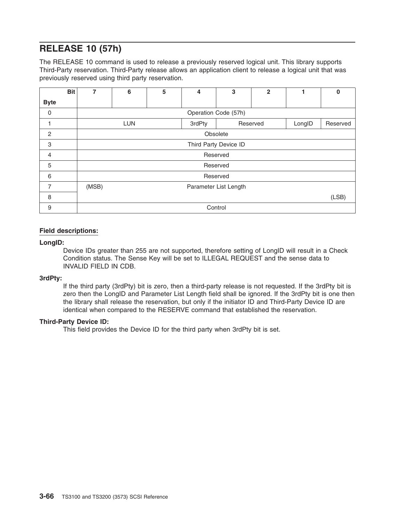### **RELEASE 10 (57h)**

The RELEASE 10 command is used to release a previously reserved logical unit. This library supports Third-Party reservation. Third-Party release allows an application client to release a logical unit that was previously reserved using third party reservation.

|                | <b>Bit</b> | 7                                          | 6                     | 5 | 4 | 3                     | $\overline{2}$ |  | $\bf{0}$ |  |
|----------------|------------|--------------------------------------------|-----------------------|---|---|-----------------------|----------------|--|----------|--|
| <b>Byte</b>    |            |                                            |                       |   |   |                       |                |  |          |  |
| $\mathbf 0$    |            |                                            |                       |   |   | Operation Code (57h)  |                |  |          |  |
| 1              |            | <b>LUN</b><br>3rdPty<br>Reserved<br>LongID |                       |   |   |                       |                |  | Reserved |  |
| $\overline{2}$ |            |                                            |                       |   |   | Obsolete              |                |  |          |  |
| 3              |            |                                            |                       |   |   | Third Party Device ID |                |  |          |  |
| 4              |            |                                            |                       |   |   | Reserved              |                |  |          |  |
| 5              |            |                                            |                       |   |   | Reserved              |                |  |          |  |
| 6              |            |                                            |                       |   |   | Reserved              |                |  |          |  |
| $\overline{7}$ |            | (MSB)                                      | Parameter List Length |   |   |                       |                |  |          |  |
| 8              |            |                                            | (LSB)                 |   |   |                       |                |  |          |  |
| 9              |            |                                            |                       |   |   | Control               |                |  |          |  |

#### **Field descriptions:**

#### **LongID:**

Device IDs greater than 255 are not supported, therefore setting of LongID will result in a Check Condition status. The Sense Key will be set to ILLEGAL REQUEST and the sense data to INVALID FIELD IN CDB.

#### **3rdPty:**

If the third party (3rdPty) bit is zero, then a third-party release is not requested. If the 3rdPty bit is zero then the LongID and Parameter List Length field shall be ignored. If the 3rdPty bit is one then the library shall release the reservation, but only if the initiator ID and Third-Party Device ID are identical when compared to the RESERVE command that established the reservation.

#### **Third-Party Device ID:**

This field provides the Device ID for the third party when 3rdPty bit is set.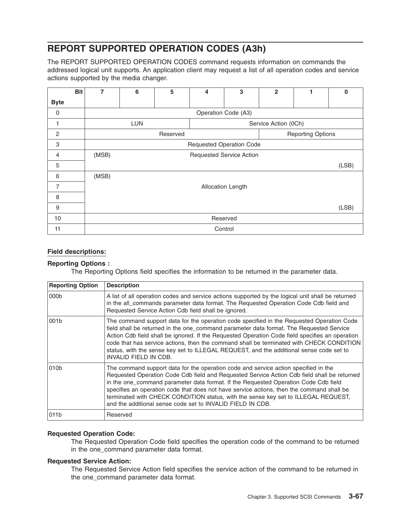### **REPORT SUPPORTED OPERATION CODES (A3h)**

The REPORT SUPPORTED OPERATION CODES command requests information on commands the addressed logical unit supports. An application client may request a list of all operation codes and service actions supported by the media changer.

|                | <b>Bit</b> | 7     | 6          | 5 | 4                               | 3                   | $\overline{2}$       | 1 | $\bf{0}$ |
|----------------|------------|-------|------------|---|---------------------------------|---------------------|----------------------|---|----------|
| <b>Byte</b>    |            |       |            |   |                                 |                     |                      |   |          |
| 0              |            |       |            |   |                                 | Operation Code (A3) |                      |   |          |
| 1              |            |       | <b>LUN</b> |   |                                 |                     | Service Action (0Ch) |   |          |
| $\overline{c}$ |            |       |            |   | <b>Reporting Options</b>        |                     |                      |   |          |
| 3              |            |       |            |   | <b>Requested Operation Code</b> |                     |                      |   |          |
| $\overline{4}$ |            | (MSB) |            |   | <b>Requested Service Action</b> |                     |                      |   |          |
| 5              |            |       |            |   |                                 |                     |                      |   | (LSB)    |
| 6              |            | (MSB) |            |   |                                 |                     |                      |   |          |
| 7              |            |       |            |   |                                 | Allocation Length   |                      |   |          |
| 8              |            |       |            |   |                                 |                     |                      |   |          |
| 9              |            |       |            |   |                                 |                     |                      |   | (LSB)    |
| 10             |            |       |            |   |                                 | Reserved            |                      |   |          |
| 11             |            |       |            |   |                                 | Control             |                      |   |          |

#### **Field descriptions:**

#### **Reporting Options :**

The Reporting Options field specifies the information to be returned in the parameter data.

| <b>Reporting Option</b> | <b>Description</b>                                                                                                                                                                                                                                                                                                                                                                                                                                                                                                         |
|-------------------------|----------------------------------------------------------------------------------------------------------------------------------------------------------------------------------------------------------------------------------------------------------------------------------------------------------------------------------------------------------------------------------------------------------------------------------------------------------------------------------------------------------------------------|
| 000 <sub>b</sub>        | A list of all operation codes and service actions supported by the logical unit shall be returned<br>in the all commands parameter data format. The Requested Operation Code Cdb field and<br>Requested Service Action Cdb field shall be ignored.                                                                                                                                                                                                                                                                         |
| 001b                    | The command support data for the operation code specified in the Requested Operation Code<br>field shall be returned in the one_command parameter data format. The Requested Service<br>Action Cdb field shall be ignored. If the Requested Operation Code field specifies an operation<br>code that has service actions, then the command shall be terminated with CHECK CONDITION<br>status, with the sense key set to ILLEGAL REQUEST, and the additional sense code set to<br><b>INVALID FIELD IN CDB.</b>             |
| 010b                    | The command support data for the operation code and service action specified in the<br>Requested Operation Code Cdb field and Requested Service Action Cdb field shall be returned<br>in the one_command parameter data format. If the Requested Operation Code Cdb field<br>specifies an operation code that does not have service actions, then the command shall be<br>terminated with CHECK CONDITION status, with the sense key set to ILLEGAL REQUEST,<br>and the additional sense code set to INVALID FIELD IN CDB. |
| 011b                    | Reserved                                                                                                                                                                                                                                                                                                                                                                                                                                                                                                                   |

#### **Requested Operation Code:**

The Requested Operation Code field specifies the operation code of the command to be returned in the one\_command parameter data format.

#### **Requested Service Action:**

The Requested Service Action field specifies the service action of the command to be returned in the one command parameter data format.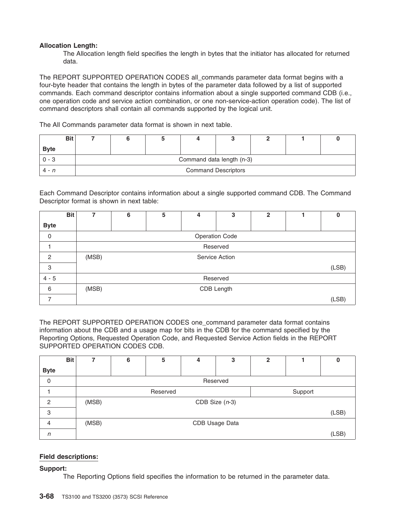#### **Allocation Length:**

The Allocation length field specifies the length in bytes that the initiator has allocated for returned data.

The REPORT SUPPORTED OPERATION CODES all\_commands parameter data format begins with a four-byte header that contains the length in bytes of the parameter data followed by a list of supported commands. Each command descriptor contains information about a single supported command CDB (i.e., one operation code and service action combination, or one non-service-action operation code). The list of command descriptors shall contain all commands supported by the logical unit.

The All Commands parameter data format is shown in next table.

| <b>Bit</b>  |                            |  |  |  |  |  |  |  |
|-------------|----------------------------|--|--|--|--|--|--|--|
| <b>Byte</b> |                            |  |  |  |  |  |  |  |
| 0 - 3       | Command data length (n-3)  |  |  |  |  |  |  |  |
| 4 - n       | <b>Command Descriptors</b> |  |  |  |  |  |  |  |

Each Command Descriptor contains information about a single supported command CDB. The Command Descriptor format is shown in next table:

|                | <b>Bit</b> | 7     | 6                     | 5 | 4 | 3        | $\mathbf{2}$ |  | 0     |  |  |
|----------------|------------|-------|-----------------------|---|---|----------|--------------|--|-------|--|--|
| <b>Byte</b>    |            |       |                       |   |   |          |              |  |       |  |  |
| $\mathbf 0$    |            |       | <b>Operation Code</b> |   |   |          |              |  |       |  |  |
|                |            |       |                       |   |   | Reserved |              |  |       |  |  |
| $\overline{2}$ |            | (MSB) | Service Action        |   |   |          |              |  |       |  |  |
| 3              |            |       |                       |   |   |          |              |  | (LSB) |  |  |
| $4 - 5$        |            |       | Reserved              |   |   |          |              |  |       |  |  |
| 6              |            | (MSB) | CDB Length            |   |   |          |              |  |       |  |  |
|                |            |       |                       |   |   |          |              |  | (LSB) |  |  |

The REPORT SUPPORTED OPERATION CODES one\_command parameter data format contains information about the CDB and a usage map for bits in the CDB for the command specified by the Reporting Options, Requested Operation Code, and Requested Service Action fields in the REPORT SUPPORTED OPERATION CODES CDB.

|                | <b>Bit</b> | 7     | 6                   | 5 | 4 | 3        | $\overline{2}$ |  |       |
|----------------|------------|-------|---------------------|---|---|----------|----------------|--|-------|
| <b>Byte</b>    |            |       |                     |   |   |          |                |  |       |
| 0              |            |       |                     |   |   | Reserved |                |  |       |
|                |            |       | Support<br>Reserved |   |   |          |                |  |       |
| $\overline{c}$ |            | (MSB) | CDB Size $(n-3)$    |   |   |          |                |  |       |
| 3              |            |       |                     |   |   |          |                |  | (LSB) |
| 4              |            | (MSB) | CDB Usage Data      |   |   |          |                |  |       |
| $\sqrt{n}$     |            |       |                     |   |   |          |                |  | (LSB) |

#### **Field descriptions:**

**Support:**

The Reporting Options field specifies the information to be returned in the parameter data.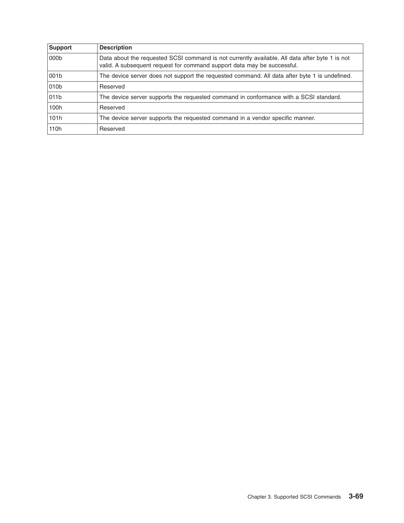| Support | <b>Description</b>                                                                                                                                                        |
|---------|---------------------------------------------------------------------------------------------------------------------------------------------------------------------------|
| 000b    | Data about the requested SCSI command is not currently available. All data after byte 1 is not<br>valid. A subsequent request for command support data may be successful. |
| 001b    | The device server does not support the requested command. All data after byte 1 is undefined.                                                                             |
| 010b    | Reserved                                                                                                                                                                  |
| 011b    | The device server supports the requested command in conformance with a SCSI standard.                                                                                     |
| 100h    | Reserved                                                                                                                                                                  |
| 101h    | The device server supports the requested command in a vendor specific manner.                                                                                             |
| 110h    | Reserved                                                                                                                                                                  |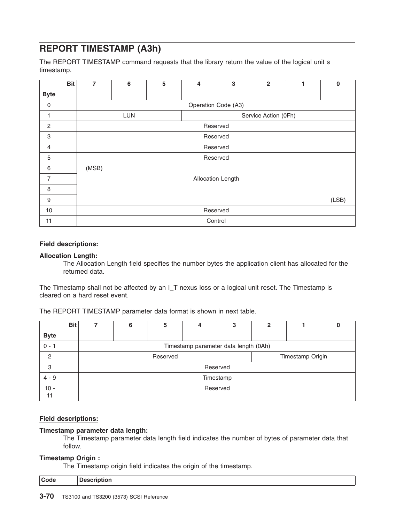### **REPORT TIMESTAMP (A3h)**

The REPORT TIMESTAMP command requests that the library return the value of the logical unit s timestamp.

| <b>Bit</b>     | $\overline{7}$ | 6          | 5 | 4 | 3                    | $\overline{\mathbf{2}}$ | 1 | $\mathbf 0$ |  |
|----------------|----------------|------------|---|---|----------------------|-------------------------|---|-------------|--|
| <b>Byte</b>    |                |            |   |   |                      |                         |   |             |  |
| $\mathbf 0$    |                |            |   |   | Operation Code (A3)  |                         |   |             |  |
|                |                | <b>LUN</b> |   |   | Service Action (0Fh) |                         |   |             |  |
| $\overline{c}$ |                |            |   |   | Reserved             |                         |   |             |  |
| $\mathsf 3$    |                |            |   |   | Reserved             |                         |   |             |  |
| $\overline{4}$ |                |            |   |   | Reserved             |                         |   |             |  |
| 5              |                |            |   |   | Reserved             |                         |   |             |  |
| 6              | (MSB)          |            |   |   |                      |                         |   |             |  |
| 7              |                |            |   |   | Allocation Length    |                         |   |             |  |
| 8              |                |            |   |   |                      |                         |   |             |  |
| 9              |                | (LSB)      |   |   |                      |                         |   |             |  |
| 10             |                | Reserved   |   |   |                      |                         |   |             |  |
| 11             |                |            |   |   | Control              |                         |   |             |  |

#### **Field descriptions:**

#### **Allocation Length:**

The Allocation Length field specifies the number bytes the application client has allocated for the returned data.

The Timestamp shall not be affected by an I T nexus loss or a logical unit reset. The Timestamp is cleared on a hard reset event.

The REPORT TIMESTAMP parameter data format is shown in next table.

|                | <b>Bit</b> | 6                                     | 5 | 4 | 3        | 2 |  |  |  |  |
|----------------|------------|---------------------------------------|---|---|----------|---|--|--|--|--|
| <b>Byte</b>    |            |                                       |   |   |          |   |  |  |  |  |
| $0 - 1$        |            | Timestamp parameter data length (0Ah) |   |   |          |   |  |  |  |  |
| $\overline{c}$ |            | Timestamp Origin<br>Reserved          |   |   |          |   |  |  |  |  |
| 3              |            |                                       |   |   | Reserved |   |  |  |  |  |
| $4 - 9$        |            | Timestamp                             |   |   |          |   |  |  |  |  |
| $10 -$<br>11   |            | Reserved                              |   |   |          |   |  |  |  |  |

#### **Field descriptions:**

#### **Timestamp parameter data length:**

The Timestamp parameter data length field indicates the number of bytes of parameter data that follow.

#### **Timestamp Origin :**

The Timestamp origin field indicates the origin of the timestamp.

| Code | uon<br>$- - - - - -$ |
|------|----------------------|
|      |                      |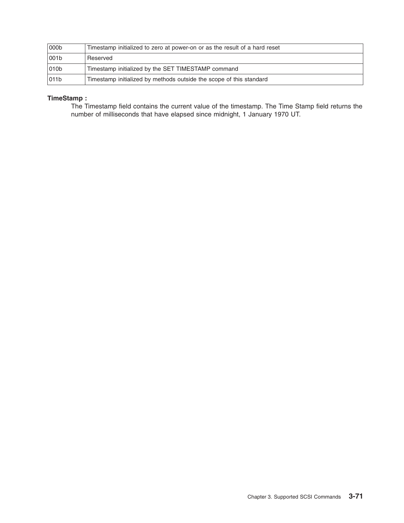| 000b              | Timestamp initialized to zero at power-on or as the result of a hard reset |
|-------------------|----------------------------------------------------------------------------|
| 1001 <sub>b</sub> | Reserved                                                                   |
| 010 <sub>b</sub>  | Timestamp initialized by the SET TIMESTAMP command                         |
| 011b              | Timestamp initialized by methods outside the scope of this standard        |

#### **TimeStamp :**

The Timestamp field contains the current value of the timestamp. The Time Stamp field returns the number of milliseconds that have elapsed since midnight, 1 January 1970 UT.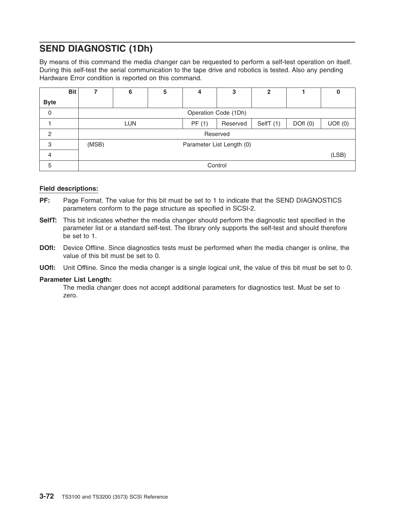### **SEND DIAGNOSTIC (1Dh)**

By means of this command the media changer can be requested to perform a self-test operation on itself. During this self-test the serial communication to the tape drive and robotics is tested. Also any pending Hardware Error condition is reported on this command.

|                | <b>Bit</b> |       | 6                         | 5 | 4     | 3        | $\mathbf 2$ |         | O      |  |
|----------------|------------|-------|---------------------------|---|-------|----------|-------------|---------|--------|--|
| <b>Byte</b>    |            |       |                           |   |       |          |             |         |        |  |
| 0              |            |       | Operation Code (1Dh)      |   |       |          |             |         |        |  |
|                |            |       | <b>LUN</b>                |   | PF(1) | Reserved | SelfT (1)   | DOfl(0) | UOH(0) |  |
| $\overline{c}$ |            |       | Reserved                  |   |       |          |             |         |        |  |
| 3              |            | (MSB) | Parameter List Length (0) |   |       |          |             |         |        |  |
| 4              |            |       |                           |   |       |          |             |         | (LSB)  |  |
| 5              |            |       |                           |   |       | Control  |             |         |        |  |

#### **Field descriptions:**

- **PF:** Page Format. The value for this bit must be set to 1 to indicate that the SEND DIAGNOSTICS parameters conform to the page structure as specified in SCSI-2.
- **SelfT:** This bit indicates whether the media changer should perform the diagnostic test specified in the parameter list or a standard self-test. The library only supports the self-test and should therefore be set to 1.
- **DOfI:** Device Offline. Since diagnostics tests must be performed when the media changer is online, the value of this bit must be set to 0.
- **UOfl:** Unit Offline. Since the media changer is a single logical unit, the value of this bit must be set to 0.

#### **Parameter List Length:**

The media changer does not accept additional parameters for diagnostics test. Must be set to zero.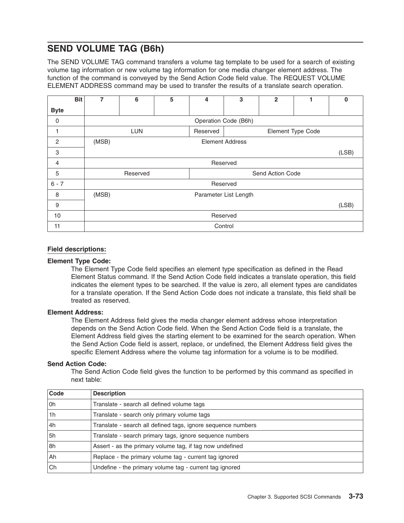### **SEND VOLUME TAG (B6h)**

The SEND VOLUME TAG command transfers a volume tag template to be used for a search of existing volume tag information or new volume tag information for one media changer element address. The function of the command is conveyed by the Send Action Code field value. The REQUEST VOLUME ELEMENT ADDRESS command may be used to transfer the results of a translate search operation.

|                | <b>Bit</b> | 7        | 6          | 5 | 4        | 3                      | $\overline{2}$   | 1                 | $\bf{0}$ |
|----------------|------------|----------|------------|---|----------|------------------------|------------------|-------------------|----------|
| <b>Byte</b>    |            |          |            |   |          |                        |                  |                   |          |
| 0              |            |          |            |   |          | Operation Code (B6h)   |                  |                   |          |
| 1              |            |          | <b>LUN</b> |   | Reserved |                        |                  | Element Type Code |          |
| $\overline{c}$ |            | (MSB)    |            |   |          | <b>Element Address</b> |                  |                   |          |
| 3              |            |          |            |   |          |                        |                  |                   | (LSB)    |
| $\overline{4}$ |            |          | Reserved   |   |          |                        |                  |                   |          |
| 5              |            |          | Reserved   |   |          |                        | Send Action Code |                   |          |
| $6 - 7$        |            |          |            |   |          | Reserved               |                  |                   |          |
| 8              |            | (MSB)    |            |   |          | Parameter List Length  |                  |                   |          |
| 9              |            |          |            |   |          |                        |                  |                   | (LSB)    |
| 10             |            | Reserved |            |   |          |                        |                  |                   |          |
| 11             |            |          |            |   |          | Control                |                  |                   |          |

#### **Field descriptions:**

#### **Element Type Code:**

The Element Type Code field specifies an element type specification as defined in the Read Element Status command. If the Send Action Code field indicates a translate operation, this field indicates the element types to be searched. If the value is zero, all element types are candidates for a translate operation. If the Send Action Code does not indicate a translate, this field shall be treated as reserved.

#### **Element Address:**

The Element Address field gives the media changer element address whose interpretation depends on the Send Action Code field. When the Send Action Code field is a translate, the Element Address field gives the starting element to be examined for the search operation. When the Send Action Code field is assert, replace, or undefined, the Element Address field gives the specific Element Address where the volume tag information for a volume is to be modified.

#### **Send Action Code:**

The Send Action Code field gives the function to be performed by this command as specified in next table:

| Code           | <b>Description</b>                                           |
|----------------|--------------------------------------------------------------|
| l Oh           | Translate - search all defined volume tags                   |
| 1 <sub>h</sub> | Translate - search only primary volume tags                  |
| l4h            | Translate - search all defined tags, ignore sequence numbers |
| 5h             | Translate - search primary tags, ignore sequence numbers     |
| 8h             | Assert - as the primary volume tag, if tag now undefined     |
| l Ah           | Replace - the primary volume tag - current tag ignored       |
| ∣Ch            | Undefine - the primary volume tag - current tag ignored      |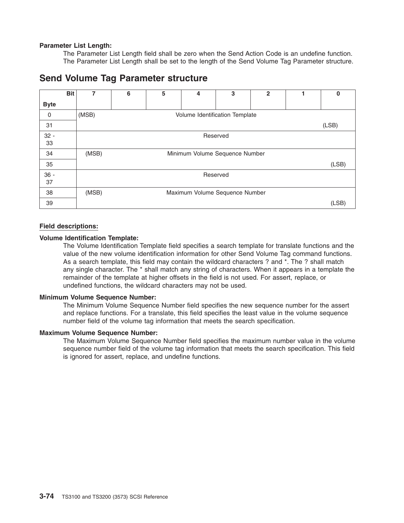#### **Parameter List Length:**

The Parameter List Length field shall be zero when the Send Action Code is an undefine function. The Parameter List Length shall be set to the length of the Send Volume Tag Parameter structure.

### **Send Volume Tag Parameter structure**

|             | <b>Bit</b> | 7     | 6 | 5 | 4                              | 3        | $\mathbf{2}$ | 0     |
|-------------|------------|-------|---|---|--------------------------------|----------|--------------|-------|
| <b>Byte</b> |            |       |   |   |                                |          |              |       |
| $\mathbf 0$ |            | (MSB) |   |   | Volume Identification Template |          |              |       |
| 31          |            |       |   |   |                                |          |              | (LSB) |
| $32 -$      |            |       |   |   |                                | Reserved |              |       |
| 33          |            |       |   |   |                                |          |              |       |
| 34          |            | (MSB) |   |   | Minimum Volume Sequence Number |          |              |       |
| 35          |            |       |   |   |                                |          |              | (LSB) |
| $36 -$      |            |       |   |   |                                | Reserved |              |       |
| 37          |            |       |   |   |                                |          |              |       |
| 38          |            | (MSB) |   |   | Maximum Volume Sequence Number |          |              |       |
| 39          |            |       |   |   |                                |          |              | (LSB) |

#### **Field descriptions:**

#### **Volume Identification Template:**

The Volume Identification Template field specifies a search template for translate functions and the value of the new volume identification information for other Send Volume Tag command functions. As a search template, this field may contain the wildcard characters ? and \*. The ? shall match any single character. The \* shall match any string of characters. When it appears in a template the remainder of the template at higher offsets in the field is not used. For assert, replace, or undefined functions, the wildcard characters may not be used.

#### **Minimum Volume Sequence Number:**

The Minimum Volume Sequence Number field specifies the new sequence number for the assert and replace functions. For a translate, this field specifies the least value in the volume sequence number field of the volume tag information that meets the search specification.

#### **Maximum Volume Sequence Number:**

The Maximum Volume Sequence Number field specifies the maximum number value in the volume sequence number field of the volume tag information that meets the search specification. This field is ignored for assert, replace, and undefine functions.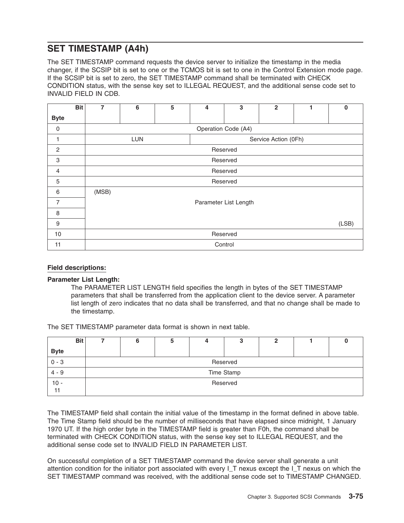### **SET TIMESTAMP (A4h)**

The SET TIMESTAMP command requests the device server to initialize the timestamp in the media changer, if the SCSIP bit is set to one or the TCMOS bit is set to one in the Control Extension mode page. If the SCSIP bit is set to zero, the SET TIMESTAMP command shall be terminated with CHECK CONDITION status, with the sense key set to ILLEGAL REQUEST, and the additional sense code set to INVALID FIELD IN CDB.

|                | <b>Bit</b> | 7     | 6                                  | 5 | 4 | 3                     | $\overline{2}$ |  | $\bf{0}$ |  |  |
|----------------|------------|-------|------------------------------------|---|---|-----------------------|----------------|--|----------|--|--|
| <b>Byte</b>    |            |       |                                    |   |   |                       |                |  |          |  |  |
| $\mathbf 0$    |            |       |                                    |   |   | Operation Code (A4)   |                |  |          |  |  |
|                |            |       | <b>LUN</b><br>Service Action (0Fh) |   |   |                       |                |  |          |  |  |
| $\overline{c}$ |            |       |                                    |   |   | Reserved              |                |  |          |  |  |
| 3              |            |       |                                    |   |   | Reserved              |                |  |          |  |  |
| 4              |            |       |                                    |   |   | Reserved              |                |  |          |  |  |
| 5              |            |       |                                    |   |   | Reserved              |                |  |          |  |  |
| 6              |            | (MSB) |                                    |   |   |                       |                |  |          |  |  |
| $\overline{7}$ |            |       |                                    |   |   | Parameter List Length |                |  |          |  |  |
| 8              |            |       |                                    |   |   |                       |                |  |          |  |  |
| 9              |            |       | (LSB)                              |   |   |                       |                |  |          |  |  |
| 10             |            |       | Reserved                           |   |   |                       |                |  |          |  |  |
| 11             |            |       |                                    |   |   | Control               |                |  |          |  |  |

#### **Field descriptions:**

#### **Parameter List Length:**

The PARAMETER LIST LENGTH field specifies the length in bytes of the SET TIMESTAMP parameters that shall be transferred from the application client to the device server. A parameter list length of zero indicates that no data shall be transferred, and that no change shall be made to the timestamp.

The SET TIMESTAMP parameter data format is shown in next table.

| <b>Bit</b>   |          | ື |  |            |  |  |  |  |
|--------------|----------|---|--|------------|--|--|--|--|
| <b>Byte</b>  |          |   |  |            |  |  |  |  |
| $0 - 3$      | Reserved |   |  |            |  |  |  |  |
| $4 - 9$      |          |   |  | Time Stamp |  |  |  |  |
| $10 -$<br>11 | Reserved |   |  |            |  |  |  |  |

The TIMESTAMP field shall contain the initial value of the timestamp in the format defined in above table. The Time Stamp field should be the number of milliseconds that have elapsed since midnight, 1 January 1970 UT. If the high order byte in the TIMESTAMP field is greater than F0h, the command shall be terminated with CHECK CONDITION status, with the sense key set to ILLEGAL REQUEST, and the additional sense code set to INVALID FIELD IN PARAMETER LIST.

On successful completion of a SET TIMESTAMP command the device server shall generate a unit attention condition for the initiator port associated with every I\_T nexus except the I\_T nexus on which the SET TIMESTAMP command was received, with the additional sense code set to TIMESTAMP CHANGED.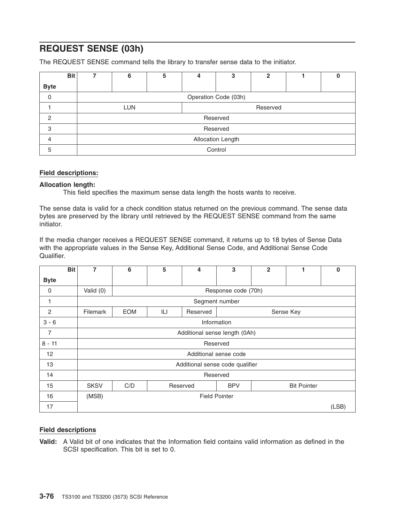### **REQUEST SENSE (03h)**

The REQUEST SENSE command tells the library to transfer sense data to the initiator.

|             | <b>Bit</b> |                   | 6                      | 5 | 4 | 3                    | 2 |  |  |  |
|-------------|------------|-------------------|------------------------|---|---|----------------------|---|--|--|--|
| <b>Byte</b> |            |                   |                        |   |   |                      |   |  |  |  |
| $\mathbf 0$ |            |                   |                        |   |   | Operation Code (03h) |   |  |  |  |
|             |            |                   | <b>LUN</b><br>Reserved |   |   |                      |   |  |  |  |
| 2           |            |                   |                        |   |   | Reserved             |   |  |  |  |
| 3           |            |                   |                        |   |   | Reserved             |   |  |  |  |
| 4           |            | Allocation Length |                        |   |   |                      |   |  |  |  |
| 5           |            |                   |                        |   |   | Control              |   |  |  |  |

#### **Field descriptions:**

#### **Allocation length:**

This field specifies the maximum sense data length the hosts wants to receive.

The sense data is valid for a check condition status returned on the previous command. The sense data bytes are preserved by the library until retrieved by the REQUEST SENSE command from the same initiator.

If the media changer receives a REQUEST SENSE command, it returns up to 18 bytes of Sense Data with the appropriate values in the Sense Key, Additional Sense Code, and Additional Sense Code Qualifier.

|                | <b>Bit</b><br>7 | 6                                                   | 5   | 4                               | 3                     | $\overline{2}$ | 1         | $\bf{0}$ |  |  |
|----------------|-----------------|-----------------------------------------------------|-----|---------------------------------|-----------------------|----------------|-----------|----------|--|--|
| <b>Byte</b>    |                 |                                                     |     |                                 |                       |                |           |          |  |  |
| 0              | Valid (0)       |                                                     |     |                                 | Response code (70h)   |                |           |          |  |  |
| 1              |                 | Segment number                                      |     |                                 |                       |                |           |          |  |  |
| $\overline{2}$ | Filemark        | <b>EOM</b>                                          | ILI | Reserved                        |                       |                | Sense Key |          |  |  |
| $3 - 6$        |                 |                                                     |     |                                 | Information           |                |           |          |  |  |
| 7              |                 | Additional sense length (0Ah)                       |     |                                 |                       |                |           |          |  |  |
| $8 - 11$       |                 |                                                     |     |                                 | Reserved              |                |           |          |  |  |
| 12             |                 |                                                     |     |                                 | Additional sense code |                |           |          |  |  |
| 13             |                 |                                                     |     | Additional sense code qualifier |                       |                |           |          |  |  |
| 14             |                 |                                                     |     |                                 | Reserved              |                |           |          |  |  |
| 15             | <b>SKSV</b>     | C/D<br><b>BPV</b><br><b>Bit Pointer</b><br>Reserved |     |                                 |                       |                |           |          |  |  |
| 16             | (MSB)           | <b>Field Pointer</b>                                |     |                                 |                       |                |           |          |  |  |
| 17             |                 |                                                     |     |                                 |                       |                |           | (LSB)    |  |  |

#### **Field descriptions**

**Valid:** A Valid bit of one indicates that the Information field contains valid information as defined in the SCSI specification. This bit is set to 0.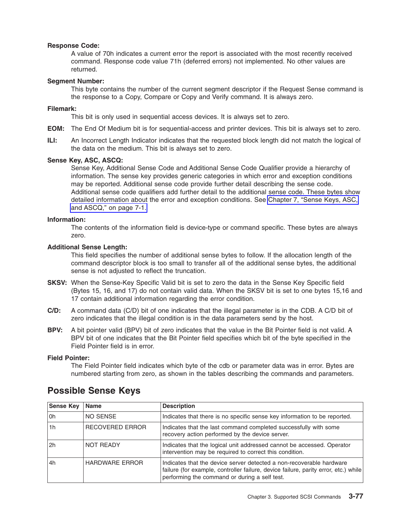#### **Response Code:**

A value of 70h indicates a current error the report is associated with the most recently received command. Response code value 71h (deferred errors) not implemented. No other values are returned.

#### **Segment Number:**

This byte contains the number of the current segment descriptor if the Request Sense command is the response to a Copy, Compare or Copy and Verify command. It is always zero.

#### **Filemark:**

This bit is only used in sequential access devices. It is always set to zero.

- **EOM:** The End Of Medium bit is for sequential-access and printer devices. This bit is always set to zero.
- **ILI:** An Incorrect Length Indicator indicates that the requested block length did not match the logical of the data on the medium. This bit is always set to zero.

#### **Sense Key, ASC, ASCQ:**

Sense Key, Additional Sense Code and Additional Sense Code Qualifier provide a hierarchy of information. The sense key provides generic categories in which error and exception conditions may be reported. Additional sense code provide further detail describing the sense code. Additional sense code qualifiers add further detail to the additional sense code. These bytes show detailed information about the error and exception conditions. See [Chapter](#page-108-0) 7, "Sense Keys, ASC, and [ASCQ,"](#page-108-0) on page 7-1.

#### **Information:**

The contents of the information field is device-type or command specific. These bytes are always zero.

#### **Additional Sense Length:**

This field specifies the number of additional sense bytes to follow. If the allocation length of the command descriptor block is too small to transfer all of the additional sense bytes, the additional sense is not adjusted to reflect the truncation.

- **SKSV:** When the Sense-Key Specific Valid bit is set to zero the data in the Sense Key Specific field (Bytes 15, 16, and 17) do not contain valid data. When the SKSV bit is set to one bytes 15,16 and 17 contain additional information regarding the error condition.
- **C/D:** A command data (C/D) bit of one indicates that the illegal parameter is in the CDB. A C/D bit of zero indicates that the illegal condition is in the data parameters send by the host.
- **BPV:** A bit pointer valid (BPV) bit of zero indicates that the value in the Bit Pointer field is not valid. A BPV bit of one indicates that the Bit Pointer field specifies which bit of the byte specified in the Field Pointer field is in error.

#### **Field Pointer:**

The Field Pointer field indicates which byte of the cdb or parameter data was in error. Bytes are numbered starting from zero, as shown in the tables describing the commands and parameters.

| <b>Sense Key</b> | Name                  | <b>Description</b>                                                                                                                                                                                           |
|------------------|-----------------------|--------------------------------------------------------------------------------------------------------------------------------------------------------------------------------------------------------------|
| l Oh             | NO SENSE              | Indicates that there is no specific sense key information to be reported.                                                                                                                                    |
| 1h               | RECOVERED ERROR       | Indicates that the last command completed successfully with some<br>recovery action performed by the device server.                                                                                          |
| 2h               | <b>NOT READY</b>      | Indicates that the logical unit addressed cannot be accessed. Operator<br>intervention may be required to correct this condition.                                                                            |
| l 4h             | <b>HARDWARE ERROR</b> | Indicates that the device server detected a non-recoverable hardware<br>failure (for example, controller failure, device failure, parity error, etc.) while<br>performing the command or during a self test. |

### **Possible Sense Keys**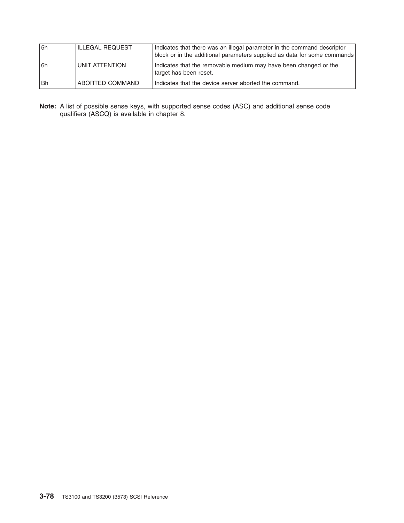| 5h   | <b>ILLEGAL REQUEST</b> | Indicates that there was an illegal parameter in the command descriptor<br>block or in the additional parameters supplied as data for some commands |
|------|------------------------|-----------------------------------------------------------------------------------------------------------------------------------------------------|
| l 6h | UNIT ATTENTION         | Indicates that the removable medium may have been changed or the<br>target has been reset.                                                          |
| l Bh | ABORTED COMMAND        | Indicates that the device server aborted the command.                                                                                               |

**Note:** A list of possible sense keys, with supported sense codes (ASC) and additional sense code qualifiers (ASCQ) is available in chapter 8.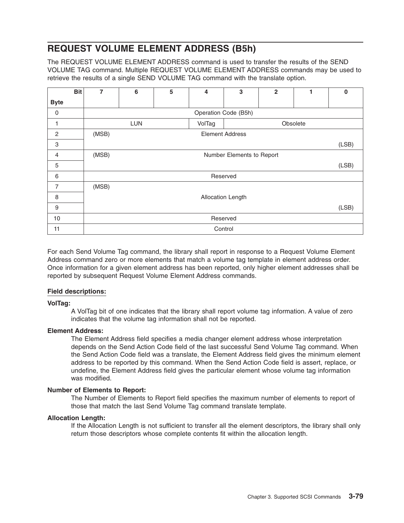### **REQUEST VOLUME ELEMENT ADDRESS (B5h)**

The REQUEST VOLUME ELEMENT ADDRESS command is used to transfer the results of the SEND VOLUME TAG command. Multiple REQUEST VOLUME ELEMENT ADDRESS commands may be used to retrieve the results of a single SEND VOLUME TAG command with the translate option.

|                | <b>Bit</b> | 7     | 6          | 5 | 4      | 3                         | $\overline{2}$ | 1        | $\mathbf 0$ |
|----------------|------------|-------|------------|---|--------|---------------------------|----------------|----------|-------------|
| <b>Byte</b>    |            |       |            |   |        |                           |                |          |             |
| $\mathbf 0$    |            |       |            |   |        | Operation Code (B5h)      |                |          |             |
|                |            |       | <b>LUN</b> |   | VolTag |                           |                | Obsolete |             |
| $\mathbf{2}$   |            | (MSB) |            |   |        | <b>Element Address</b>    |                |          |             |
| 3              |            |       |            |   |        |                           |                |          | (LSB)       |
| $\overline{4}$ |            | (MSB) |            |   |        | Number Elements to Report |                |          |             |
| 5              |            |       |            |   |        |                           |                |          | (LSB)       |
| 6              |            |       |            |   |        | Reserved                  |                |          |             |
| $\overline{7}$ |            | (MSB) |            |   |        |                           |                |          |             |
| 8              |            |       |            |   |        | Allocation Length         |                |          |             |
| 9              |            |       |            |   |        |                           |                |          | (LSB)       |
| 10             |            |       |            |   |        | Reserved                  |                |          |             |
| 11             |            |       |            |   |        | Control                   |                |          |             |

For each Send Volume Tag command, the library shall report in response to a Request Volume Element Address command zero or more elements that match a volume tag template in element address order. Once information for a given element address has been reported, only higher element addresses shall be reported by subsequent Request Volume Element Address commands.

#### **Field descriptions:**

#### **VolTag:**

A VolTag bit of one indicates that the library shall report volume tag information. A value of zero indicates that the volume tag information shall not be reported.

#### **Element Address:**

The Element Address field specifies a media changer element address whose interpretation depends on the Send Action Code field of the last successful Send Volume Tag command. When the Send Action Code field was a translate, the Element Address field gives the minimum element address to be reported by this command. When the Send Action Code field is assert, replace, or undefine, the Element Address field gives the particular element whose volume tag information was modified.

#### **Number of Elements to Report:**

The Number of Elements to Report field specifies the maximum number of elements to report of those that match the last Send Volume Tag command translate template.

#### **Allocation Length:**

If the Allocation Length is not sufficient to transfer all the element descriptors, the library shall only return those descriptors whose complete contents fit within the allocation length.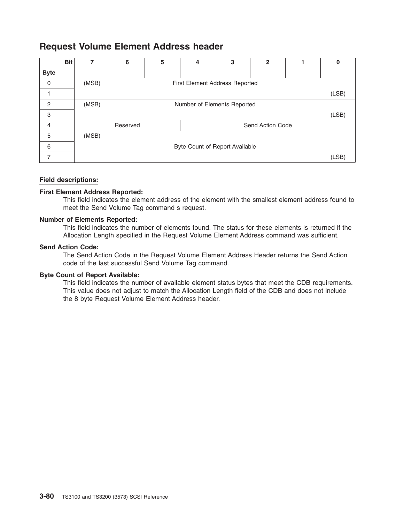### **Request Volume Element Address header**

|             | <b>Bit</b> | 7     | 6        | 5 | 4                              | 3 | $\mathbf{2}$     | O     |
|-------------|------------|-------|----------|---|--------------------------------|---|------------------|-------|
| <b>Byte</b> |            |       |          |   |                                |   |                  |       |
| 0           |            | (MSB) |          |   | First Element Address Reported |   |                  |       |
|             |            |       |          |   |                                |   |                  | (LSB) |
| 2           |            | (MSB) |          |   | Number of Elements Reported    |   |                  |       |
| 3           |            |       |          |   |                                |   |                  | (LSB) |
| 4           |            |       | Reserved |   |                                |   | Send Action Code |       |
| 5           |            | (MSB) |          |   |                                |   |                  |       |
| 6           |            |       |          |   | Byte Count of Report Available |   |                  |       |
|             |            |       |          |   |                                |   |                  | (LSB) |

#### **Field descriptions:**

#### **First Element Address Reported:**

This field indicates the element address of the element with the smallest element address found to meet the Send Volume Tag command s request.

#### **Number of Elements Reported:**

This field indicates the number of elements found. The status for these elements is returned if the Allocation Length specified in the Request Volume Element Address command was sufficient.

#### **Send Action Code:**

The Send Action Code in the Request Volume Element Address Header returns the Send Action code of the last successful Send Volume Tag command.

#### **Byte Count of Report Available:**

This field indicates the number of available element status bytes that meet the CDB requirements. This value does not adjust to match the Allocation Length field of the CDB and does not include the 8 byte Request Volume Element Address header.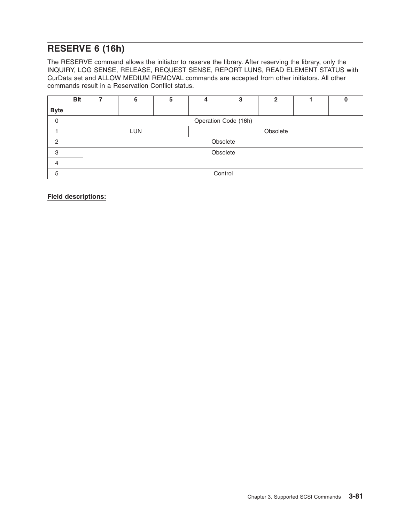### **RESERVE 6 (16h)**

The RESERVE command allows the initiator to reserve the library. After reserving the library, only the INQUIRY, LOG SENSE, RELEASE, REQUEST SENSE, REPORT LUNS, READ ELEMENT STATUS with CurData set and ALLOW MEDIUM REMOVAL commands are accepted from other initiators. All other commands result in a Reservation Conflict status.

| <b>Bit</b>    | 7 | 6                      | 5 | 4 | 3                    | $\mathbf 2$ |  |  |  |
|---------------|---|------------------------|---|---|----------------------|-------------|--|--|--|
| <b>Byte</b>   |   |                        |   |   |                      |             |  |  |  |
| 0             |   |                        |   |   | Operation Code (16h) |             |  |  |  |
|               |   | Obsolete<br><b>LUN</b> |   |   |                      |             |  |  |  |
| $\mathcal{P}$ |   |                        |   |   | Obsolete             |             |  |  |  |
| 3             |   |                        |   |   | Obsolete             |             |  |  |  |
| 4             |   |                        |   |   |                      |             |  |  |  |
| 5             |   |                        |   |   | Control              |             |  |  |  |

**Field descriptions:**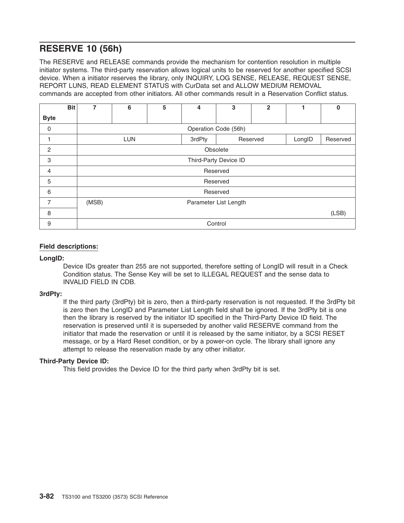### **RESERVE 10 (56h)**

The RESERVE and RELEASE commands provide the mechanism for contention resolution in multiple initiator systems. The third-party reservation allows logical units to be reserved for another specified SCSI device. When a initiator reserves the library, only INQUIRY, LOG SENSE, RELEASE, REQUEST SENSE, REPORT LUNS, READ ELEMENT STATUS with CurData set and ALLOW MEDIUM REMOVAL commands are accepted from other initiators. All other commands result in a Reservation Conflict status.

|                | <b>Bit</b> | 7     | 6          | 5 | 4      | 3                     | $\overline{2}$ |        | $\bf{0}$ |
|----------------|------------|-------|------------|---|--------|-----------------------|----------------|--------|----------|
| <b>Byte</b>    |            |       |            |   |        |                       |                |        |          |
| 0              |            |       |            |   |        | Operation Code (56h)  |                |        |          |
|                |            |       | <b>LUN</b> |   | 3rdPty |                       | Reserved       | LongID | Reserved |
| $\overline{2}$ |            |       |            |   |        | Obsolete              |                |        |          |
| 3              |            |       |            |   |        | Third-Party Device ID |                |        |          |
| 4              |            |       |            |   |        | Reserved              |                |        |          |
| 5              |            |       |            |   |        | Reserved              |                |        |          |
| 6              |            |       |            |   |        | Reserved              |                |        |          |
| 7              |            | (MSB) |            |   |        | Parameter List Length |                |        |          |
| 8              |            |       |            |   |        |                       |                |        | (LSB)    |
| 9              |            |       |            |   |        | Control               |                |        |          |

#### **Field descriptions:**

#### **LongID:**

Device IDs greater than 255 are not supported, therefore setting of LongID will result in a Check Condition status. The Sense Key will be set to ILLEGAL REQUEST and the sense data to INVALID FIELD IN CDB.

#### **3rdPty:**

If the third party (3rdPty) bit is zero, then a third-party reservation is not requested. If the 3rdPty bit is zero then the LongID and Parameter List Length field shall be ignored. If the 3rdPty bit is one then the library is reserved by the initiator ID specified in the Third-Party Device ID field. The reservation is preserved until it is superseded by another valid RESERVE command from the initiator that made the reservation or until it is released by the same initiator, by a SCSI RESET message, or by a Hard Reset condition, or by a power-on cycle. The library shall ignore any attempt to release the reservation made by any other initiator.

#### **Third-Party Device ID:**

This field provides the Device ID for the third party when 3rdPty bit is set.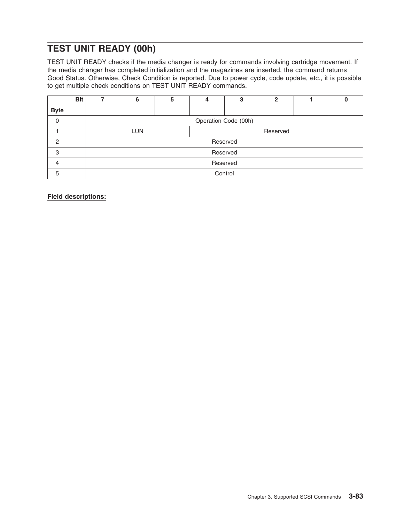### **TEST UNIT READY (00h)**

TEST UNIT READY checks if the media changer is ready for commands involving cartridge movement. If the media changer has completed initialization and the magazines are inserted, the command returns Good Status. Otherwise, Check Condition is reported. Due to power cycle, code update, etc., it is possible to get multiple check conditions on TEST UNIT READY commands.

|             | <b>Bit</b> |          | 6                      | 5 | 4 | 3                    | $\mathbf 2$ |  |  |  |
|-------------|------------|----------|------------------------|---|---|----------------------|-------------|--|--|--|
| <b>Byte</b> |            |          |                        |   |   |                      |             |  |  |  |
| $\mathbf 0$ |            |          |                        |   |   | Operation Code (00h) |             |  |  |  |
|             |            |          | <b>LUN</b><br>Reserved |   |   |                      |             |  |  |  |
| $\circ$     |            |          |                        |   |   | Reserved             |             |  |  |  |
| 3           |            |          |                        |   |   | Reserved             |             |  |  |  |
| 4           |            | Reserved |                        |   |   |                      |             |  |  |  |
| 5           |            |          |                        |   |   | Control              |             |  |  |  |

**Field descriptions:**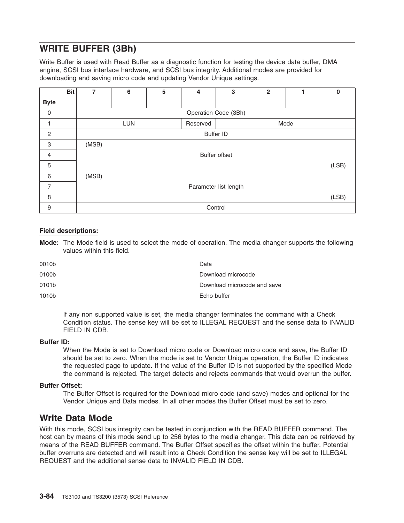### **WRITE BUFFER (3Bh)**

Write Buffer is used with Read Buffer as a diagnostic function for testing the device data buffer, DMA engine, SCSI bus interface hardware, and SCSI bus integrity. Additional modes are provided for downloading and saving micro code and updating Vendor Unique settings.

|                | <b>Bit</b> | 7     | 6                              | 5 | 4       | 3                     | $\mathbf{2}$ |  | $\Omega$ |
|----------------|------------|-------|--------------------------------|---|---------|-----------------------|--------------|--|----------|
| <b>Byte</b>    |            |       |                                |   |         |                       |              |  |          |
| 0              |            |       |                                |   |         | Operation Code (3Bh)  |              |  |          |
|                |            |       | <b>LUN</b><br>Mode<br>Reserved |   |         |                       |              |  |          |
| $\overline{c}$ |            |       |                                |   |         | <b>Buffer ID</b>      |              |  |          |
| 3              |            | (MSB) |                                |   |         |                       |              |  |          |
| $\overline{4}$ |            |       |                                |   |         | <b>Buffer offset</b>  |              |  |          |
| 5              |            |       |                                |   |         |                       |              |  | (LSB)    |
| 6              |            | (MSB) |                                |   |         |                       |              |  |          |
| $\overline{7}$ |            |       |                                |   |         | Parameter list length |              |  |          |
| 8              |            |       |                                |   |         |                       |              |  | (LSB)    |
| 9              |            |       |                                |   | Control |                       |              |  |          |

#### **Field descriptions:**

**Mode:** The Mode field is used to select the mode of operation. The media changer supports the following values within this field.

| 0010b | Data                        |
|-------|-----------------------------|
| 0100b | Download microcode          |
| 0101b | Download microcode and save |
| 1010b | Echo buffer                 |

If any non supported value is set, the media changer terminates the command with a Check Condition status. The sense key will be set to ILLEGAL REQUEST and the sense data to INVALID FIELD IN CDB.

#### **Buffer ID:**

When the Mode is set to Download micro code or Download micro code and save, the Buffer ID should be set to zero. When the mode is set to Vendor Unique operation, the Buffer ID indicates the requested page to update. If the value of the Buffer ID is not supported by the specified Mode the command is rejected. The target detects and rejects commands that would overrun the buffer.

#### **Buffer Offset:**

The Buffer Offset is required for the Download micro code (and save) modes and optional for the Vendor Unique and Data modes. In all other modes the Buffer Offset must be set to zero.

### **Write Data Mode**

With this mode, SCSI bus integrity can be tested in conjunction with the READ BUFFER command. The host can by means of this mode send up to 256 bytes to the media changer. This data can be retrieved by means of the READ BUFFER command. The Buffer Offset specifies the offset within the buffer. Potential buffer overruns are detected and will result into a Check Condition the sense key will be set to ILLEGAL REQUEST and the additional sense data to INVALID FIELD IN CDB.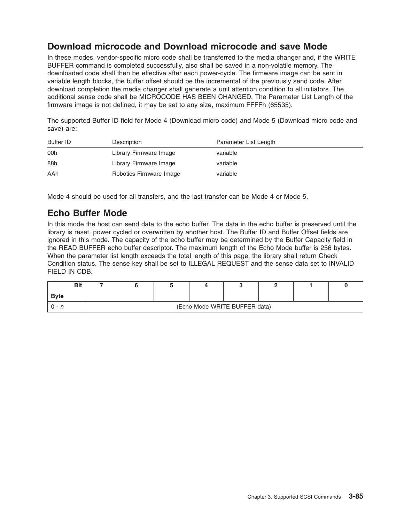### **Download microcode and Download microcode and save Mode**

In these modes, vendor-specific micro code shall be transferred to the media changer and, if the WRITE BUFFER command is completed successfully, also shall be saved in a non-volatile memory. The downloaded code shall then be effective after each power-cycle. The firmware image can be sent in variable length blocks, the buffer offset should be the incremental of the previously send code. After download completion the media changer shall generate a unit attention condition to all initiators. The additional sense code shall be MICROCODE HAS BEEN CHANGED. The Parameter List Length of the firmware image is not defined, it may be set to any size, maximum FFFFh (65535).

The supported Buffer ID field for Mode 4 (Download micro code) and Mode 5 (Download micro code and save) are:

| Buffer ID | Description             | Parameter List Length |
|-----------|-------------------------|-----------------------|
| 00h       | Library Firmware Image  | variable              |
| 88h       | Library Firmware Image  | variable              |
| AAh       | Robotics Firmware Image | variable              |

Mode 4 should be used for all transfers, and the last transfer can be Mode 4 or Mode 5.

### **Echo Buffer Mode**

In this mode the host can send data to the echo buffer. The data in the echo buffer is preserved until the library is reset, power cycled or overwritten by another host. The Buffer ID and Buffer Offset fields are ignored in this mode. The capacity of the echo buffer may be determined by the Buffer Capacity field in the READ BUFFER echo buffer descriptor. The maximum length of the Echo Mode buffer is 256 bytes. When the parameter list length exceeds the total length of this page, the library shall return Check Condition status. The sense key shall be set to ILLEGAL REQUEST and the sense data set to INVALID FIELD IN CDB.

| <b>Bit</b>   |                               |  |  |  |  |  |  |  |
|--------------|-------------------------------|--|--|--|--|--|--|--|
| <b>B</b> vte |                               |  |  |  |  |  |  |  |
|              | (Echo Mode WRITE BUFFER data) |  |  |  |  |  |  |  |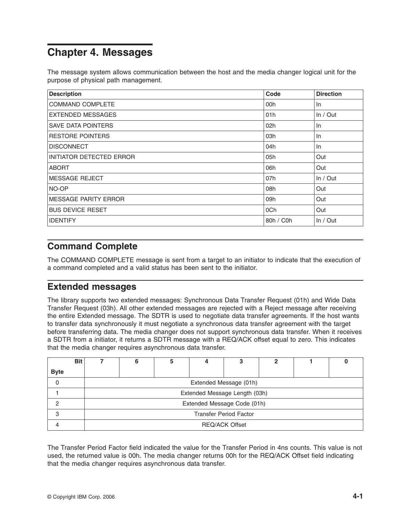## **Chapter 4. Messages**

The message system allows communication between the host and the media changer logical unit for the purpose of physical path management.

| <b>Description</b>          | Code      | <b>Direction</b> |
|-----------------------------|-----------|------------------|
| <b>COMMAND COMPLETE</b>     | 00h       | In               |
| <b>EXTENDED MESSAGES</b>    | 01h       | In / Out         |
| <b>SAVE DATA POINTERS</b>   | 02h       | In               |
| <b>RESTORE POINTERS</b>     | 03h       | In               |
| <b>DISCONNECT</b>           | 04h       | In               |
| INITIATOR DETECTED ERROR    | 05h       | Out              |
| <b>ABORT</b>                | 06h       | Out              |
| <b>IMESSAGE REJECT</b>      | 07h       | In / Out         |
| NO-OP                       | 08h       | Out              |
| <b>MESSAGE PARITY ERROR</b> | 09h       | Out              |
| <b>BUS DEVICE RESET</b>     | 0Ch       | Out              |
| <b>IDENTIFY</b>             | 80h / C0h | In / Out         |

### **Command Complete**

The COMMAND COMPLETE message is sent from a target to an initiator to indicate that the execution of a command completed and a valid status has been sent to the initiator.

### **Extended messages**

The library supports two extended messages: Synchronous Data Transfer Request (01h) and Wide Data Transfer Request (03h). All other extended messages are rejected with a Reject message after receiving the entire Extended message. The SDTR is used to negotiate data transfer agreements. If the host wants to transfer data synchronously it must negotiate a synchronous data transfer agreement with the target before transferring data. The media changer does not support synchronous data transfer. When it receives a SDTR from a initiator, it returns a SDTR message with a REQ/ACK offset equal to zero. This indicates that the media changer requires asynchronous data transfer.

|             | <b>Bit</b> |                               |                               | 5 | 4 | 3 | כי |  |  |  |  |
|-------------|------------|-------------------------------|-------------------------------|---|---|---|----|--|--|--|--|
| <b>Byte</b> |            |                               |                               |   |   |   |    |  |  |  |  |
| 0           |            |                               | Extended Message (01h)        |   |   |   |    |  |  |  |  |
|             |            |                               | Extended Message Length (03h) |   |   |   |    |  |  |  |  |
|             |            |                               | Extended Message Code (01h)   |   |   |   |    |  |  |  |  |
| 3           |            | <b>Transfer Period Factor</b> |                               |   |   |   |    |  |  |  |  |
|             |            | <b>REQ/ACK Offset</b>         |                               |   |   |   |    |  |  |  |  |

The Transfer Period Factor field indicated the value for the Transfer Period in 4ns counts. This value is not used, the returned value is 00h. The media changer returns 00h for the REQ/ACK Offset field indicating that the media changer requires asynchronous data transfer.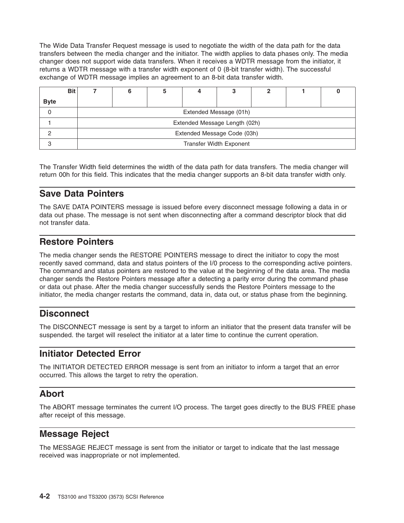The Wide Data Transfer Request message is used to negotiate the width of the data path for the data transfers between the media changer and the initiator. The width applies to data phases only. The media changer does not support wide data transfers. When it receives a WDTR message from the initiator, it returns a WDTR message with a transfer width exponent of 0 (8-bit transfer width). The successful exchange of WDTR message implies an agreement to an 8-bit data transfer width.

|             | <b>Bit</b> |                                |                               |  |  |  |  |  |  |  |
|-------------|------------|--------------------------------|-------------------------------|--|--|--|--|--|--|--|
| <b>Byte</b> |            |                                |                               |  |  |  |  |  |  |  |
|             |            |                                | Extended Message (01h)        |  |  |  |  |  |  |  |
|             |            |                                | Extended Message Length (02h) |  |  |  |  |  |  |  |
|             |            | Extended Message Code (03h)    |                               |  |  |  |  |  |  |  |
| ◠           |            | <b>Transfer Width Exponent</b> |                               |  |  |  |  |  |  |  |

The Transfer Width field determines the width of the data path for data transfers. The media changer will return 00h for this field. This indicates that the media changer supports an 8-bit data transfer width only.

### **Save Data Pointers**

The SAVE DATA POINTERS message is issued before every disconnect message following a data in or data out phase. The message is not sent when disconnecting after a command descriptor block that did not transfer data.

### **Restore Pointers**

The media changer sends the RESTORE POINTERS message to direct the initiator to copy the most recently saved command, data and status pointers of the I/0 process to the corresponding active pointers. The command and status pointers are restored to the value at the beginning of the data area. The media changer sends the Restore Pointers message after a detecting a parity error during the command phase or data out phase. After the media changer successfully sends the Restore Pointers message to the initiator, the media changer restarts the command, data in, data out, or status phase from the beginning.

### **Disconnect**

The DISCONNECT message is sent by a target to inform an initiator that the present data transfer will be suspended. the target will reselect the initiator at a later time to continue the current operation.

### **Initiator Detected Error**

The INITIATOR DETECTED ERROR message is sent from an initiator to inform a target that an error occurred. This allows the target to retry the operation.

### **Abort**

The ABORT message terminates the current I/O process. The target goes directly to the BUS FREE phase after receipt of this message.

### **Message Reject**

The MESSAGE REJECT message is sent from the initiator or target to indicate that the last message received was inappropriate or not implemented.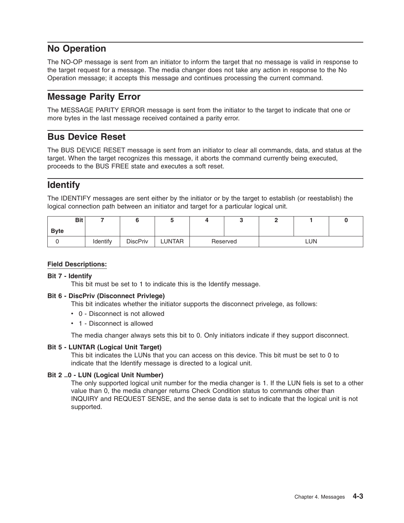### **No Operation**

The NO-OP message is sent from an initiator to inform the target that no message is valid in response to the target request for a message. The media changer does not take any action in response to the No Operation message; it accepts this message and continues processing the current command.

### **Message Parity Error**

The MESSAGE PARITY ERROR message is sent from the initiator to the target to indicate that one or more bytes in the last message received contained a parity error.

### **Bus Device Reset**

The BUS DEVICE RESET message is sent from an initiator to clear all commands, data, and status at the target. When the target recognizes this message, it aborts the command currently being executed, proceeds to the BUS FREE state and executes a soft reset.

### **Identify**

The IDENTIFY messages are sent either by the initiator or by the target to establish (or reestablish) the logical connection path between an initiator and target for a particular logical unit.

| <b>Bit</b>  |          |                 |        |          |  |            |  |
|-------------|----------|-----------------|--------|----------|--|------------|--|
| <b>Byte</b> |          |                 |        |          |  |            |  |
|             | Identify | <b>DiscPriv</b> | LUNTAR | Reserved |  | <b>LUN</b> |  |

#### **Field Descriptions:**

#### **Bit 7 - Identify**

This bit must be set to 1 to indicate this is the Identify message.

#### **Bit 6 - DiscPriv (Disconnect Privlege)**

This bit indicates whether the initiator supports the disconnect privelege, as follows:

- 0 Disconnect is not allowed
- 1 Disconnect is allowed

The media changer always sets this bit to 0. Only initiators indicate if they support disconnect.

#### **Bit 5 - LUNTAR (Logical Unit Target)**

This bit indicates the LUNs that you can access on this device. This bit must be set to 0 to indicate that the Identify message is directed to a logical unit.

#### **Bit 2 ..0 - LUN (Logical Unit Number)**

The only supported logical unit number for the media changer is 1. If the LUN fiels is set to a other value than 0, the media changer returns Check Condition status to commands other than INQUIRY and REQUEST SENSE, and the sense data is set to indicate that the logical unit is not supported.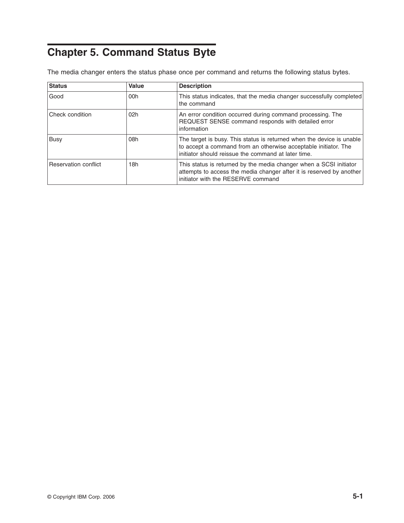# **Chapter 5. Command Status Byte**

The media changer enters the status phase once per command and returns the following status bytes.

| <b>Status</b>          | Value | <b>Description</b>                                                                                                                                                                              |
|------------------------|-------|-------------------------------------------------------------------------------------------------------------------------------------------------------------------------------------------------|
| Good                   | 00h   | This status indicates, that the media changer successfully completed<br>the command                                                                                                             |
| <b>Check condition</b> | 02h   | An error condition occurred during command processing. The<br>REQUEST SENSE command responds with detailed error<br>information                                                                 |
| <b>Busy</b>            | 08h   | The target is busy. This status is returned when the device is unable<br>to accept a command from an otherwise acceptable initiator. The<br>initiator should reissue the command at later time. |
| Reservation conflict   | 18h   | This status is returned by the media changer when a SCSI initiator<br>attempts to access the media changer after it is reserved by another<br>initiator with the RESERVE command                |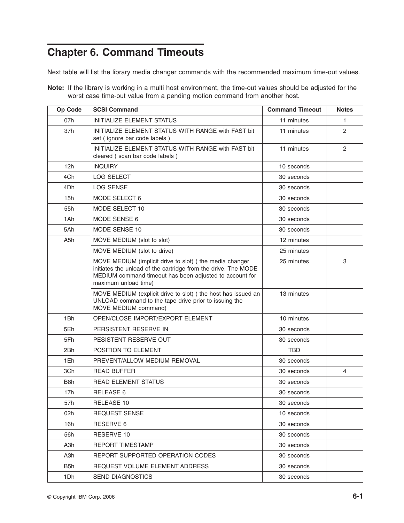# **Chapter 6. Command Timeouts**

Next table will list the library media changer commands with the recommended maximum time-out values.

**Note:** If the library is working in a multi host environment, the time-out values should be adjusted for the worst case time-out value from a pending motion command from another host.

| Op Code          | <b>SCSI Command</b>                                                                                                                                                                                           | <b>Command Timeout</b> | <b>Notes</b>   |
|------------------|---------------------------------------------------------------------------------------------------------------------------------------------------------------------------------------------------------------|------------------------|----------------|
| 07h              | <b>INITIALIZE ELEMENT STATUS</b>                                                                                                                                                                              | 11 minutes             | 1              |
| 37h              | INITIALIZE ELEMENT STATUS WITH RANGE with FAST bit<br>set (ignore bar code labels)                                                                                                                            | 11 minutes             | $\overline{2}$ |
|                  | INITIALIZE ELEMENT STATUS WITH RANGE with FAST bit<br>cleared (scan bar code labels)                                                                                                                          | 11 minutes             | 2              |
| 12h              | <b>INQUIRY</b>                                                                                                                                                                                                | 10 seconds             |                |
| 4Ch              | <b>LOG SELECT</b>                                                                                                                                                                                             | 30 seconds             |                |
| 4Dh              | <b>LOG SENSE</b>                                                                                                                                                                                              | 30 seconds             |                |
| 15h              | MODE SELECT 6                                                                                                                                                                                                 | 30 seconds             |                |
| 55h              | MODE SELECT 10                                                                                                                                                                                                | 30 seconds             |                |
| 1Ah              | MODE SENSE 6                                                                                                                                                                                                  | 30 seconds             |                |
| 5Ah              | MODE SENSE 10                                                                                                                                                                                                 | 30 seconds             |                |
| A5h              | MOVE MEDIUM (slot to slot)                                                                                                                                                                                    | 12 minutes             |                |
|                  | MOVE MEDIUM (slot to drive)                                                                                                                                                                                   | 25 minutes             |                |
|                  | MOVE MEDIUM (implicit drive to slot) ( the media changer<br>initiates the unload of the cartridge from the drive. The MODE<br>MEDIUM command timeout has been adjusted to account for<br>maximum unload time) | 25 minutes             | 3              |
|                  | MOVE MEDIUM (explicit drive to slot) ( the host has issued an<br>UNLOAD command to the tape drive prior to issuing the<br>MOVE MEDIUM command)                                                                | 13 minutes             |                |
| 1Bh              | OPEN/CLOSE IMPORT/EXPORT ELEMENT                                                                                                                                                                              | 10 minutes             |                |
| 5Eh              | PERSISTENT RESERVE IN                                                                                                                                                                                         | 30 seconds             |                |
| 5Fh              | PESISTENT RESERVE OUT                                                                                                                                                                                         | 30 seconds             |                |
| 2Bh              | POSITION TO ELEMENT                                                                                                                                                                                           | <b>TBD</b>             |                |
| 1Eh              | PREVENT/ALLOW MEDIUM REMOVAL                                                                                                                                                                                  | 30 seconds             |                |
| 3Ch              | <b>READ BUFFER</b>                                                                                                                                                                                            | 30 seconds             | 4              |
| B <sub>8</sub> h | <b>READ ELEMENT STATUS</b>                                                                                                                                                                                    | 30 seconds             |                |
| 17h              | <b>RELEASE 6</b>                                                                                                                                                                                              | 30 seconds             |                |
| 57h              | RELEASE 10                                                                                                                                                                                                    | 30 seconds             |                |
| 02h              | <b>REQUEST SENSE</b>                                                                                                                                                                                          | 10 seconds             |                |
| 16h              | RESERVE 6                                                                                                                                                                                                     | 30 seconds             |                |
| 56h              | RESERVE 10                                                                                                                                                                                                    | 30 seconds             |                |
| A3h              | <b>REPORT TIMESTAMP</b>                                                                                                                                                                                       | 30 seconds             |                |
| A3h              | REPORT SUPPORTED OPERATION CODES                                                                                                                                                                              | 30 seconds             |                |
| B5h              | REQUEST VOLUME ELEMENT ADDRESS                                                                                                                                                                                | 30 seconds             |                |
| 1Dh              | <b>SEND DIAGNOSTICS</b>                                                                                                                                                                                       | 30 seconds             |                |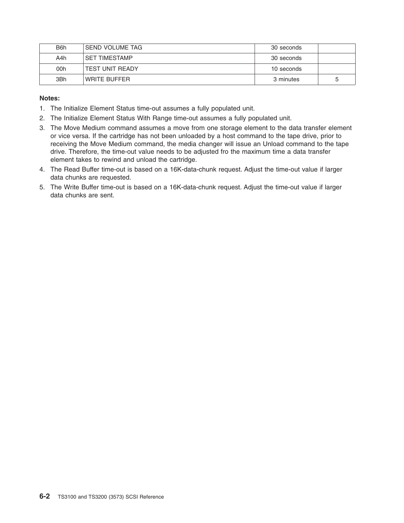| B <sub>6</sub> h | I SEND VOLUME TAG      | 30 seconds |   |
|------------------|------------------------|------------|---|
| A4h              | <b>SET TIMESTAMP</b>   | 30 seconds |   |
| 00h              | <b>TEST UNIT READY</b> | 10 seconds |   |
| 3Bh              | WRITE BUFFER           | 3 minutes  | 5 |

#### **Notes:**

- 1. The Initialize Element Status time-out assumes a fully populated unit.
- 2. The Initialize Element Status With Range time-out assumes a fully populated unit.
- 3. The Move Medium command assumes a move from one storage element to the data transfer element or vice versa. If the cartridge has not been unloaded by a host command to the tape drive, prior to receiving the Move Medium command, the media changer will issue an Unload command to the tape drive. Therefore, the time-out value needs to be adjusted fro the maximum time a data transfer element takes to rewind and unload the cartridge.
- 4. The Read Buffer time-out is based on a 16K-data-chunk request. Adjust the time-out value if larger data chunks are requested.
- 5. The Write Buffer time-out is based on a 16K-data-chunk request. Adjust the time-out value if larger data chunks are sent.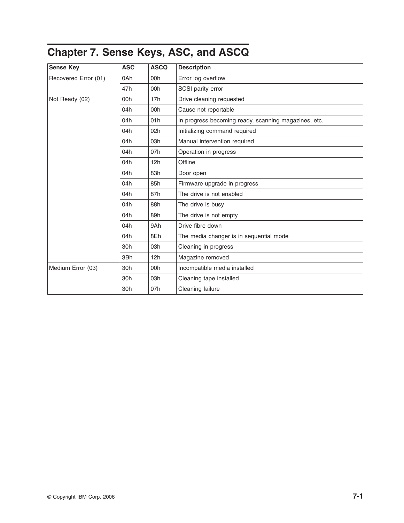# <span id="page-108-0"></span>**Chapter 7. Sense Keys, ASC, and ASCQ**

| <b>Sense Key</b>     | <b>ASC</b> | <b>ASCQ</b> | <b>Description</b>                                   |  |  |  |  |
|----------------------|------------|-------------|------------------------------------------------------|--|--|--|--|
| Recovered Error (01) | 0Ah        | 00h         | Error log overflow                                   |  |  |  |  |
|                      | 47h        | 00h         | SCSI parity error                                    |  |  |  |  |
| Not Ready (02)       | 00h        | 17h         | Drive cleaning requested                             |  |  |  |  |
|                      | 04h        | 00h         | Cause not reportable                                 |  |  |  |  |
|                      | 04h        | 01h         | In progress becoming ready, scanning magazines, etc. |  |  |  |  |
|                      | 04h        | 02h         | Initializing command required                        |  |  |  |  |
|                      | 04h        | 03h         | Manual intervention required                         |  |  |  |  |
|                      | 04h        | 07h         | Operation in progress                                |  |  |  |  |
|                      | 04h        | 12h         | Offline                                              |  |  |  |  |
|                      | 04h        | 83h         | Door open                                            |  |  |  |  |
|                      | 04h        | 85h         | Firmware upgrade in progress                         |  |  |  |  |
|                      | 04h        | 87h         | The drive is not enabled                             |  |  |  |  |
|                      | 04h        | 88h         | The drive is busy                                    |  |  |  |  |
|                      | 04h        | 89h         | The drive is not empty                               |  |  |  |  |
|                      | 04h        | 9Ah         | Drive fibre down                                     |  |  |  |  |
|                      | 04h        | 8Eh         | The media changer is in sequential mode              |  |  |  |  |
|                      | 30h        | 03h         | Cleaning in progress                                 |  |  |  |  |
|                      | 3Bh        | 12h         | Magazine removed                                     |  |  |  |  |
| Medium Error (03)    | 30h        | 00h         | Incompatible media installed                         |  |  |  |  |
|                      | 30h        | 03h         | Cleaning tape installed                              |  |  |  |  |
|                      | 30h        | 07h         | Cleaning failure                                     |  |  |  |  |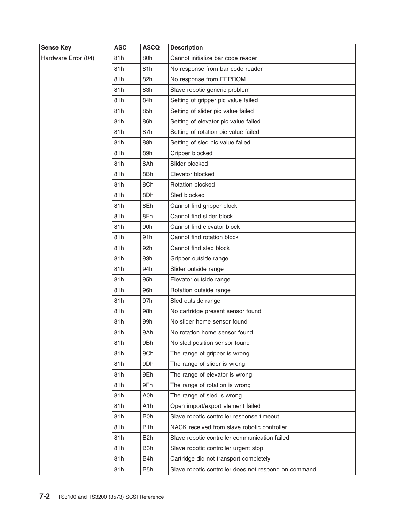| <b>Sense Key</b>    | <b>ASC</b> | <b>ASCQ</b>      | <b>Description</b>                                   |  |  |  |  |
|---------------------|------------|------------------|------------------------------------------------------|--|--|--|--|
| Hardware Error (04) | 81h        | 80h              | Cannot initialize bar code reader                    |  |  |  |  |
|                     | 81h        | 81h              | No response from bar code reader                     |  |  |  |  |
|                     | 81h        | 82h              | No response from EEPROM                              |  |  |  |  |
|                     | 81h        | 83h              | Slave robotic generic problem                        |  |  |  |  |
|                     | 81h        | 84h              | Setting of gripper pic value failed                  |  |  |  |  |
|                     | 81h        | 85h              | Setting of slider pic value failed                   |  |  |  |  |
|                     | 81h        | 86h              | Setting of elevator pic value failed                 |  |  |  |  |
|                     | 81h        | 87h              | Setting of rotation pic value failed                 |  |  |  |  |
|                     | 81h        | 88h              | Setting of sled pic value failed                     |  |  |  |  |
|                     | 81h        | 89h              | Gripper blocked                                      |  |  |  |  |
|                     | 81h        | 8Ah              | Slider blocked                                       |  |  |  |  |
|                     | 81h        | 8Bh              | Elevator blocked                                     |  |  |  |  |
|                     | 81h        | 8Ch              | Rotation blocked                                     |  |  |  |  |
|                     | 81h        | 8Dh              | Sled blocked                                         |  |  |  |  |
|                     | 81h        | 8Eh              | Cannot find gripper block                            |  |  |  |  |
|                     | 81h        | 8Fh              | Cannot find slider block                             |  |  |  |  |
|                     | 81h        | 90h              | Cannot find elevator block                           |  |  |  |  |
|                     | 81h        | 91 <sub>h</sub>  | Cannot find rotation block                           |  |  |  |  |
|                     | 81h        | 92h              | Cannot find sled block                               |  |  |  |  |
|                     | 81h        | 93h              | Gripper outside range                                |  |  |  |  |
|                     | 81h        | 94h              | Slider outside range                                 |  |  |  |  |
|                     | 81h        | 95h              | Elevator outside range                               |  |  |  |  |
|                     | 81h        | 96h              | Rotation outside range                               |  |  |  |  |
|                     | 81h        | 97h              | Sled outside range                                   |  |  |  |  |
|                     | 81h        | 98h              | No cartridge present sensor found                    |  |  |  |  |
|                     | 81h        | 99h              | No slider home sensor found                          |  |  |  |  |
|                     | 81h        | 9Ah              | No rotation home sensor found                        |  |  |  |  |
|                     | 81h        | 9Bh              | No sled position sensor found                        |  |  |  |  |
|                     | 81h        | 9Ch              | The range of gripper is wrong                        |  |  |  |  |
|                     | 81h        | 9Dh              | The range of slider is wrong                         |  |  |  |  |
|                     | 81h        | 9Eh              | The range of elevator is wrong                       |  |  |  |  |
|                     | 81h        | 9Fh              | The range of rotation is wrong                       |  |  |  |  |
|                     | 81h        | A0h              | The range of sled is wrong                           |  |  |  |  |
|                     | 81h        | A <sub>1</sub> h | Open import/export element failed                    |  |  |  |  |
|                     | 81h        | <b>B</b> Oh      | Slave robotic controller response timeout            |  |  |  |  |
|                     | 81h        | B <sub>1</sub> h | NACK received from slave robotic controller          |  |  |  |  |
|                     | 81h        | B <sub>2</sub> h | Slave robotic controller communication failed        |  |  |  |  |
|                     | 81h        | B <sub>3</sub> h | Slave robotic controller urgent stop                 |  |  |  |  |
|                     | 81h        | B4h              | Cartridge did not transport completely               |  |  |  |  |
|                     | 81h        | B <sub>5</sub> h | Slave robotic controller does not respond on command |  |  |  |  |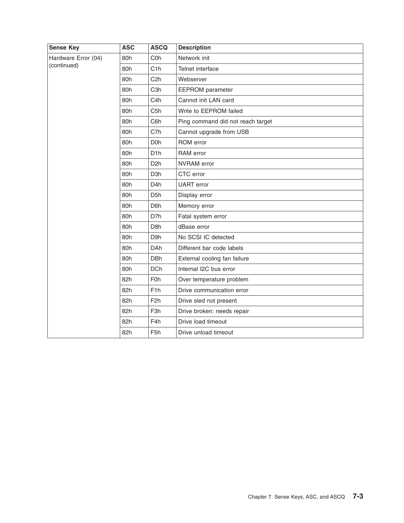| <b>Sense Key</b>                   | <b>ASC</b> | <b>ASCQ</b>      | <b>Description</b>                |  |  |  |  |
|------------------------------------|------------|------------------|-----------------------------------|--|--|--|--|
| Hardware Error (04)<br>(continued) | 80h        | C <sub>0</sub> h | Network init                      |  |  |  |  |
|                                    | 80h        | C <sub>1</sub> h | Telnet interface                  |  |  |  |  |
|                                    | 80h        | C <sub>2</sub> h | Webserver                         |  |  |  |  |
|                                    | 80h        | C <sub>3</sub> h | <b>EEPROM</b> parameter           |  |  |  |  |
|                                    | 80h        | C <sub>4</sub> h | Cannot init LAN card              |  |  |  |  |
|                                    | 80h        | C <sub>5</sub> h | Write to EEPROM failed            |  |  |  |  |
|                                    | 80h        | C6h              | Ping command did not reach target |  |  |  |  |
|                                    | 80h        | C7h              | Cannot upgrade from USB           |  |  |  |  |
|                                    | 80h        | D <sub>O</sub> h | ROM error                         |  |  |  |  |
|                                    | 80h        | D <sub>1</sub> h | RAM error                         |  |  |  |  |
|                                    | 80h        | D <sub>2</sub> h | NVRAM error                       |  |  |  |  |
|                                    | 80h        | D <sub>3</sub> h | CTC error                         |  |  |  |  |
|                                    | 80h        | D <sub>4</sub> h | <b>UART</b> error                 |  |  |  |  |
|                                    | 80h        | D <sub>5</sub> h | Display error                     |  |  |  |  |
|                                    | 80h        | D6h              | Memory error                      |  |  |  |  |
|                                    | 80h        | D7h              | Fatal system error                |  |  |  |  |
|                                    | 80h        | D <sub>8</sub> h | dBase error                       |  |  |  |  |
|                                    | 80h        | D9h              | No SCSI IC detected               |  |  |  |  |
|                                    | 80h        | <b>DAh</b>       | Different bar code labels         |  |  |  |  |
|                                    | 80h        | <b>DBh</b>       | External cooling fan failure      |  |  |  |  |
|                                    | 80h        | <b>DCh</b>       | Internal I2C bus error            |  |  |  |  |
|                                    | 82h        | F <sub>0</sub> h | Over temperature problem          |  |  |  |  |
|                                    | 82h        | F <sub>1</sub> h | Drive communication error         |  |  |  |  |
|                                    | 82h        | F <sub>2</sub> h | Drive sled not present            |  |  |  |  |
|                                    | 82h        | F <sub>3</sub> h | Drive broken: needs repair        |  |  |  |  |
|                                    | 82h        | F4h              | Drive load timeout                |  |  |  |  |
|                                    | 82h        | F <sub>5</sub> h | Drive unload timeout              |  |  |  |  |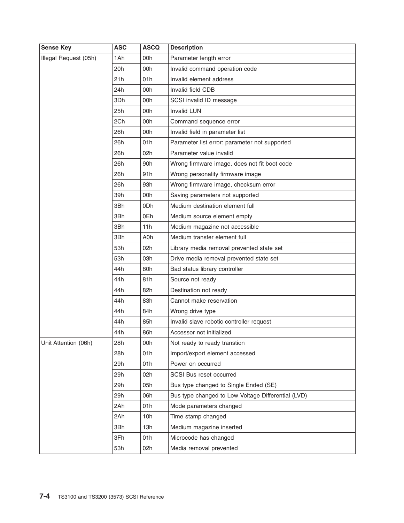| <b>Sense Key</b>      | <b>ASC</b> | <b>ASCQ</b>     | <b>Description</b>                                 |  |  |  |
|-----------------------|------------|-----------------|----------------------------------------------------|--|--|--|
| Illegal Request (05h) | 1Ah        | 00h             | Parameter length error                             |  |  |  |
|                       | 20h        | 00h             | Invalid command operation code                     |  |  |  |
|                       | 21h        | 01h             | Invalid element address                            |  |  |  |
|                       | 24h        | 00h             | Invalid field CDB                                  |  |  |  |
|                       | 3Dh        | 00h             | SCSI invalid ID message                            |  |  |  |
|                       | 25h        | 00h             | <b>Invalid LUN</b>                                 |  |  |  |
|                       | 2Ch        | 00h             | Command sequence error                             |  |  |  |
|                       | 26h        | 00h             | Invalid field in parameter list                    |  |  |  |
|                       | 26h        | 01h             | Parameter list error: parameter not supported      |  |  |  |
|                       | 26h        | 02h             | Parameter value invalid                            |  |  |  |
|                       | 26h        | 90 <sub>h</sub> | Wrong firmware image, does not fit boot code       |  |  |  |
|                       | 26h        | 91h             | Wrong personality firmware image                   |  |  |  |
|                       | 26h        | 93h             | Wrong firmware image, checksum error               |  |  |  |
|                       | 39h        | 00h             | Saving parameters not supported                    |  |  |  |
|                       | 3Bh        | 0 <sub>Dh</sub> | Medium destination element full                    |  |  |  |
|                       | 3Bh        | 0Eh             | Medium source element empty                        |  |  |  |
|                       | 3Bh        | 11h             | Medium magazine not accessible                     |  |  |  |
|                       | 3Bh        | A0h             | Medium transfer element full                       |  |  |  |
|                       | 53h        | 02h             | Library media removal prevented state set          |  |  |  |
|                       | 53h        | 03h             | Drive media removal prevented state set            |  |  |  |
|                       | 44h        | 80h             | Bad status library controller                      |  |  |  |
|                       | 44h        | 81h             | Source not ready                                   |  |  |  |
|                       | 44h        | 82h             | Destination not ready                              |  |  |  |
|                       | 44h        | 83h             | Cannot make reservation                            |  |  |  |
|                       | 44h        | 84h             | Wrong drive type                                   |  |  |  |
|                       | 44h        | 85h             | Invalid slave robotic controller request           |  |  |  |
|                       | 44h        | 86h             | Accessor not initialized                           |  |  |  |
| Unit Attention (06h)  | 28h        | 00h             | Not ready to ready transtion                       |  |  |  |
|                       | 28h        | 01h             | Import/export element accessed                     |  |  |  |
|                       | 29h        | 01h             | Power on occurred                                  |  |  |  |
|                       | 29h        | 02h             | SCSI Bus reset occurred                            |  |  |  |
|                       | 29h        | 05h             | Bus type changed to Single Ended (SE)              |  |  |  |
|                       | 29h        | 06h             | Bus type changed to Low Voltage Differential (LVD) |  |  |  |
|                       | 2Ah        | 01h             | Mode parameters changed                            |  |  |  |
|                       | 2Ah        | 10h             | Time stamp changed                                 |  |  |  |
|                       | 3Bh        | 13h             | Medium magazine inserted                           |  |  |  |
|                       | 3Fh        | 01h             | Microcode has changed                              |  |  |  |
|                       | 53h        | 02h             | Media removal prevented                            |  |  |  |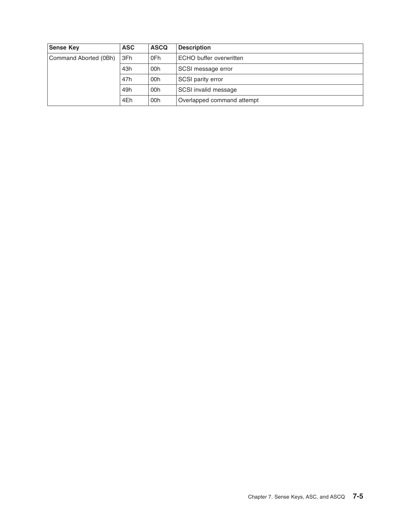| <b>Sense Key</b>      | <b>ASC</b> | <b>ASCQ</b> | <b>Description</b>         |  |  |  |
|-----------------------|------------|-------------|----------------------------|--|--|--|
| Command Aborted (0Bh) | 3Fh        | 0Fh         | ECHO buffer overwritten    |  |  |  |
|                       | 43h        | 00h         | SCSI message error         |  |  |  |
|                       | 47h        | 00h         | <b>SCSI parity error</b>   |  |  |  |
|                       | 49h        | 00h         | SCSI invalid message       |  |  |  |
|                       | 4Eh        | 00h         | Overlapped command attempt |  |  |  |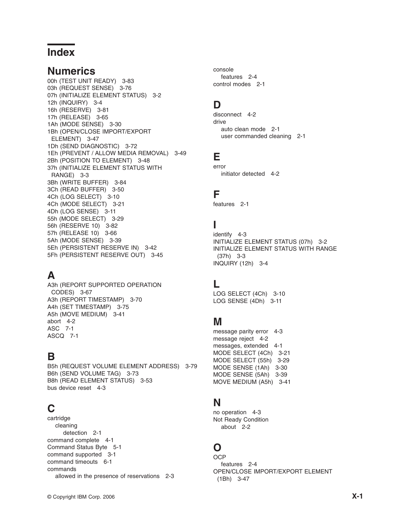### **Index**

#### **Numerics**

00h (TEST UNIT [READY\)](#page-96-0) 3-83 03h [\(REQUEST](#page-89-0) SENSE) 3-76 07h [\(INITIALIZE](#page-15-0) ELEMENT STATUS) 3-2 12h [\(INQUIRY\)](#page-17-0) 3-4 16h [\(RESERVE\)](#page-94-0) 3-81 17h [\(RELEASE\)](#page-78-0) 3-65 1Ah (MODE [SENSE\)](#page-43-0) 3-30 1Bh (OPEN/CLOSE [IMPORT/EXPORT](#page-60-0) [ELEMENT\)](#page-60-0) 3-47 1Dh (SEND [DIAGNOSTIC\)](#page-85-0) 3-72 1Eh (PREVENT / ALLOW MEDIA [REMOVAL\)](#page-62-0) 3-49 2Bh [\(POSITION](#page-61-0) TO ELEMENT) 3-48 37h [\(INITIALIZE](#page-16-0) ELEMENT STATUS WITH [RANGE\)](#page-16-0) 3-3 3Bh (WRITE [BUFFER\)](#page-97-0) 3-84 3Ch (READ [BUFFER\)](#page-63-0) 3-50 4Ch (LOG [SELECT\)](#page-23-0) 3-10 4Ch (MODE [SELECT\)](#page-34-0) 3-21 4Dh (LOG [SENSE\)](#page-24-0) 3-11 55h (MODE [SELECT\)](#page-42-0) 3-29 56h [\(RESERVE](#page-95-0) 10) 3-82 57h [\(RELEASE](#page-79-0) 10) 3-66 5Ah (MODE [SENSE\)](#page-52-0) 3-39 5Eh [\(PERSISTENT](#page-55-0) RESERVE IN) 3-42 5Fh [\(PERSISTENT](#page-58-0) RESERVE OUT) 3-45

# **A**

A3h (REPORT [SUPPORTED](#page-80-0) OPERATION [CODES\)](#page-80-0) 3-67 A3h (REPORT [TIMESTAMP\)](#page-83-0) 3-70 A4h (SET [TIMESTAMP\)](#page-88-0) 3-75 A5h (MOVE [MEDIUM\)](#page-54-0) 3-41 [abort](#page-101-0) 4-2 [ASC](#page-108-0) 7-1 [ASCQ](#page-108-0) 7-1

# **B**

B5h (REQUEST VOLUME ELEMENT [ADDRESS\)](#page-92-0) 3-79 B6h (SEND [VOLUME](#page-86-0) TAG) 3-73 B8h (READ [ELEMENT](#page-66-0) STATUS) 3-53 bus [device](#page-102-0) reset 4-3

# **C**

cartridge cleaning [detection](#page-8-0) 2-1 [command](#page-100-0) complete 4-1 [Command](#page-104-0) Status Byte 5-1 command [supported](#page-14-0) 3-1 [command](#page-106-0) timeouts 6-1 commands allowed in the presence of [reservations](#page-10-0) 2-3 console [features](#page-11-0) 2-4 control [modes](#page-8-0) 2-1

# **D**

[disconnect](#page-101-0) 4-2 drive auto clean [mode](#page-8-0) 2-1 user [commanded](#page-8-0) cleaning 2-1

### **E**

error initiator [detected](#page-101-0) 4-2

#### **F**

[features](#page-8-0) 2-1

# **I**

[identify](#page-102-0) 4-3 [INITIALIZE](#page-15-0) ELEMENT STATUS (07h) 3-2 [INITIALIZE](#page-16-0) ELEMENT STATUS WITH RANGE [\(37h\)](#page-16-0) 3-3 [INQUIRY](#page-17-0) (12h) 3-4

#### **L**

LOG [SELECT](#page-23-0) (4Ch) 3-10 LOG [SENSE](#page-24-0) (4Dh) 3-11

#### **M**

[message](#page-102-0) parity error 4-3 [message](#page-101-0) reject 4-2 [messages,](#page-100-0) extended 4-1 MODE [SELECT](#page-34-0) (4Ch) 3-21 MODE [SELECT](#page-42-0) (55h) 3-29 MODE [SENSE](#page-43-0) (1Ah) 3-30 MODE [SENSE](#page-52-0) (5Ah) 3-39 MOVE [MEDIUM](#page-54-0) (A5h) 3-41

#### **N**

no [operation](#page-102-0) 4-3 Not Ready Condition [about](#page-9-0) 2-2

# **O**

OCP [features](#page-11-0) 2-4 OPEN/CLOSE [IMPORT/EXPORT](#page-60-0) ELEMENT [\(1Bh\)](#page-60-0) 3-47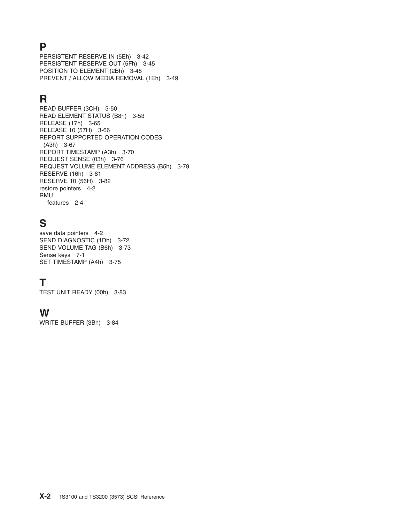#### **P**

[PERSISTENT](#page-55-0) RESERVE IN (5Eh) 3-42 [PERSISTENT](#page-58-0) RESERVE OUT (5Fh) 3-45 [POSITION](#page-61-0) TO ELEMENT (2Bh) 3-48 PREVENT / ALLOW MEDIA [REMOVAL](#page-62-0) (1Eh) 3-49

# **R**

READ [BUFFER](#page-63-0) (3CH) 3-50 READ [ELEMENT](#page-66-0) STATUS (B8h) 3-53 [RELEASE](#page-78-0) (17h) 3-65 [RELEASE](#page-79-0) 10 (57H) 3-66 REPORT [SUPPORTED](#page-80-0) OPERATION CODES [\(A3h\)](#page-80-0) 3-67 REPORT [TIMESTAMP](#page-83-0) (A3h) 3-70 [REQUEST](#page-89-0) SENSE (03h) 3-76 [REQUEST](#page-92-0) VOLUME ELEMENT ADDRESS (B5h) 3-79 [RESERVE](#page-94-0) (16h) 3-81 [RESERVE](#page-95-0) 10 (56H) 3-82 restore [pointers](#page-101-0) 4-2 RMU [features](#page-11-0) 2-4

# **S**

save data [pointers](#page-101-0) 4-2 SEND [DIAGNOSTIC](#page-85-0) (1Dh) 3-72 SEND [VOLUME](#page-86-0) TAG (B6h) 3-73 [Sense](#page-108-0) keys 7-1 SET [TIMESTAMP](#page-88-0) (A4h) 3-75

### **T**

TEST UNIT [READY](#page-96-0) (00h) 3-83

#### **W**

WRITE [BUFFER](#page-97-0) (3Bh) 3-84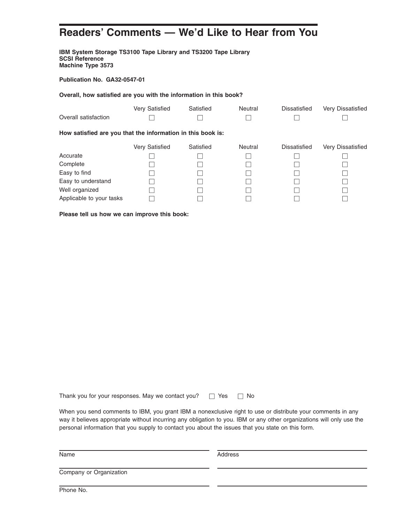# **Readers' Comments — We'd Like to Hear from You**

**IBM System Storage TS3100 Tape Library and TS3200 Tape Library SCSI Reference Machine Type 3573**

**Publication No. GA32-0547-01**

**Overall, how satisfied are you with the information in this book?**

|                                                             | Very Satisfied | Satisfied | <b>Neutral</b> | <b>Dissatisfied</b> | Very Dissatisfied |
|-------------------------------------------------------------|----------------|-----------|----------------|---------------------|-------------------|
| Overall satisfaction                                        |                |           |                |                     |                   |
| How satisfied are you that the information in this book is: |                |           |                |                     |                   |
|                                                             | Very Satisfied | Satisfied | Neutral        | Dissatisfied        | Very Dissatisfied |
| Accurate                                                    |                |           |                |                     |                   |
| Complete                                                    |                |           |                |                     |                   |
| Easy to find                                                |                |           |                |                     |                   |
| Easy to understand                                          |                |           |                |                     |                   |
| Well organized                                              |                |           |                |                     |                   |
| Applicable to your tasks                                    |                |           |                |                     |                   |

**Please tell us how we can improve this book:**

Thank you for your responses. May we contact you?  $\Box$  Yes  $\Box$  No

When you send comments to IBM, you grant IBM a nonexclusive right to use or distribute your comments in any way it believes appropriate without incurring any obligation to you. IBM or any other organizations will only use the personal information that you supply to contact you about the issues that you state on this form.

Name Address

Company or Organization

Phone No.